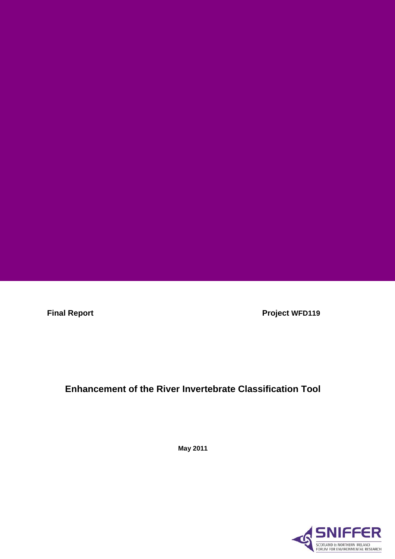**Final Report Contract Project WFD119** 

# **Enhancement of the River Invertebrate Classification Tool**

**May 2011** 

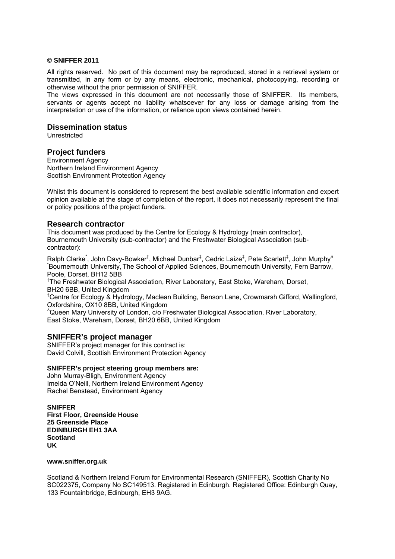#### **© SNIFFER 2011**

All rights reserved. No part of this document may be reproduced, stored in a retrieval system or transmitted, in any form or by any means, electronic, mechanical, photocopying, recording or otherwise without the prior permission of SNIFFER.

The views expressed in this document are not necessarily those of SNIFFER. Its members, servants or agents accept no liability whatsoever for any loss or damage arising from the interpretation or use of the information, or reliance upon views contained herein.

## **Dissemination status**

Unrestricted

## **Project funders**

Environment Agency Northern Ireland Environment Agency Scottish Environment Protection Agency

Whilst this document is considered to represent the best available scientific information and expert opinion available at the stage of completion of the report, it does not necessarily represent the final or policy positions of the project funders.

#### **Research contractor**

This document was produced by the Centre for Ecology & Hydrology (main contractor), Bournemouth University (sub-contractor) and the Freshwater Biological Association (subcontractor):

Ralph Clarke<sup>\*</sup>, John Davy-Bowker<sup>†</sup>, Michael Dunbar<sup>‡</sup>, Cedric Laize<sup>‡</sup>, Pete Scarlett<sup>‡</sup>, John Murphy<sup>∆</sup> \* Bournemouth University, The School of Applied Sciences, Bournemouth University, Fern Barrow, Poole, Dorset, BH12 5BB

<sup>†</sup>The Freshwater Biological Association, River Laboratory, East Stoke, Wareham, Dorset, BH20 6BB, United Kingdom

‡ Centre for Ecology & Hydrology, Maclean Building, Benson Lane, Crowmarsh Gifford, Wallingford, Oxfordshire, OX10 8BB, United Kingdom

∆ Queen Mary University of London, c/o Freshwater Biological Association, River Laboratory, East Stoke, Wareham, Dorset, BH20 6BB, United Kingdom

#### **SNIFFER's project manager**

SNIFFER's project manager for this contract is: David Colvill, Scottish Environment Protection Agency

#### **SNIFFER's project steering group members are:**

John Murray-Bligh, Environment Agency Imelda O'Neill, Northern Ireland Environment Agency Rachel Benstead, Environment Agency

**SNIFFER First Floor, Greenside House 25 Greenside Place EDINBURGH EH1 3AA Scotland UK** 

#### **www.sniffer.org.uk**

Scotland & Northern Ireland Forum for Environmental Research (SNIFFER), Scottish Charity No SC022375, Company No SC149513. Registered in Edinburgh. Registered Office: Edinburgh Quay, 133 Fountainbridge, Edinburgh, EH3 9AG.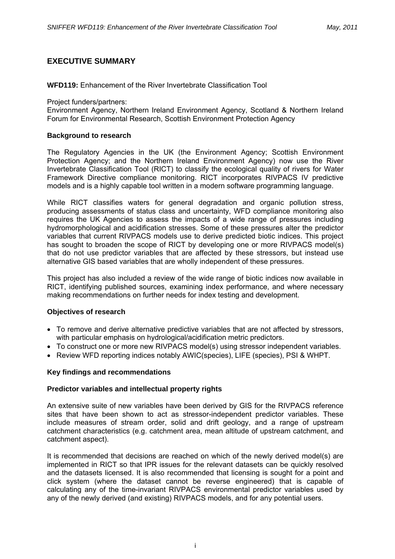## **EXECUTIVE SUMMARY**

**WFD119:** Enhancement of the River Invertebrate Classification Tool

Project funders/partners:

Environment Agency, Northern Ireland Environment Agency, Scotland & Northern Ireland Forum for Environmental Research, Scottish Environment Protection Agency

## **Background to research**

The Regulatory Agencies in the UK (the Environment Agency; Scottish Environment Protection Agency; and the Northern Ireland Environment Agency) now use the River Invertebrate Classification Tool (RICT) to classify the ecological quality of rivers for Water Framework Directive compliance monitoring. RICT incorporates RIVPACS IV predictive models and is a highly capable tool written in a modern software programming language.

While RICT classifies waters for general degradation and organic pollution stress, producing assessments of status class and uncertainty, WFD compliance monitoring also requires the UK Agencies to assess the impacts of a wide range of pressures including hydromorphological and acidification stresses. Some of these pressures alter the predictor variables that current RIVPACS models use to derive predicted biotic indices. This project has sought to broaden the scope of RICT by developing one or more RIVPACS model(s) that do not use predictor variables that are affected by these stressors, but instead use alternative GIS based variables that are wholly independent of these pressures.

This project has also included a review of the wide range of biotic indices now available in RICT, identifying published sources, examining index performance, and where necessary making recommendations on further needs for index testing and development.

## **Objectives of research**

- To remove and derive alternative predictive variables that are not affected by stressors, with particular emphasis on hydrological/acidification metric predictors.
- To construct one or more new RIVPACS model(s) using stressor independent variables.
- Review WFD reporting indices notably AWIC(species), LIFE (species), PSI & WHPT.

## **Key findings and recommendations**

## **Predictor variables and intellectual property rights**

An extensive suite of new variables have been derived by GIS for the RIVPACS reference sites that have been shown to act as stressor-independent predictor variables. These include measures of stream order, solid and drift geology, and a range of upstream catchment characteristics (e.g. catchment area, mean altitude of upstream catchment, and catchment aspect).

It is recommended that decisions are reached on which of the newly derived model(s) are implemented in RICT so that IPR issues for the relevant datasets can be quickly resolved and the datasets licensed. It is also recommended that licensing is sought for a point and click system (where the dataset cannot be reverse engineered) that is capable of calculating any of the time-invariant RIVPACS environmental predictor variables used by any of the newly derived (and existing) RIVPACS models, and for any potential users.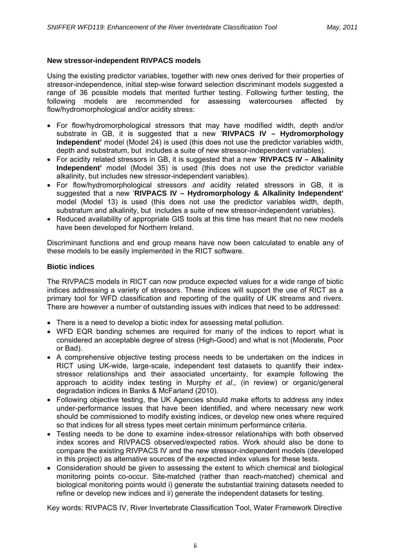## **New stressor-independent RIVPACS models**

Using the existing predictor variables, together with new ones derived for their properties of stressor-independence, initial step-wise forward selection discriminant models suggested a range of 36 possible models that merited further testing. Following further testing, the following models are recommended for assessing watercourses affected by flow/hydromorphological and/or acidity stress:

- For flow/hydromorphological stressors that may have modified width, depth and/or substrate in GB, it is suggested that a new '**RIVPACS IV – Hydromorphology Independent'** model (Model 24) is used (this does not use the predictor variables width, depth and substratum, but includes a suite of new stressor-independent variables).
- For acidity related stressors in GB, it is suggested that a new '**RIVPACS IV Alkalinity Independent'** model (Model 35) is used (this does not use the predictor variable alkalinity, but includes new stressor-independent variables).
- For flow/hydromorphological stressors *and* acidity related stressors in GB, it is suggested that a new '**RIVPACS IV – Hydromorphology & Alkalinity Independent'** model (Model 13) is used (this does not use the predictor variables width, depth, substratum and alkalinity, but includes a suite of new stressor-independent variables).
- Reduced availability of appropriate GIS tools at this time has meant that no new models have been developed for Northern Ireland.

Discriminant functions and end group means have now been calculated to enable any of these models to be easily implemented in the RICT software.

## **Biotic indices**

The RIVPACS models in RICT can now produce expected values for a wide range of biotic indices addressing a variety of stressors. These indices will support the use of RICT as a primary tool for WFD classification and reporting of the quality of UK streams and rivers. There are however a number of outstanding issues with indices that need to be addressed:

- There is a need to develop a biotic index for assessing metal pollution.
- WFD EQR banding schemes are required for many of the indices to report what is considered an acceptable degree of stress (High-Good) and what is not (Moderate, Poor or Bad).
- A comprehensive objective testing process needs to be undertaken on the indices in RICT using UK-wide, large-scale, independent test datasets to quantify their indexstressor relationships and their associated uncertainty, for example following the approach to acidity index testing in Murphy *et al*., (in review) or organic/general degradation indices in Banks & McFarland (2010).
- Following objective testing, the UK Agencies should make efforts to address any index under-performance issues that have been identified, and where necessary new work should be commissioned to modify existing indices, or develop new ones where required so that indices for all stress types meet certain minimum performance criteria.
- Testing needs to be done to examine index-stressor relationships with both observed index scores and RIVPACS observed/expected ratios. Work should also be done to compare the existing RIVPACS IV and the new stressor-independent models (developed in this project) as alternative sources of the expected index values for these tests.
- Consideration should be given to assessing the extent to which chemical and biological monitoring points co-occur. Site-matched (rather than reach-matched) chemical and biological monitoring points would i) generate the substantial training datasets needed to refine or develop new indices and ii) generate the independent datasets for testing.

Key words: RIVPACS IV, River Invertebrate Classification Tool, Water Framework Directive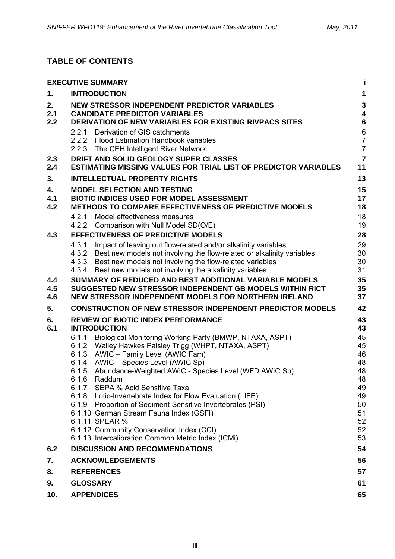# **TABLE OF CONTENTS**

|            | <b>EXECUTIVE SUMMARY</b>                                                                                                       | Ť                                     |
|------------|--------------------------------------------------------------------------------------------------------------------------------|---------------------------------------|
| 1.         | <b>INTRODUCTION</b>                                                                                                            | $\mathbf 1$                           |
| 2.         | NEW STRESSOR INDEPENDENT PREDICTOR VARIABLES                                                                                   | $\mathbf{3}$                          |
| 2.1<br>2.2 | <b>CANDIDATE PREDICTOR VARIABLES</b><br><b>DERIVATION OF NEW VARIABLES FOR EXISTING RIVPACS SITES</b>                          | $\overline{\mathbf{4}}$<br>$\bf 6$    |
|            | 2.2.1 Derivation of GIS catchments                                                                                             |                                       |
|            | 2.2.2 Flood Estimation Handbook variables                                                                                      | $\begin{array}{c} 6 \\ 7 \end{array}$ |
|            | 2.2.3 The CEH Intelligent River Network                                                                                        | $\overline{7}$                        |
| 2.3        | DRIFT AND SOLID GEOLOGY SUPER CLASSES                                                                                          | $\overline{7}$                        |
| 2.4        | <b>ESTIMATING MISSING VALUES FOR TRIAL LIST OF PREDICTOR VARIABLES</b>                                                         | 11                                    |
| 3.         | <b>INTELLECTUAL PROPERTY RIGHTS</b>                                                                                            | 13                                    |
| 4.         | <b>MODEL SELECTION AND TESTING</b>                                                                                             | 15                                    |
| 4.1<br>4.2 | <b>BIOTIC INDICES USED FOR MODEL ASSESSMENT</b><br><b>METHODS TO COMPARE EFFECTIVENESS OF PREDICTIVE MODELS</b>                | 17<br>18                              |
|            | 4.2.1 Model effectiveness measures                                                                                             | 18                                    |
|            | 4.2.2 Comparison with Null Model SD(O/E)                                                                                       | 19                                    |
| 4.3        | <b>EFFECTIVENESS OF PREDICTIVE MODELS</b>                                                                                      | 28                                    |
|            | 4.3.1 Impact of leaving out flow-related and/or alkalinity variables                                                           | 29                                    |
|            | 4.3.2 Best new models not involving the flow-related or alkalinity variables                                                   | 30                                    |
|            | 4.3.3 Best new models not involving the flow-related variables<br>4.3.4 Best new models not involving the alkalinity variables | 30<br>31                              |
| 4.4        | SUMMARY OF REDUCED AND BEST ADDITIONAL VARIABLE MODELS                                                                         | 35                                    |
| 4.5        | SUGGESTED NEW STRESSOR INDEPENDENT GB MODELS WITHIN RICT                                                                       | 35                                    |
| 4.6        | NEW STRESSOR INDEPENDENT MODELS FOR NORTHERN IRELAND                                                                           | 37                                    |
| 5.         | <b>CONSTRUCTION OF NEW STRESSOR INDEPENDENT PREDICTOR MODELS</b>                                                               | 42                                    |
| 6.         | <b>REVIEW OF BIOTIC INDEX PERFORMANCE</b>                                                                                      | 43                                    |
| 6.1        | <b>INTRODUCTION</b>                                                                                                            | 43                                    |
|            | 6.1.1 Biological Monitoring Working Party (BMWP, NTAXA, ASPT)<br>6.1.2 Walley Hawkes Paisley Trigg (WHPT, NTAXA, ASPT)         | 45<br>45                              |
|            | 6.1.3 AWIC - Family Level (AWIC Fam)                                                                                           | 46                                    |
|            | 6.1.4 AWIC - Species Level (AWIC Sp)                                                                                           | 48                                    |
|            | Abundance-Weighted AWIC - Species Level (WFD AWIC Sp)<br>6.1.5                                                                 | 48                                    |
|            | 6.1.6<br>Raddum<br>6.1.7 SEPA % Acid Sensitive Taxa                                                                            | 48<br>49                              |
|            | 6.1.8 Lotic-Invertebrate Index for Flow Evaluation (LIFE)                                                                      | 49                                    |
|            | 6.1.9 Proportion of Sediment-Sensitive Invertebrates (PSI)                                                                     | 50                                    |
|            | 6.1.10 German Stream Fauna Index (GSFI)                                                                                        | 51                                    |
|            | 6.1.11 SPEAR %                                                                                                                 | 52                                    |
|            | 6.1.12 Community Conservation Index (CCI)<br>6.1.13 Intercalibration Common Metric Index (ICMi)                                | 52<br>53                              |
| 6.2        | <b>DISCUSSION AND RECOMMENDATIONS</b>                                                                                          | 54                                    |
| 7.         | <b>ACKNOWLEDGEMENTS</b>                                                                                                        | 56                                    |
| 8.         | <b>REFERENCES</b>                                                                                                              | 57                                    |
| 9.         | <b>GLOSSARY</b>                                                                                                                | 61                                    |
| 10.        | <b>APPENDICES</b>                                                                                                              | 65                                    |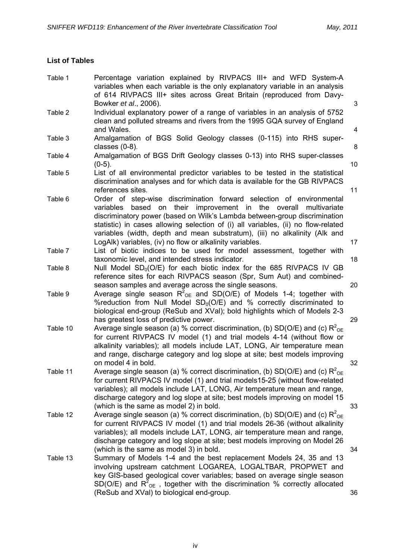## **List of Tables**

| Table 1  | Percentage variation explained by RIVPACS III+ and WFD System-A<br>variables when each variable is the only explanatory variable in an analysis<br>of 614 RIVPACS III+ sites across Great Britain (reproduced from Davy-                                                                                                                                                                                                                                |        |
|----------|---------------------------------------------------------------------------------------------------------------------------------------------------------------------------------------------------------------------------------------------------------------------------------------------------------------------------------------------------------------------------------------------------------------------------------------------------------|--------|
| Table 2  | Bowker et al., 2006).<br>Individual explanatory power of a range of variables in an analysis of 5752<br>clean and polluted streams and rivers from the 1995 GQA survey of England                                                                                                                                                                                                                                                                       | 3      |
| Table 3  | and Wales.<br>Amalgamation of BGS Solid Geology classes (0-115) into RHS super-<br>classes $(0-8)$ .                                                                                                                                                                                                                                                                                                                                                    | 4<br>8 |
| Table 4  | Amalgamation of BGS Drift Geology classes 0-13) into RHS super-classes<br>$(0-5)$ .                                                                                                                                                                                                                                                                                                                                                                     | 10     |
| Table 5  | List of all environmental predictor variables to be tested in the statistical<br>discrimination analyses and for which data is available for the GB RIVPACS<br>references sites.                                                                                                                                                                                                                                                                        | 11     |
| Table 6  | Order of step-wise discrimination forward selection of environmental<br>based on their improvement in the overall multivariate<br>variables<br>discriminatory power (based on Wilk's Lambda between-group discrimination<br>statistic) in cases allowing selection of (i) all variables, (ii) no flow-related<br>variables (width, depth and mean substratum), (iii) no alkalinity (Alk and<br>LogAlk) variables, (iv) no flow or alkalinity variables. | 17     |
| Table 7  | List of biotic indices to be used for model assessment, together with<br>taxonomic level, and intended stress indicator.                                                                                                                                                                                                                                                                                                                                | 18     |
| Table 8  | Null Model $SD_0(O/E)$ for each biotic index for the 685 RIVPACS IV GB<br>reference sites for each RIVPACS season (Spr, Sum Aut) and combined-<br>season samples and average across the single seasons.                                                                                                                                                                                                                                                 | 20     |
| Table 9  | Average single season $R^2_{\text{OE}}$ and SD(O/E) of Models 1-4; together with<br>% reduction from Null Model $SD0(O/E)$ and % correctly discriminated to<br>biological end-group (ReSub and XVal); bold highlights which of Models 2-3<br>has greatest loss of predictive power.                                                                                                                                                                     | 29     |
| Table 10 | Average single season (a) % correct discrimination, (b) SD(O/E) and (c) $R^2_{OE}$<br>for current RIVPACS IV model (1) and trial models 4-14 (without flow or<br>alkalinity variables); all models include LAT, LONG, Air temperature mean<br>and range, discharge category and log slope at site; best models improving<br>on model 4 in bold.                                                                                                         | 32     |
| Table 11 | Average single season (a) % correct discrimination, (b) SD(O/E) and (c) $R^2_{OE}$<br>for current RIVPACS IV model (1) and trial models15-25 (without flow-related<br>variables); all models include LAT, LONG, Air temperature mean and range,<br>discharge category and log slope at site; best models improving on model 15<br>(which is the same as model 2) in bold.                                                                               | 33     |
| Table 12 | Average single season (a) % correct discrimination, (b) SD(O/E) and (c) $R^2_{\text{OE}}$<br>for current RIVPACS IV model (1) and trial models 26-36 (without alkalinity<br>variables); all models include LAT, LONG, air temperature mean and range,<br>discharge category and log slope at site; best models improving on Model 26<br>(which is the same as model 3) in bold.                                                                         | 34     |
| Table 13 | Summary of Models 1-4 and the best replacement Models 24, 35 and 13<br>involving upstream catchment LOGAREA, LOGALTBAR, PROPWET and<br>key GIS-based geological cover variables; based on average single season<br>SD(O/E) and $R^2_{OE}$ , together with the discrimination % correctly allocated<br>(ReSub and XVal) to biological end-group.                                                                                                         | 36     |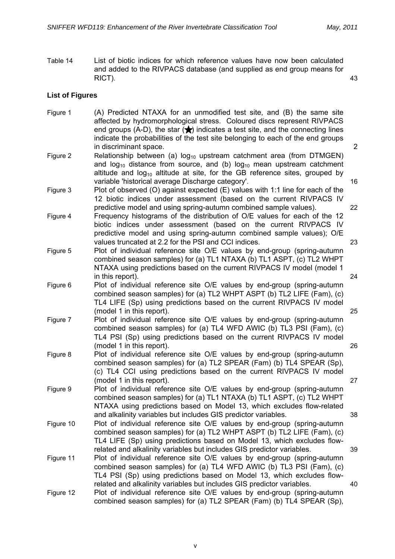Table 14 List of biotic indices for which reference values have now been calculated and added to the RIVPACS database (and supplied as end group means for RICT). 43

## **List of Figures**

Figure 1 (A) Predicted NTAXA for an unmodified test site, and (B) the same site affected by hydromorphological stress. Coloured discs represent RIVPACS end groups (A-D), the star  $\langle \bigstar \rangle$  indicates a test site, and the connecting lines indicate the probabilities of the test site belonging to each of the end groups in discriminant space. 2 Figure 2 Relationship between (a)  $log_{10}$  upstream catchment area (from DTMGEN) and  $log_{10}$  distance from source, and (b)  $log_{10}$  mean upstream catchment altitude and  $log_{10}$  altitude at site, for the GB reference sites, grouped by variable 'historical average Discharge category'. 16 Figure 3 Plot of observed (O) against expected (E) values with 1:1 line for each of the 12 biotic indices under assessment (based on the current RIVPACS IV predictive model and using spring-autumn combined sample values). 22 Figure 4 Frequency histograms of the distribution of O/E values for each of the 12 biotic indices under assessment (based on the current RIVPACS IV predictive model and using spring-autumn combined sample values); O/E values truncated at 2.2 for the PSI and CCI indices. 23 Figure 5 Plot of individual reference site O/E values by end-group (spring-autumn combined season samples) for (a) TL1 NTAXA (b) TL1 ASPT, (c) TL2 WHPT NTAXA using predictions based on the current RIVPACS IV model (model 1 in this report). 24 Figure 6 Plot of individual reference site O/E values by end-group (spring-autumn combined season samples) for (a) TL2 WHPT ASPT (b) TL2 LIFE (Fam), (c) TL4 LIFE (Sp) using predictions based on the current RIVPACS IV model (model 1 in this report). 25 Figure 7 Plot of individual reference site O/E values by end-group (spring-autumn combined season samples) for (a) TL4 WFD AWIC (b) TL3 PSI (Fam), (c) TL4 PSI (Sp) using predictions based on the current RIVPACS IV model (model 1 in this report). 26 Figure 8 Plot of individual reference site O/E values by end-group (spring-autumn combined season samples) for (a) TL2 SPEAR (Fam) (b) TL4 SPEAR (Sp), (c) TL4 CCI using predictions based on the current RIVPACS IV model (model 1 in this report). 27 Figure 9 Plot of individual reference site O/E values by end-group (spring-autumn combined season samples) for (a) TL1 NTAXA (b) TL1 ASPT, (c) TL2 WHPT NTAXA using predictions based on Model 13, which excludes flow-related and alkalinity variables but includes GIS predictor variables. 38 Figure 10 Plot of individual reference site O/E values by end-group (spring-autumn combined season samples) for (a) TL2 WHPT ASPT (b) TL2 LIFE (Fam), (c) TL4 LIFE (Sp) using predictions based on Model 13, which excludes flowrelated and alkalinity variables but includes GIS predictor variables. 39 Figure 11 Plot of individual reference site O/E values by end-group (spring-autumn combined season samples) for (a) TL4 WFD AWIC (b) TL3 PSI (Fam), (c) TL4 PSI (Sp) using predictions based on Model 13, which excludes flowrelated and alkalinity variables but includes GIS predictor variables. 40 Figure 12 Plot of individual reference site O/E values by end-group (spring-autumn combined season samples) for (a) TL2 SPEAR (Fam) (b) TL4 SPEAR (Sp),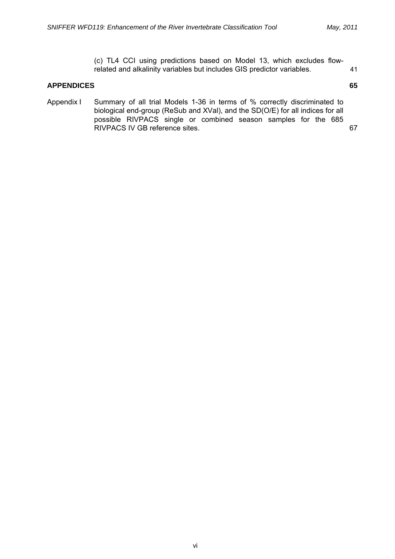(c) TL4 CCI using predictions based on Model 13, which excludes flowrelated and alkalinity variables but includes GIS predictor variables. 41

## **APPENDICES 65**

- 
- Appendix I Summary of all trial Models 1-36 in terms of % correctly discriminated to biological end-group (ReSub and XVal), and the SD(O/E) for all indices for all possible RIVPACS single or combined season samples for the 685 RIVPACS IV GB reference sites. 67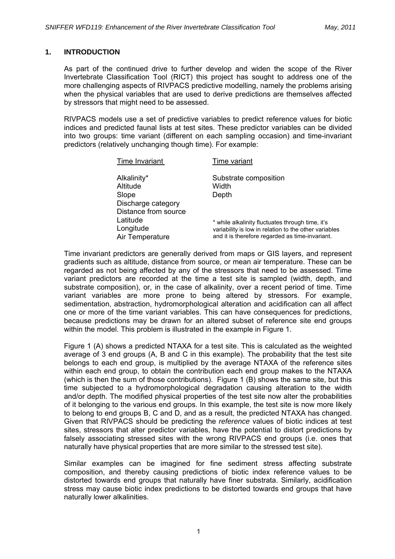## **1. INTRODUCTION**

As part of the continued drive to further develop and widen the scope of the River Invertebrate Classification Tool (RICT) this project has sought to address one of the more challenging aspects of RIVPACS predictive modelling, namely the problems arising when the physical variables that are used to derive predictions are themselves affected by stressors that might need to be assessed.

RIVPACS models use a set of predictive variables to predict reference values for biotic indices and predicted faunal lists at test sites. These predictor variables can be divided into two groups: time variant (different on each sampling occasion) and time-invariant predictors (relatively unchanging though time). For example:

| Time Invariant                             | Time variant                                          |
|--------------------------------------------|-------------------------------------------------------|
| Alkalinity*                                | Substrate composition                                 |
| Altitude                                   | Width                                                 |
| Slope                                      | Depth                                                 |
| Discharge category<br>Distance from source |                                                       |
| Latitude                                   | * while alkalinity fluctuates through time, it's      |
| Longitude                                  | variability is low in relation to the other variables |
| Air Temperature                            | and it is therefore regarded as time-invariant.       |

Time invariant predictors are generally derived from maps or GIS layers, and represent gradients such as altitude, distance from source, or mean air temperature. These can be regarded as not being affected by any of the stressors that need to be assessed. Time variant predictors are recorded at the time a test site is sampled (width, depth, and substrate composition), or, in the case of alkalinity, over a recent period of time. Time variant variables are more prone to being altered by stressors. For example, sedimentation, abstraction, hydromorphological alteration and acidification can all affect one or more of the time variant variables. This can have consequences for predictions, because predictions may be drawn for an altered subset of reference site end groups within the model. This problem is illustrated in the example in Figure 1.

Figure 1 (A) shows a predicted NTAXA for a test site. This is calculated as the weighted average of 3 end groups (A, B and C in this example). The probability that the test site belongs to each end group, is multiplied by the average NTAXA of the reference sites within each end group, to obtain the contribution each end group makes to the NTAXA (which is then the sum of those contributions). Figure 1 (B) shows the same site, but this time subjected to a hydromorphological degradation causing alteration to the width and/or depth. The modified physical properties of the test site now alter the probabilities of it belonging to the various end groups. In this example, the test site is now more likely to belong to end groups B, C and D, and as a result, the predicted NTAXA has changed. Given that RIVPACS should be predicting the *reference* values of biotic indices at test sites, stressors that alter predictor variables, have the potential to distort predictions by falsely associating stressed sites with the wrong RIVPACS end groups (i.e. ones that naturally have physical properties that are more similar to the stressed test site).

Similar examples can be imagined for fine sediment stress affecting substrate composition, and thereby causing predictions of biotic index reference values to be distorted towards end groups that naturally have finer substrata. Similarly, acidification stress may cause biotic index predictions to be distorted towards end groups that have naturally lower alkalinities.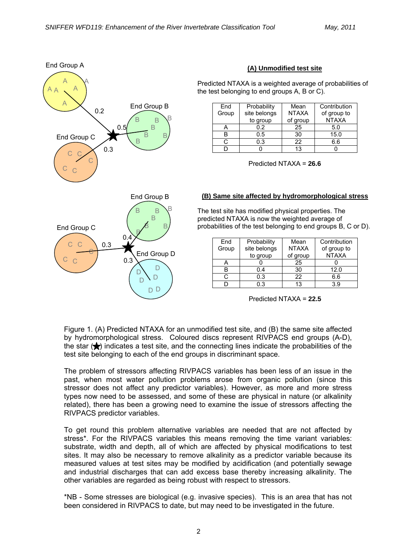

## **(A) Unmodified test site**

Predicted NTAXA is a weighted average of probabilities of the test belonging to end groups A, B or C).

| End   | Probability  | Mean         | Contribution |
|-------|--------------|--------------|--------------|
| Group | site belongs | <b>NTAXA</b> | of group to  |
|       | to group     | of group     | <b>NTAXA</b> |
|       | 0.2          | 25           | 5.0          |
|       | 0.5          | 30           | 15.0         |
|       | 0.3          | 22           | 6.6          |
|       |              | 13           |              |

Predicted NTAXA = **26.6**

#### **(B) Same site affected by hydromorphological stress**

The test site has modified physical properties. The predicted NTAXA is now the weighted average of probabilities of the test belonging to end groups B, C or D).

| End   | Probability  | Mean         | Contribution |
|-------|--------------|--------------|--------------|
| Group | site belongs | <b>NTAXA</b> | of group to  |
|       | to group     | of group     | <b>NTAXA</b> |
|       |              | 25           |              |
|       | 0.4          | 30           | 12.0         |
| r.    | 0.3          | 22           | 6.6          |
|       | ი ვ          | 13           | 3.9          |

Predicted NTAXA = **22.5**

Figure 1. (A) Predicted NTAXA for an unmodified test site, and (B) the same site affected by hydromorphological stress. Coloured discs represent RIVPACS end groups (A-D), the star  $(\bigstar)$  indicates a test site, and the connecting lines indicate the probabilities of the test site belonging to each of the end groups in discriminant space.

The problem of stressors affecting RIVPACS variables has been less of an issue in the past, when most water pollution problems arose from organic pollution (since this stressor does not affect any predictor variables). However, as more and more stress types now need to be assessed, and some of these are physical in nature (or alkalinity related), there has been a growing need to examine the issue of stressors affecting the RIVPACS predictor variables.

To get round this problem alternative variables are needed that are not affected by stress\*. For the RIVPACS variables this means removing the time variant variables: substrate, width and depth, all of which are affected by physical modifications to test sites. It may also be necessary to remove alkalinity as a predictor variable because its measured values at test sites may be modified by acidification (and potentially sewage and industrial discharges that can add excess base thereby increasing alkalinity. The other variables are regarded as being robust with respect to stressors.

\*NB - Some stresses are biological (e.g. invasive species). This is an area that has not been considered in RIVPACS to date, but may need to be investigated in the future.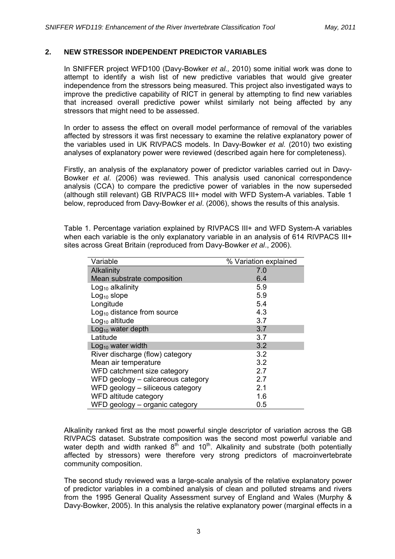## **2. NEW STRESSOR INDEPENDENT PREDICTOR VARIABLES**

In SNIFFER project WFD100 (Davy-Bowker *et al.,* 2010) some initial work was done to attempt to identify a wish list of new predictive variables that would give greater independence from the stressors being measured. This project also investigated ways to improve the predictive capability of RICT in general by attempting to find new variables that increased overall predictive power whilst similarly not being affected by any stressors that might need to be assessed.

In order to assess the effect on overall model performance of removal of the variables affected by stressors it was first necessary to examine the relative explanatory power of the variables used in UK RIVPACS models. In Davy-Bowker *et al.* (2010) two existing analyses of explanatory power were reviewed (described again here for completeness).

Firstly, an analysis of the explanatory power of predictor variables carried out in Davy-Bowker *et al*. (2006) was reviewed. This analysis used canonical correspondence analysis (CCA) to compare the predictive power of variables in the now superseded (although still relevant) GB RIVPACS III+ model with WFD System-A variables. Table 1 below, reproduced from Davy-Bowker *et al*. (2006), shows the results of this analysis.

Table 1. Percentage variation explained by RIVPACS III+ and WFD System-A variables when each variable is the only explanatory variable in an analysis of 614 RIVPACS III+ sites across Great Britain (reproduced from Davy-Bowker *et al*., 2006).

| Variable                          | % Variation explained |
|-----------------------------------|-----------------------|
| Alkalinity                        | 7.0                   |
| Mean substrate composition        | 6.4                   |
| $Log10$ alkalinity                | 5.9                   |
| Log <sub>10</sub> slope           | 5.9                   |
| Longitude                         | 5.4                   |
| $Log10$ distance from source      | 4.3                   |
| $Log10$ altitude                  | 3.7                   |
| $Log10$ water depth               | 3.7                   |
| Latitude                          | 3.7                   |
| $Log10$ water width               | 3.2                   |
| River discharge (flow) category   | 3.2                   |
| Mean air temperature              | 3.2                   |
| WFD catchment size category       | 2.7                   |
| WFD geology – calcareous category | 2.7                   |
| WFD geology - siliceous category  | 2.1                   |
| WFD altitude category             | 1.6                   |
| WFD geology - organic category    | 0.5                   |

Alkalinity ranked first as the most powerful single descriptor of variation across the GB RIVPACS dataset. Substrate composition was the second most powerful variable and water depth and width ranked  $8<sup>th</sup>$  and  $10<sup>th</sup>$ . Alkalinity and substrate (both potentially affected by stressors) were therefore very strong predictors of macroinvertebrate community composition.

The second study reviewed was a large-scale analysis of the relative explanatory power of predictor variables in a combined analysis of clean and polluted streams and rivers from the 1995 General Quality Assessment survey of England and Wales (Murphy & Davy-Bowker, 2005). In this analysis the relative explanatory power (marginal effects in a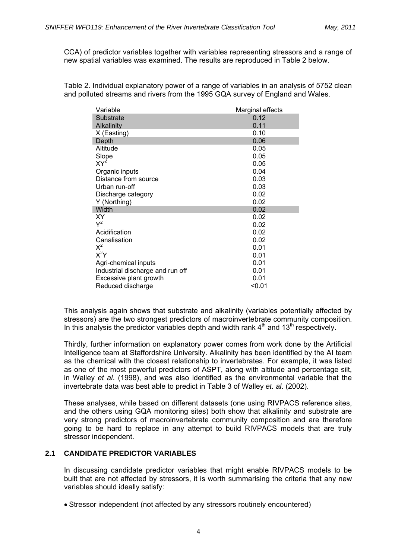CCA) of predictor variables together with variables representing stressors and a range of new spatial variables was examined. The results are reproduced in Table 2 below.

Table 2. Individual explanatory power of a range of variables in an analysis of 5752 clean and polluted streams and rivers from the 1995 GQA survey of England and Wales.

| Variable                         | Marginal effects |
|----------------------------------|------------------|
| Substrate                        | 0.12             |
| Alkalinity                       | 0.11             |
| $X$ (Easting)                    | 0.10             |
| Depth                            | 0.06             |
| Altitude                         | 0.05             |
| Slope                            | 0.05             |
| $XY^2$                           | 0.05             |
| Organic inputs                   | 0.04             |
| Distance from source             | 0.03             |
| Urban run-off                    | 0.03             |
| Discharge category               | 0.02             |
| Y (Northing)                     | 0.02             |
| Width                            | 0.02             |
| ΧY                               | 0.02             |
| $Y^2$                            | 0.02             |
| Acidification                    | 0.02             |
| Canalisation                     | 0.02             |
| $X^2$                            | 0.01             |
| $X^2Y$                           | 0.01             |
| Agri-chemical inputs             | 0.01             |
| Industrial discharge and run off | 0.01             |
| Excessive plant growth           | 0.01             |
| Reduced discharge                | $0.01$           |

This analysis again shows that substrate and alkalinity (variables potentially affected by stressors) are the two strongest predictors of macroinvertebrate community composition. In this analysis the predictor variables depth and width rank  $4<sup>th</sup>$  and  $13<sup>th</sup>$  respectively.

Thirdly, further information on explanatory power comes from work done by the Artificial Intelligence team at Staffordshire University. Alkalinity has been identified by the AI team as the chemical with the closest relationship to invertebrates. For example, it was listed as one of the most powerful predictors of ASPT, along with altitude and percentage silt, in Walley *et al*. (1998), and was also identified as the environmental variable that the invertebrate data was best able to predict in Table 3 of Walley *et. al*. (2002).

These analyses, while based on different datasets (one using RIVPACS reference sites, and the others using GQA monitoring sites) both show that alkalinity and substrate are very strong predictors of macroinvertebrate community composition and are therefore going to be hard to replace in any attempt to build RIVPACS models that are truly stressor independent.

#### **2.1 CANDIDATE PREDICTOR VARIABLES**

In discussing candidate predictor variables that might enable RIVPACS models to be built that are not affected by stressors, it is worth summarising the criteria that any new variables should ideally satisfy:

• Stressor independent (not affected by any stressors routinely encountered)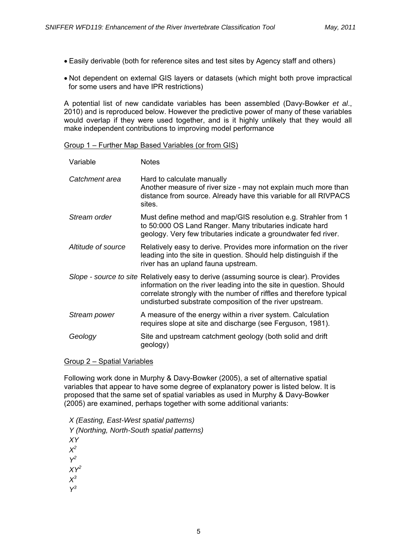- Easily derivable (both for reference sites and test sites by Agency staff and others)
- Not dependent on external GIS layers or datasets (which might both prove impractical for some users and have IPR restrictions)

A potential list of new candidate variables has been assembled (Davy-Bowker *et al*., 2010) and is reproduced below. However the predictive power of many of these variables would overlap if they were used together, and is it highly unlikely that they would all make independent contributions to improving model performance

#### Group 1 – Further Map Based Variables (or from GIS)

| Variable           | <b>Notes</b>                                                                                                                                                                                                                                                                                   |
|--------------------|------------------------------------------------------------------------------------------------------------------------------------------------------------------------------------------------------------------------------------------------------------------------------------------------|
| Catchment area     | Hard to calculate manually<br>Another measure of river size - may not explain much more than<br>distance from source. Already have this variable for all RIVPACS<br>sites.                                                                                                                     |
| Stream order       | Must define method and map/GIS resolution e.g. Strahler from 1<br>to 50:000 OS Land Ranger. Many tributaries indicate hard<br>geology. Very few tributaries indicate a groundwater fed river.                                                                                                  |
| Altitude of source | Relatively easy to derive. Provides more information on the river<br>leading into the site in question. Should help distinguish if the<br>river has an upland fauna upstream.                                                                                                                  |
|                    | Slope - source to site Relatively easy to derive (assuming source is clear). Provides<br>information on the river leading into the site in question. Should<br>correlate strongly with the number of riffles and therefore typical<br>undisturbed substrate composition of the river upstream. |
| Stream power       | A measure of the energy within a river system. Calculation<br>requires slope at site and discharge (see Ferguson, 1981).                                                                                                                                                                       |
| Geology            | Site and upstream catchment geology (both solid and drift<br>geology)                                                                                                                                                                                                                          |

#### Group 2 – Spatial Variables

Following work done in Murphy & Davy-Bowker (2005), a set of alternative spatial variables that appear to have some degree of explanatory power is listed below. It is proposed that the same set of spatial variables as used in Murphy & Davy-Bowker (2005) are examined, perhaps together with some additional variants:

*X (Easting, East-West spatial patterns) Y (Northing, North-South spatial patterns) XY X2 Y2 XY2 X3 Y3*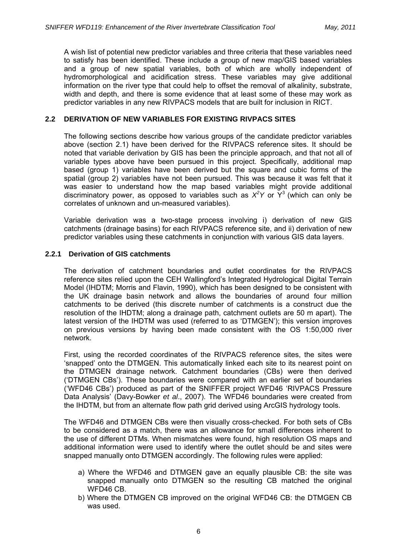A wish list of potential new predictor variables and three criteria that these variables need to satisfy has been identified. These include a group of new map/GIS based variables and a group of new spatial variables, both of which are wholly independent of hydromorphological and acidification stress. These variables may give additional information on the river type that could help to offset the removal of alkalinity, substrate, width and depth, and there is some evidence that at least some of these may work as predictor variables in any new RIVPACS models that are built for inclusion in RICT.

## **2.2 DERIVATION OF NEW VARIABLES FOR EXISTING RIVPACS SITES**

The following sections describe how various groups of the candidate predictor variables above (section 2.1) have been derived for the RIVPACS reference sites. It should be noted that variable derivation by GIS has been the principle approach, and that not all of variable types above have been pursued in this project. Specifically, additional map based (group 1) variables have been derived but the square and cubic forms of the spatial (group 2) variables have not been pursued. This was because it was felt that it was easier to understand how the map based variables might provide additional discriminatory power, as opposed to variables such as  $X^2$ Y or  $Y^3$  (which can only be correlates of unknown and un-measured variables).

Variable derivation was a two-stage process involving i) derivation of new GIS catchments (drainage basins) for each RIVPACS reference site, and ii) derivation of new predictor variables using these catchments in conjunction with various GIS data layers.

## **2.2.1 Derivation of GIS catchments**

The derivation of catchment boundaries and outlet coordinates for the RIVPACS reference sites relied upon the CEH Wallingford's Integrated Hydrological Digital Terrain Model (IHDTM; Morris and Flavin, 1990), which has been designed to be consistent with the UK drainage basin network and allows the boundaries of around four million catchments to be derived (this discrete number of catchments is a construct due the resolution of the IHDTM; along a drainage path, catchment outlets are 50 m apart). The latest version of the IHDTM was used (referred to as 'DTMGEN'); this version improves on previous versions by having been made consistent with the OS 1:50,000 river network.

First, using the recorded coordinates of the RIVPACS reference sites, the sites were 'snapped' onto the DTMGEN. This automatically linked each site to its nearest point on the DTMGEN drainage network. Catchment boundaries (CBs) were then derived ('DTMGEN CBs'). These boundaries were compared with an earlier set of boundaries ('WFD46 CBs') produced as part of the SNIFFER project WFD46 'RIVPACS Pressure Data Analysis' (Davy-Bowker *et al*., 2007). The WFD46 boundaries were created from the IHDTM, but from an alternate flow path grid derived using ArcGIS hydrology tools.

The WFD46 and DTMGEN CBs were then visually cross-checked. For both sets of CBs to be considered as a match, there was an allowance for small differences inherent to the use of different DTMs. When mismatches were found, high resolution OS maps and additional information were used to identify where the outlet should be and sites were snapped manually onto DTMGEN accordingly. The following rules were applied:

- a) Where the WFD46 and DTMGEN gave an equally plausible CB: the site was snapped manually onto DTMGEN so the resulting CB matched the original WFD46 CB.
- b) Where the DTMGEN CB improved on the original WFD46 CB: the DTMGEN CB was used.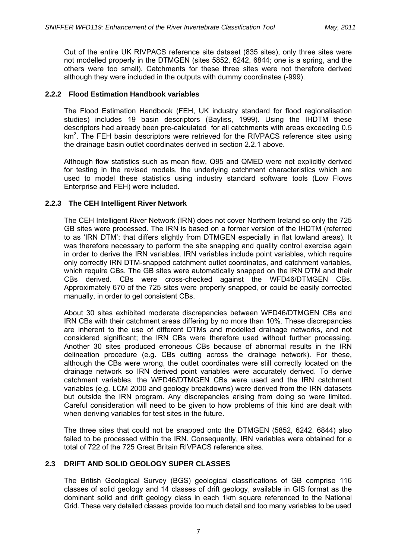Out of the entire UK RIVPACS reference site dataset (835 sites), only three sites were not modelled properly in the DTMGEN (sites 5852, 6242, 6844; one is a spring, and the others were too small). Catchments for these three sites were not therefore derived although they were included in the outputs with dummy coordinates (-999).

## **2.2.2 Flood Estimation Handbook variables**

The Flood Estimation Handbook (FEH, UK industry standard for flood regionalisation studies) includes 19 basin descriptors (Bayliss, 1999). Using the IHDTM these descriptors had already been pre-calculated for all catchments with areas exceeding 0.5 km<sup>2</sup>. The FEH basin descriptors were retrieved for the RIVPACS reference sites using the drainage basin outlet coordinates derived in section 2.2.1 above.

Although flow statistics such as mean flow, Q95 and QMED were not explicitly derived for testing in the revised models, the underlying catchment characteristics which are used to model these statistics using industry standard software tools (Low Flows Enterprise and FEH) were included.

## **2.2.3 The CEH Intelligent River Network**

The CEH Intelligent River Network (IRN) does not cover Northern Ireland so only the 725 GB sites were processed. The IRN is based on a former version of the IHDTM (referred to as 'IRN DTM'; that differs slightly from DTMGEN especially in flat lowland areas). It was therefore necessary to perform the site snapping and quality control exercise again in order to derive the IRN variables. IRN variables include point variables, which require only correctly IRN DTM-snapped catchment outlet coordinates, and catchment variables, which require CBs. The GB sites were automatically snapped on the IRN DTM and their CBs derived. CBs were cross-checked against the WFD46/DTMGEN CBs. Approximately 670 of the 725 sites were properly snapped, or could be easily corrected manually, in order to get consistent CBs.

About 30 sites exhibited moderate discrepancies between WFD46/DTMGEN CBs and IRN CBs with their catchment areas differing by no more than 10%. These discrepancies are inherent to the use of different DTMs and modelled drainage networks, and not considered significant; the IRN CBs were therefore used without further processing. Another 30 sites produced erroneous CBs because of abnormal results in the IRN delineation procedure (e.g. CBs cutting across the drainage network). For these, although the CBs were wrong, the outlet coordinates were still correctly located on the drainage network so IRN derived point variables were accurately derived. To derive catchment variables, the WFD46/DTMGEN CBs were used and the IRN catchment variables (e.g. LCM 2000 and geology breakdowns) were derived from the IRN datasets but outside the IRN program. Any discrepancies arising from doing so were limited. Careful consideration will need to be given to how problems of this kind are dealt with when deriving variables for test sites in the future.

The three sites that could not be snapped onto the DTMGEN (5852, 6242, 6844) also failed to be processed within the IRN. Consequently, IRN variables were obtained for a total of 722 of the 725 Great Britain RIVPACS reference sites.

## **2.3 DRIFT AND SOLID GEOLOGY SUPER CLASSES**

The British Geological Survey (BGS) geological classifications of GB comprise 116 classes of solid geology and 14 classes of drift geology, available in GIS format as the dominant solid and drift geology class in each 1km square referenced to the National Grid. These very detailed classes provide too much detail and too many variables to be used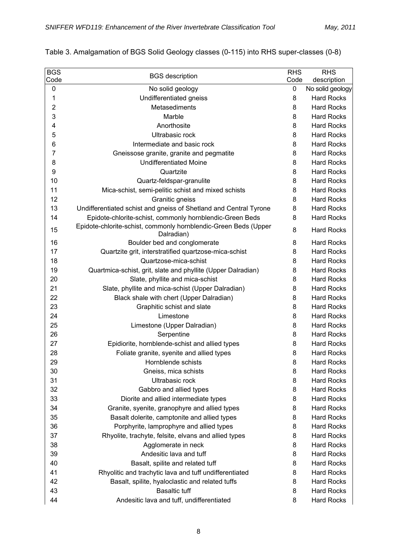| <b>BGS</b>     | <b>BGS</b> description                                                        | <b>RHS</b> | <b>RHS</b>        |
|----------------|-------------------------------------------------------------------------------|------------|-------------------|
| Code           |                                                                               | Code       | description       |
| 0              | No solid geology                                                              | 0          | No solid geology  |
| 1              | Undifferentiated gneiss                                                       | 8          | <b>Hard Rocks</b> |
| $\overline{2}$ | Metasediments                                                                 | 8          | <b>Hard Rocks</b> |
| 3              | Marble                                                                        | 8          | <b>Hard Rocks</b> |
| 4              | Anorthosite                                                                   | 8          | <b>Hard Rocks</b> |
| 5              | Ultrabasic rock                                                               | 8          | <b>Hard Rocks</b> |
| 6              | Intermediate and basic rock                                                   | 8          | <b>Hard Rocks</b> |
| $\overline{7}$ | Gneissose granite, granite and pegmatite                                      | 8          | <b>Hard Rocks</b> |
| 8              | <b>Undifferentiated Moine</b>                                                 | 8          | <b>Hard Rocks</b> |
| 9              | Quartzite                                                                     | 8          | <b>Hard Rocks</b> |
| 10             | Quartz-feldspar-granulite                                                     | 8          | <b>Hard Rocks</b> |
| 11             | Mica-schist, semi-pelitic schist and mixed schists                            | 8          | <b>Hard Rocks</b> |
| 12             | Granitic gneiss                                                               | 8          | <b>Hard Rocks</b> |
| 13             | Undifferentiated schist and gneiss of Shetland and Central Tyrone             | 8          | <b>Hard Rocks</b> |
| 14             | Epidote-chlorite-schist, commonly hornblendic-Green Beds                      | 8          | <b>Hard Rocks</b> |
| 15             | Epidote-chlorite-schist, commonly hornblendic-Green Beds (Upper<br>Dalradian) | 8          | <b>Hard Rocks</b> |
| 16             | Boulder bed and conglomerate                                                  | 8          | <b>Hard Rocks</b> |
| 17             | Quartzite grit, interstratified quartzose-mica-schist                         | 8          | <b>Hard Rocks</b> |
| 18             | Quartzose-mica-schist                                                         | 8          | <b>Hard Rocks</b> |
| 19             | Quartmica-schist, grit, slate and phyllite (Upper Dalradian)                  | 8          | <b>Hard Rocks</b> |
| 20             | Slate, phyllite and mica-schist                                               | 8          | <b>Hard Rocks</b> |
| 21             | Slate, phyllite and mica-schist (Upper Dalradian)                             | 8          | <b>Hard Rocks</b> |
| 22             | Black shale with chert (Upper Dalradian)                                      | 8          | <b>Hard Rocks</b> |
| 23             | Graphitic schist and slate                                                    | 8          | <b>Hard Rocks</b> |
| 24             | Limestone                                                                     | 8          | <b>Hard Rocks</b> |
| 25             | Limestone (Upper Dalradian)                                                   | 8          | <b>Hard Rocks</b> |
| 26             | Serpentine                                                                    | 8          | <b>Hard Rocks</b> |
| 27             | Epidiorite, hornblende-schist and allied types                                | 8          | <b>Hard Rocks</b> |
| 28             | Foliate granite, syenite and allied types                                     | 8          | <b>Hard Rocks</b> |
| 29             | Hornblende schists                                                            | 8          | <b>Hard Rocks</b> |
| 30             | Gneiss, mica schists                                                          | 8          | <b>Hard Rocks</b> |
| 31             | Ultrabasic rock                                                               | 8          | <b>Hard Rocks</b> |
| 32             | Gabbro and allied types                                                       | 8          | <b>Hard Rocks</b> |
| 33             | Diorite and allied intermediate types                                         | 8          | <b>Hard Rocks</b> |
| 34             | Granite, syenite, granophyre and allied types                                 | 8          | <b>Hard Rocks</b> |
| 35             | Basalt dolerite, camptonite and allied types                                  | 8          | <b>Hard Rocks</b> |
| 36             | Porphyrite, lamprophyre and allied types                                      | 8          | <b>Hard Rocks</b> |
| 37             | Rhyolite, trachyte, felsite, elvans and allied types                          | 8          | <b>Hard Rocks</b> |
| 38             | Agglomerate in neck                                                           | 8          | <b>Hard Rocks</b> |
| 39             | Andesitic lava and tuff                                                       | 8          | <b>Hard Rocks</b> |
| 40             | Basalt, spilite and related tuff                                              | 8          | <b>Hard Rocks</b> |
| 41             | Rhyolitic and trachytic lava and tuff undifferentiated                        | 8          | <b>Hard Rocks</b> |
| 42             | Basalt, spilite, hyaloclastic and related tuffs                               | 8          | <b>Hard Rocks</b> |
| 43             | <b>Basaltic tuff</b>                                                          | 8          | <b>Hard Rocks</b> |
| 44             | Andesitic lava and tuff, undifferentiated                                     | 8          | <b>Hard Rocks</b> |

# Table 3. Amalgamation of BGS Solid Geology classes (0-115) into RHS super-classes (0-8)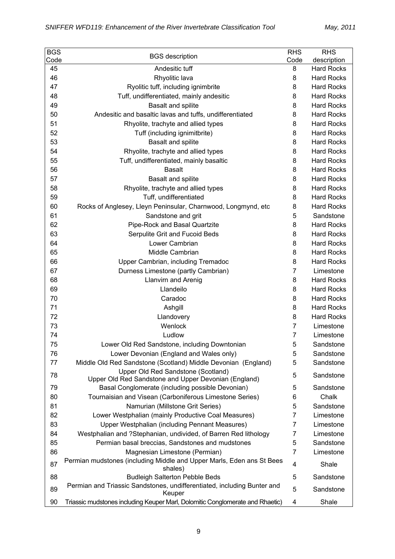| <b>BGS</b> | <b>BGS</b> description                                                            | <b>RHS</b>     | <b>RHS</b>        |
|------------|-----------------------------------------------------------------------------------|----------------|-------------------|
| Code       |                                                                                   | Code           | description       |
| 45         | Andesitic tuff                                                                    | 8              | <b>Hard Rocks</b> |
| 46         | Rhyolitic lava                                                                    | 8              | <b>Hard Rocks</b> |
| 47         | Ryolitic tuff, including ignimbrite                                               | 8              | <b>Hard Rocks</b> |
| 48         | Tuff, undifferentiated, mainly andesitic                                          | 8              | <b>Hard Rocks</b> |
| 49         | Basalt and spilite                                                                | 8              | <b>Hard Rocks</b> |
| 50         | Andesitic and basaltic lavas and tuffs, undifferentiated                          | 8              | <b>Hard Rocks</b> |
| 51         | Rhyolite, trachyte and allied types                                               | 8              | <b>Hard Rocks</b> |
| 52         | Tuff (including ignimitbrite)                                                     | 8              | <b>Hard Rocks</b> |
| 53         | Basalt and spilite                                                                | 8              | <b>Hard Rocks</b> |
| 54         | Rhyolite, trachyte and allied types                                               | 8              | <b>Hard Rocks</b> |
| 55         | Tuff, undifferentiated, mainly basaltic                                           | 8              | <b>Hard Rocks</b> |
| 56         | <b>Basalt</b>                                                                     | 8              | <b>Hard Rocks</b> |
| 57         | <b>Basalt and spilite</b>                                                         | 8              | <b>Hard Rocks</b> |
| 58         | Rhyolite, trachyte and allied types                                               | 8              | <b>Hard Rocks</b> |
| 59         | Tuff, undifferentiated                                                            | 8              | <b>Hard Rocks</b> |
| 60         | Rocks of Anglesey, Lleyn Peninsular, Charnwood, Longmynd, etc                     | 8              | <b>Hard Rocks</b> |
| 61         | Sandstone and grit                                                                | 5              | Sandstone         |
| 62         | Pipe-Rock and Basal Quartzite                                                     | 8              | <b>Hard Rocks</b> |
| 63         | Serpulite Grit and Fucoid Beds                                                    | 8              | <b>Hard Rocks</b> |
| 64         | Lower Cambrian                                                                    | 8              | <b>Hard Rocks</b> |
| 65         | Middle Cambrian                                                                   | 8              | <b>Hard Rocks</b> |
| 66         | Upper Cambrian, including Tremadoc                                                | 8              | <b>Hard Rocks</b> |
| 67         | Durness Limestone (partly Cambrian)                                               | $\overline{7}$ | Limestone         |
| 68         | <b>Llanvirn and Arenig</b>                                                        | 8              | <b>Hard Rocks</b> |
| 69         | Llandeilo                                                                         | 8              | <b>Hard Rocks</b> |
| 70         | Caradoc                                                                           | 8              | <b>Hard Rocks</b> |
| 71         | Ashgill                                                                           | 8              | <b>Hard Rocks</b> |
| 72         | Llandovery                                                                        | 8              | <b>Hard Rocks</b> |
| 73         | Wenlock                                                                           | 7              | Limestone         |
| 74         | Ludlow                                                                            | 7              | Limestone         |
| 75         | Lower Old Red Sandstone, including Downtonian                                     | 5              | Sandstone         |
| 76         | Lower Devonian (England and Wales only)                                           | 5              | Sandstone         |
| 77         | Middle Old Red Sandstone (Scotland) Middle Devonian (England)                     | 5              | Sandstone         |
| 78         | Upper Old Red Sandstone (Scotland)                                                | 5              | Sandstone         |
|            | Upper Old Red Sandstone and Upper Devonian (England)                              |                |                   |
| 79         | Basal Conglomerate (including possible Devonian)                                  | 5              | Sandstone         |
| 80         | Tournaisian and Visean (Carboniferous Limestone Series)                           | 6              | Chalk             |
| 81         | Namurian (Millstone Grit Series)                                                  | 5              | Sandstone         |
| 82         | Lower Westphalian (mainly Productive Coal Measures)                               | 7              | Limestone         |
| 83         | Upper Westphalian (including Pennant Measures)                                    | 7              | Limestone         |
| 84         | Westphalian and ?Stephanian, undivided, of Barren Red lithology                   | 7              | Limestone         |
| 85         | Permian basal breccias, Sandstones and mudstones                                  | 5              | Sandstone         |
| 86         | Magnesian Limestone (Permian)                                                     | $\overline{7}$ | Limestone         |
| 87         | Permian mudstones (including Middle and Upper Marls, Eden ans St Bees<br>shales)  | 4              | Shale             |
| 88         | <b>Budleigh Salterton Pebble Beds</b>                                             | 5              | Sandstone         |
| 89         | Permian and Triassic Sandstones, undifferentiated, including Bunter and<br>Keuper | 5              | Sandstone         |
| 90         | Triassic mudstones including Keuper Marl, Dolomitic Conglomerate and Rhaetic)     | 4              | Shale             |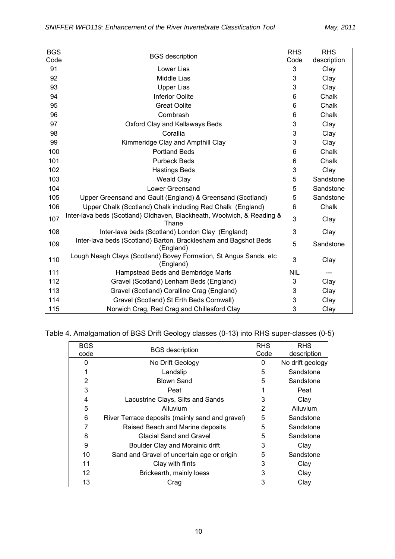| <b>BGS</b> | <b>BGS</b> description                                                          | <b>RHS</b> | <b>RHS</b>  |
|------------|---------------------------------------------------------------------------------|------------|-------------|
| Code       |                                                                                 | Code       | description |
| 91         | Lower Lias                                                                      | 3          | Clay        |
| 92         | Middle Lias                                                                     | 3          | Clay        |
| 93         | <b>Upper Lias</b>                                                               | 3          | Clay        |
| 94         | <b>Inferior Oolite</b>                                                          | 6          | Chalk       |
| 95         | <b>Great Oolite</b>                                                             | 6          | Chalk       |
| 96         | Cornbrash                                                                       | 6          | Chalk       |
| 97         | Oxford Clay and Kellaways Beds                                                  | 3          | Clay        |
| 98         | Corallia                                                                        | 3          | Clay        |
| 99         | Kimmeridge Clay and Ampthill Clay                                               | 3          | Clay        |
| 100        | <b>Portland Beds</b>                                                            | 6          | Chalk       |
| 101        | <b>Purbeck Beds</b>                                                             | 6          | Chalk       |
| 102        | <b>Hastings Beds</b>                                                            | 3          | Clay        |
| 103        | <b>Weald Clay</b>                                                               | 5          | Sandstone   |
| 104        | <b>Lower Greensand</b>                                                          | 5          | Sandstone   |
| 105        | Upper Greensand and Gault (England) & Greensand (Scotland)                      | 5          | Sandstone   |
| 106        | Upper Chalk (Scotland) Chalk including Red Chalk (England)                      | 6          | Chalk       |
| 107        | Inter-lava beds (Scotland) Oldhaven, Blackheath, Woolwich, & Reading &<br>Thane | 3          | Clay        |
| 108        | Inter-lava beds (Scotland) London Clay (England)                                | 3          | Clay        |
| 109        | Inter-lava beds (Scotland) Barton, Bracklesham and Bagshot Beds<br>(England)    | 5          | Sandstone   |
| 110        | Lough Neagh Clays (Scotland) Bovey Formation, St Angus Sands, etc<br>(England)  | 3          | Clay        |
| 111        | Hampstead Beds and Bembridge Marls                                              | <b>NIL</b> |             |
| 112        | Gravel (Scotland) Lenham Beds (England)                                         | 3          | Clay        |
| 113        | Gravel (Scotland) Coralline Crag (England)                                      | 3          | Clay        |
| 114        | Gravel (Scotland) St Erth Beds Cornwall)                                        | 3          | Clay        |
| 115        | Norwich Crag, Red Crag and Chillesford Clay                                     | 3          | Clay        |

Table 4. Amalgamation of BGS Drift Geology classes (0-13) into RHS super-classes (0-5)

| <b>BGS</b> | <b>BGS</b> description                          |   | <b>RHS</b>       |
|------------|-------------------------------------------------|---|------------------|
| code       |                                                 |   | description      |
| 0          | No Drift Geology                                | 0 | No drift geology |
|            | Landslip                                        | 5 | Sandstone        |
| 2          | <b>Blown Sand</b>                               | 5 | Sandstone        |
| 3          | Peat                                            |   | Peat             |
| 4          | Lacustrine Clays, Silts and Sands               | 3 | Clay             |
| 5          | Alluvium                                        | 2 | Alluvium         |
| 6          | River Terrace deposits (mainly sand and gravel) | 5 | Sandstone        |
|            | Raised Beach and Marine deposits                | 5 | Sandstone        |
| 8          | Glacial Sand and Gravel                         | 5 | Sandstone        |
| 9          | Boulder Clay and Morainic drift                 | 3 | Clay             |
| 10         | Sand and Gravel of uncertain age or origin      | 5 | Sandstone        |
| 11         | Clay with flints                                | 3 | Clay             |
| 12         | Brickearth, mainly loess                        | 3 | Clay             |
| 13         | Crag                                            | 3 | Clay             |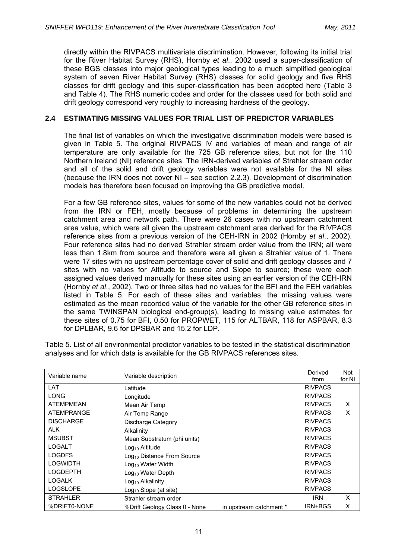directly within the RIVPACS multivariate discrimination. However, following its initial trial for the River Habitat Survey (RHS), Hornby *et al*., 2002 used a super-classification of these BGS classes into major geological types leading to a much simplified geological system of seven River Habitat Survey (RHS) classes for solid geology and five RHS classes for drift geology and this super-classification has been adopted here (Table 3 and Table 4). The RHS numeric codes and order for the classes used for both solid and drift geology correspond very roughly to increasing hardness of the geology.

## **2.4 ESTIMATING MISSING VALUES FOR TRIAL LIST OF PREDICTOR VARIABLES**

The final list of variables on which the investigative discrimination models were based is given in Table 5. The original RIVPACS IV and variables of mean and range of air temperature are only available for the 725 GB reference sites, but not for the 110 Northern Ireland (NI) reference sites. The IRN-derived variables of Strahler stream order and all of the solid and drift geology variables were not available for the NI sites (because the IRN does not cover NI – see section 2.2.3). Development of discrimination models has therefore been focused on improving the GB predictive model.

For a few GB reference sites, values for some of the new variables could not be derived from the IRN or FEH, mostly because of problems in determining the upstream catchment area and network path. There were 26 cases with no upstream catchment area value, which were all given the upstream catchment area derived for the RIVPACS reference sites from a previous version of the CEH-IRN in 2002 (Hornby *et al*., 2002). Four reference sites had no derived Strahler stream order value from the IRN; all were less than 1.8km from source and therefore were all given a Strahler value of 1. There were 17 sites with no upstream percentage cover of solid and drift geology classes and 7 sites with no values for Altitude to source and Slope to source; these were each assigned values derived manually for these sites using an earlier version of the CEH-IRN (Hornby *et al*., 2002). Two or three sites had no values for the BFI and the FEH variables listed in Table 5. For each of these sites and variables, the missing values were estimated as the mean recorded value of the variable for the other GB reference sites in the same TWINSPAN biological end-group(s), leading to missing value estimates for these sites of 0.75 for BFI, 0.50 for PROPWET, 115 for ALTBAR, 118 for ASPBAR, 8.3 for DPLBAR, 9.6 for DPSBAR and 15.2 for LDP.

Table 5. List of all environmental predictor variables to be tested in the statistical discrimination analyses and for which data is available for the GB RIVPACS references sites.

| Variable name     | Variable description                   |                         | Derived        | Not    |
|-------------------|----------------------------------------|-------------------------|----------------|--------|
|                   |                                        |                         | from           | for NI |
| LAT               | Latitude                               |                         | <b>RIVPACS</b> |        |
| LONG              | Longitude                              |                         | <b>RIVPACS</b> |        |
| <b>ATEMPMEAN</b>  | Mean Air Temp                          |                         | <b>RIVPACS</b> | X      |
| <b>ATEMPRANGE</b> | Air Temp Range                         |                         | <b>RIVPACS</b> | X      |
| <b>DISCHARGE</b>  | Discharge Category                     |                         | <b>RIVPACS</b> |        |
| <b>ALK</b>        | Alkalinity                             |                         | <b>RIVPACS</b> |        |
| <b>MSUBST</b>     | Mean Substratum (phi units)            |                         | <b>RIVPACS</b> |        |
| LOGALT            | $Log10$ Altitude                       |                         | <b>RIVPACS</b> |        |
| <b>LOGDFS</b>     | Log <sub>10</sub> Distance From Source |                         | <b>RIVPACS</b> |        |
| <b>LOGWIDTH</b>   | Log <sub>10</sub> Water Width          |                         | <b>RIVPACS</b> |        |
| <b>LOGDEPTH</b>   | Log <sub>10</sub> Water Depth          |                         | <b>RIVPACS</b> |        |
| <b>LOGALK</b>     | Log <sub>10</sub> Alkalinity           |                         | <b>RIVPACS</b> |        |
| <b>LOGSLOPE</b>   | $Log_{10}$ Slope (at site)             |                         | <b>RIVPACS</b> |        |
| <b>STRAHLER</b>   | Strahler stream order                  |                         | <b>IRN</b>     | X      |
| %DRIFT0-NONE      | %Drift Geology Class 0 - None          | in upstream catchment * | IRN+BGS        | X      |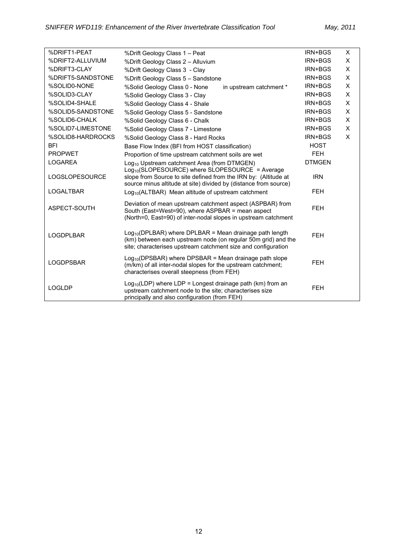| %DRIFT1-PEAT          | %Drift Geology Class 1 - Peat                                                                                                                                                              | IRN+BGS       | X |
|-----------------------|--------------------------------------------------------------------------------------------------------------------------------------------------------------------------------------------|---------------|---|
| %DRIFT2-ALLUVIUM      | %Drift Geology Class 2 - Alluvium                                                                                                                                                          | IRN+BGS       | Χ |
| %DRIFT3-CLAY          | %Drift Geology Class 3 - Clay                                                                                                                                                              | IRN+BGS       | X |
| %DRIFT5-SANDSTONE     | %Drift Geology Class 5 - Sandstone                                                                                                                                                         | IRN+BGS       | X |
| %SOLID0-NONE          | %Solid Geology Class 0 - None<br>in upstream catchment *                                                                                                                                   | IRN+BGS       | X |
| %SOLID3-CLAY          | %Solid Geology Class 3 - Clay                                                                                                                                                              | IRN+BGS       | X |
| %SOLID4-SHALE         | %Solid Geology Class 4 - Shale                                                                                                                                                             | IRN+BGS       | X |
| %SOLID5-SANDSTONE     | %Solid Geology Class 5 - Sandstone                                                                                                                                                         | IRN+BGS       | X |
| %SOLID6-CHALK         | %Solid Geology Class 6 - Chalk                                                                                                                                                             | IRN+BGS       | Χ |
| %SOLID7-LIMESTONE     | %Solid Geology Class 7 - Limestone                                                                                                                                                         | IRN+BGS       | X |
| %SOLID8-HARDROCKS     | %Solid Geology Class 8 - Hard Rocks                                                                                                                                                        | IRN+BGS       | X |
| <b>BFI</b>            | Base Flow Index (BFI from HOST classification)                                                                                                                                             | <b>HOST</b>   |   |
| <b>PROPWET</b>        | Proportion of time upstream catchment soils are wet                                                                                                                                        | <b>FEH</b>    |   |
| <b>LOGAREA</b>        | Log <sub>10</sub> Upstream catchment Area (from DTMGEN)<br>Log <sub>10</sub> (SLOPESOURCE) where SLOPESOURCE = Average                                                                     | <b>DTMGEN</b> |   |
| <b>LOGSLOPESOURCE</b> | <b>IRN</b>                                                                                                                                                                                 |               |   |
|                       | slope from Source to site defined from the IRN by: (Altitude at<br>source minus altitude at site) divided by (distance from source)                                                        |               |   |
| <b>LOGALTBAR</b>      | Log <sub>10</sub> (ALTBAR) Mean altitude of upstream catchment                                                                                                                             | <b>FEH</b>    |   |
| ASPECT-SOUTH          | Deviation of mean upstream catchment aspect (ASPBAR) from<br>South (East=West=90), where ASPBAR = mean aspect<br>(North=0, East=90) of inter-nodal slopes in upstream catchment            | <b>FEH</b>    |   |
| <b>LOGDPLBAR</b>      | $Log10(DPLBAR)$ where DPLBAR = Mean drainage path length<br>(km) between each upstream node (on regular 50m grid) and the<br>site; characterises upstream catchment size and configuration | <b>FEH</b>    |   |
| <b>LOGDPSBAR</b>      | $Log10(DPSBAR)$ where DPSBAR = Mean drainage path slope<br>(m/km) of all inter-nodal slopes for the upstream catchment;<br>characterises overall steepness (from FEH)                      | <b>FEH</b>    |   |
| <b>LOGLDP</b>         | $Log_{10}(LDP)$ where $LDP = Longest$ drainage path (km) from an<br>upstream catchment node to the site; characterises size<br>principally and also configuration (from FEH)               | <b>FEH</b>    |   |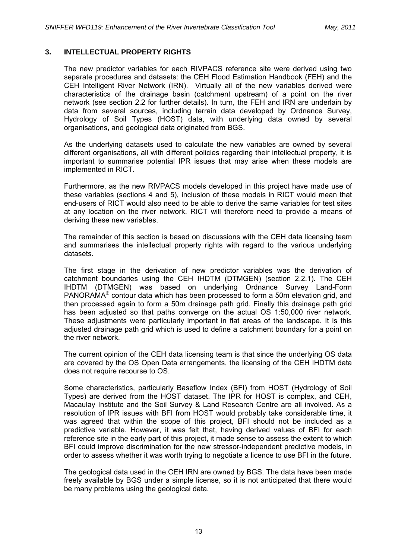## **3. INTELLECTUAL PROPERTY RIGHTS**

The new predictor variables for each RIVPACS reference site were derived using two separate procedures and datasets: the CEH Flood Estimation Handbook (FEH) and the CEH Intelligent River Network (IRN). Virtually all of the new variables derived were characteristics of the drainage basin (catchment upstream) of a point on the river network (see section 2.2 for further details). In turn, the FEH and IRN are underlain by data from several sources, including terrain data developed by Ordnance Survey, Hydrology of Soil Types (HOST) data, with underlying data owned by several organisations, and geological data originated from BGS.

As the underlying datasets used to calculate the new variables are owned by several different organisations, all with different policies regarding their intellectual property, it is important to summarise potential IPR issues that may arise when these models are implemented in RICT.

Furthermore, as the new RIVPACS models developed in this project have made use of these variables (sections 4 and 5), inclusion of these models in RICT would mean that end-users of RICT would also need to be able to derive the same variables for test sites at any location on the river network. RICT will therefore need to provide a means of deriving these new variables.

The remainder of this section is based on discussions with the CEH data licensing team and summarises the intellectual property rights with regard to the various underlying datasets.

The first stage in the derivation of new predictor variables was the derivation of catchment boundaries using the CEH IHDTM (DTMGEN) (section 2.2.1). The CEH IHDTM (DTMGEN) was based on underlying Ordnance Survey Land-Form PANORAMA® contour data which has been processed to form a 50m elevation grid, and then processed again to form a 50m drainage path grid. Finally this drainage path grid has been adjusted so that paths converge on the actual OS 1:50,000 river network. These adjustments were particularly important in flat areas of the landscape. It is this adjusted drainage path grid which is used to define a catchment boundary for a point on the river network.

The current opinion of the CEH data licensing team is that since the underlying OS data are covered by the OS Open Data arrangements, the licensing of the CEH IHDTM data does not require recourse to OS.

Some characteristics, particularly Baseflow Index (BFI) from HOST (Hydrology of Soil Types) are derived from the HOST dataset. The IPR for HOST is complex, and CEH, Macaulay Institute and the Soil Survey & Land Research Centre are all involved. As a resolution of IPR issues with BFI from HOST would probably take considerable time, it was agreed that within the scope of this project, BFI should not be included as a predictive variable. However, it was felt that, having derived values of BFI for each reference site in the early part of this project, it made sense to assess the extent to which BFI could improve discrimination for the new stressor-independent predictive models, in order to assess whether it was worth trying to negotiate a licence to use BFI in the future.

The geological data used in the CEH IRN are owned by BGS. The data have been made freely available by BGS under a simple license, so it is not anticipated that there would be many problems using the geological data.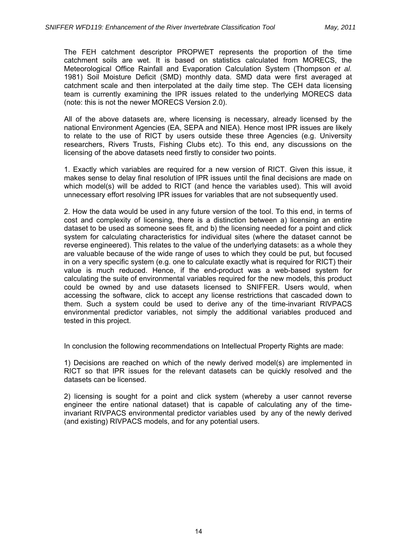The FEH catchment descriptor PROPWET represents the proportion of the time catchment soils are wet. It is based on statistics calculated from MORECS, the Meteorological Office Rainfall and Evaporation Calculation System (Thompson *et al.*  1981) Soil Moisture Deficit (SMD) monthly data. SMD data were first averaged at catchment scale and then interpolated at the daily time step. The CEH data licensing team is currently examining the IPR issues related to the underlying MORECS data (note: this is not the newer MORECS Version 2.0).

All of the above datasets are, where licensing is necessary, already licensed by the national Environment Agencies (EA, SEPA and NIEA). Hence most IPR issues are likely to relate to the use of RICT by users outside these three Agencies (e.g. University researchers, Rivers Trusts, Fishing Clubs etc). To this end, any discussions on the licensing of the above datasets need firstly to consider two points.

1. Exactly which variables are required for a new version of RICT. Given this issue, it makes sense to delay final resolution of IPR issues until the final decisions are made on which model(s) will be added to RICT (and hence the variables used). This will avoid unnecessary effort resolving IPR issues for variables that are not subsequently used.

2. How the data would be used in any future version of the tool. To this end, in terms of cost and complexity of licensing, there is a distinction between a) licensing an entire dataset to be used as someone sees fit, and b) the licensing needed for a point and click system for calculating characteristics for individual sites (where the dataset cannot be reverse engineered). This relates to the value of the underlying datasets: as a whole they are valuable because of the wide range of uses to which they could be put, but focused in on a very specific system (e.g. one to calculate exactly what is required for RICT) their value is much reduced. Hence, if the end-product was a web-based system for calculating the suite of environmental variables required for the new models, this product could be owned by and use datasets licensed to SNIFFER. Users would, when accessing the software, click to accept any license restrictions that cascaded down to them. Such a system could be used to derive any of the time-invariant RIVPACS environmental predictor variables, not simply the additional variables produced and tested in this project.

In conclusion the following recommendations on Intellectual Property Rights are made:

1) Decisions are reached on which of the newly derived model(s) are implemented in RICT so that IPR issues for the relevant datasets can be quickly resolved and the datasets can be licensed.

2) licensing is sought for a point and click system (whereby a user cannot reverse engineer the entire national dataset) that is capable of calculating any of the timeinvariant RIVPACS environmental predictor variables used by any of the newly derived (and existing) RIVPACS models, and for any potential users.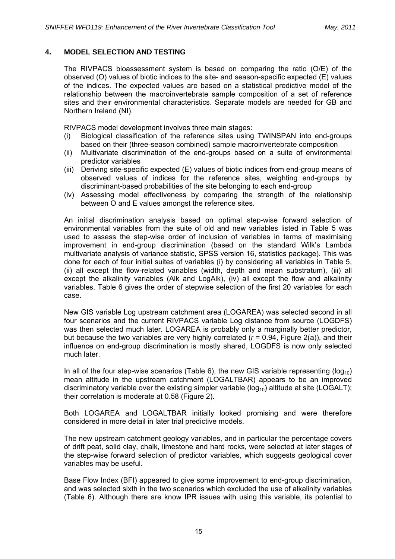## **4. MODEL SELECTION AND TESTING**

The RIVPACS bioassessment system is based on comparing the ratio (O/E) of the observed (O) values of biotic indices to the site- and season-specific expected (E) values of the indices. The expected values are based on a statistical predictive model of the relationship between the macroinvertebrate sample composition of a set of reference sites and their environmental characteristics. Separate models are needed for GB and Northern Ireland (NI).

RIVPACS model development involves three main stages:

- (i) Biological classification of the reference sites using TWINSPAN into end-groups based on their (three-season combined) sample macroinvertebrate composition
- (ii) Multivariate discrimination of the end-groups based on a suite of environmental predictor variables
- (iii) Deriving site-specific expected (E) values of biotic indices from end-group means of observed values of indices for the reference sites, weighting end-groups by discriminant-based probabilities of the site belonging to each end-group
- (iv) Assessing model effectiveness by comparing the strength of the relationship between O and E values amongst the reference sites.

An initial discrimination analysis based on optimal step-wise forward selection of environmental variables from the suite of old and new variables listed in Table 5 was used to assess the step-wise order of inclusion of variables in terms of maximising improvement in end-group discrimination (based on the standard Wilk's Lambda multivariate analysis of variance statistic, SPSS version 16, statistics package). This was done for each of four initial suites of variables (i) by considering all variables in Table 5, (ii) all except the flow-related variables (width, depth and mean substratum), (iii) all except the alkalinity variables (Alk and LogAlk), (iv) all except the flow and alkalinity variables. Table 6 gives the order of stepwise selection of the first 20 variables for each case.

New GIS variable Log upstream catchment area (LOGAREA) was selected second in all four scenarios and the current RIVPACS variable Log distance from source (LOGDFS) was then selected much later. LOGAREA is probably only a marginally better predictor, but because the two variables are very highly correlated ( $r = 0.94$ , Figure 2(a)), and their influence on end-group discrimination is mostly shared, LOGDFS is now only selected much later.

In all of the four step-wise scenarios (Table 6), the new GIS variable representing ( $log_{10}$ ) mean altitude in the upstream catchment (LOGALTBAR) appears to be an improved discriminatory variable over the existing simpler variable ( $log_{10}$ ) altitude at site (LOGALT); their correlation is moderate at 0.58 (Figure 2).

Both LOGAREA and LOGALTBAR initially looked promising and were therefore considered in more detail in later trial predictive models.

The new upstream catchment geology variables, and in particular the percentage covers of drift peat, solid clay, chalk, limestone and hard rocks, were selected at later stages of the step-wise forward selection of predictor variables, which suggests geological cover variables may be useful.

Base Flow Index (BFI) appeared to give some improvement to end-group discrimination, and was selected sixth in the two scenarios which excluded the use of alkalinity variables (Table 6). Although there are know IPR issues with using this variable, its potential to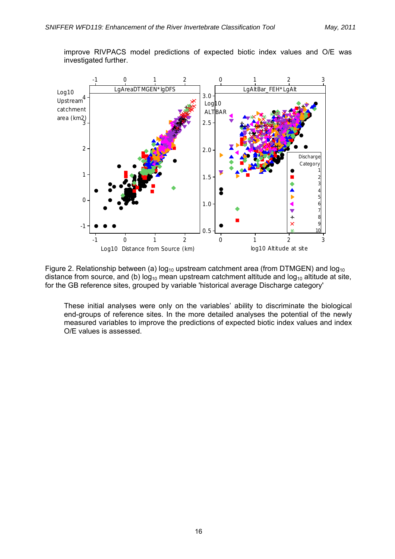improve RIVPACS model predictions of expected biotic index values and O/E was investigated further.



Figure 2. Relationship between (a)  $log_{10}$  upstream catchment area (from DTMGEN) and  $log_{10}$ distance from source, and (b)  $log_{10}$  mean upstream catchment altitude and  $log_{10}$  altitude at site, for the GB reference sites, grouped by variable 'historical average Discharge category'

These initial analyses were only on the variables' ability to discriminate the biological end-groups of reference sites. In the more detailed analyses the potential of the newly measured variables to improve the predictions of expected biotic index values and index O/E values is assessed.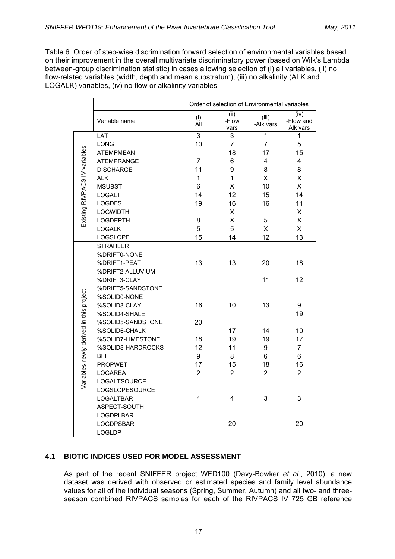Table 6. Order of step-wise discrimination forward selection of environmental variables based on their improvement in the overall multivariate discriminatory power (based on Wilk's Lambda between-group discrimination statistic) in cases allowing selection of (i) all variables, (ii) no flow-related variables (width, depth and mean substratum), (iii) no alkalinity (ALK and LOGALK) variables, (iv) no flow or alkalinity variables

|                                         | Order of selection of Environmental variables |                |                       |                    |                               |
|-----------------------------------------|-----------------------------------------------|----------------|-----------------------|--------------------|-------------------------------|
|                                         | Variable name                                 | (i)<br>Áİl     | (ii)<br>-Flow<br>vars | (iii)<br>-Alk vars | (iv)<br>-Flow and<br>Alk vars |
|                                         | LAT                                           | 3              | 3                     | 1                  | 1                             |
|                                         | <b>LONG</b>                                   | 10             | $\overline{7}$        | $\overline{7}$     | 5                             |
|                                         | <b>ATEMPMEAN</b>                              |                | 18                    | 17                 | 15                            |
|                                         | <b>ATEMPRANGE</b>                             | $\overline{7}$ | 6                     | 4                  | 4                             |
|                                         | <b>DISCHARGE</b>                              | 11             | 9                     | 8                  | 8                             |
|                                         | <b>ALK</b>                                    | 1              | 1                     | X                  | X                             |
|                                         | <b>MSUBST</b>                                 | 6              | x                     | 10                 | $\times$                      |
|                                         | <b>LOGALT</b>                                 | 14             | 12                    | 15                 | 14                            |
|                                         | <b>LOGDFS</b>                                 | 19             | 16                    | 16                 | 11                            |
|                                         | <b>LOGWIDTH</b>                               |                | Χ                     |                    | X                             |
| Existing RIVPACS IV variables           | <b>LOGDEPTH</b>                               | 8              | X                     | $\mathbf 5$        | X                             |
|                                         | <b>LOGALK</b>                                 | 5              | 5                     | X                  | X                             |
|                                         | LOGSLOPE                                      | 15             | 14                    | 12                 | 13                            |
|                                         | <b>STRAHLER</b>                               |                |                       |                    |                               |
|                                         | %DRIFT0-NONE                                  |                |                       |                    |                               |
|                                         | %DRIFT1-PEAT                                  | 13             | 13                    | 20                 | 18                            |
|                                         | %DRIFT2-ALLUVIUM                              |                |                       |                    |                               |
|                                         | %DRIFT3-CLAY                                  |                |                       | 11                 | 12                            |
|                                         | %DRIFT5-SANDSTONE                             |                |                       |                    |                               |
|                                         | %SOLID0-NONE                                  |                |                       |                    |                               |
|                                         | %SOLID3-CLAY                                  | 16             | 10                    | 13                 | 9                             |
|                                         | %SOLID4-SHALE                                 |                |                       |                    | 19                            |
| Variables newly derived in this project | %SOLID5-SANDSTONE                             | 20             |                       |                    |                               |
|                                         | %SOLID6-CHALK                                 |                | 17                    | 14                 | 10                            |
|                                         | %SOLID7-LIMESTONE                             | 18             | 19                    | 19                 | 17                            |
|                                         | %SOLID8-HARDROCKS                             | 12             | 11                    | 9                  | $\overline{7}$                |
|                                         | <b>BFI</b>                                    | 9              | 8                     | 6                  | 6                             |
|                                         | <b>PROPWET</b>                                | 17             | 15                    | 18                 | 16                            |
|                                         | <b>LOGAREA</b>                                | $\overline{2}$ | $\overline{2}$        | $\overline{2}$     | $\overline{2}$                |
|                                         | LOGALTSOURCE                                  |                |                       |                    |                               |
|                                         | LOGSLOPESOURCE                                |                |                       |                    |                               |
|                                         | LOGALTBAR                                     | 4              | 4                     | 3                  | 3                             |
|                                         | ASPECT-SOUTH                                  |                |                       |                    |                               |
|                                         | <b>LOGDPLBAR</b>                              |                |                       |                    |                               |
|                                         | LOGDPSBAR                                     |                | 20                    |                    | 20                            |
|                                         | <b>LOGLDP</b>                                 |                |                       |                    |                               |

## **4.1 BIOTIC INDICES USED FOR MODEL ASSESSMENT**

As part of the recent SNIFFER project WFD100 (Davy-Bowker *et al*., 2010), a new dataset was derived with observed or estimated species and family level abundance values for all of the individual seasons (Spring, Summer, Autumn) and all two- and threeseason combined RIVPACS samples for each of the RIVPACS IV 725 GB reference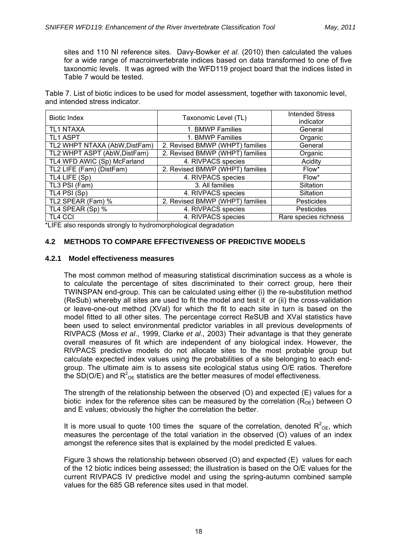sites and 110 NI reference sites. Davy-Bowker *et al*. (2010) then calculated the values for a wide range of macroinvertebrate indices based on data transformed to one of five taxonomic levels. It was agreed with the WFD119 project board that the indices listed in Table 7 would be tested.

Table 7. List of biotic indices to be used for model assessment, together with taxonomic level, and intended stress indicator.

| <b>Biotic Index</b>           | Taxonomic Level (TL)            | <b>Intended Stress</b><br>indicator |  |
|-------------------------------|---------------------------------|-------------------------------------|--|
| <b>TL1 NTAXA</b>              | 1. BMWP Families                | General                             |  |
| <b>TL1 ASPT</b>               | 1. BMWP Families                | Organic                             |  |
| TL2 WHPT NTAXA (AbW, DistFam) | 2. Revised BMWP (WHPT) families | General                             |  |
| TL2 WHPT ASPT (AbW, DistFam)  | 2. Revised BMWP (WHPT) families | Organic                             |  |
| TL4 WFD AWIC (Sp) McFarland   | 4. RIVPACS species              | Acidity                             |  |
| TL2 LIFE (Fam) (DistFam)      | 2. Revised BMWP (WHPT) families | Flow*                               |  |
| TL4 LIFE (Sp)                 | 4. RIVPACS species              | Flow*                               |  |
| TL3 PSI (Fam)                 | 3. All families                 | Siltation                           |  |
| TL4 PSI (Sp)                  | 4. RIVPACS species              | Siltation                           |  |
| TL2 SPEAR (Fam) %             | 2. Revised BMWP (WHPT) families | Pesticides                          |  |
| TL4 SPEAR (Sp) %              | 4. RIVPACS species              | Pesticides                          |  |
| <b>TL4 CCI</b>                | 4. RIVPACS species              | Rare species richness               |  |

\*LIFE also responds strongly to hydromorphological degradation

## **4.2 METHODS TO COMPARE EFFECTIVENESS OF PREDICTIVE MODELS**

## **4.2.1 Model effectiveness measures**

The most common method of measuring statistical discrimination success as a whole is to calculate the percentage of sites discriminated to their correct group, here their TWINSPAN end-group. This can be calculated using either (i) the re-substitution method (ReSub) whereby all sites are used to fit the model and test it or (ii) the cross-validation or leave-one-out method (XVal) for which the fit to each site in turn is based on the model fitted to all other sites. The percentage correct ReSUB and XVal statistics have been used to select environmental predictor variables in all previous developments of RIVPACS (Moss *et al*., 1999, Clarke *et al*., 2003) Their advantage is that they generate overall measures of fit which are independent of any biological index. However, the RIVPACS predictive models do not allocate sites to the most probable group but calculate expected index values using the probabilities of a site belonging to each endgroup. The ultimate aim is to assess site ecological status using O/E ratios. Therefore the SD(O/E) and  $R^2$ <sub>OE</sub> statistics are the better measures of model effectiveness.

The strength of the relationship between the observed (O) and expected (E) values for a biotic index for the reference sites can be measured by the correlation  $(R_{OE})$  between O and E values; obviously the higher the correlation the better.

It is more usual to quote 100 times the square of the correlation, denoted  $R^2$ <sub>OE</sub>, which measures the percentage of the total variation in the observed (O) values of an index amongst the reference sites that is explained by the model predicted E values.

Figure 3 shows the relationship between observed (O) and expected (E) values for each of the 12 biotic indices being assessed; the illustration is based on the O/E values for the current RIVPACS IV predictive model and using the spring-autumn combined sample values for the 685 GB reference sites used in that model.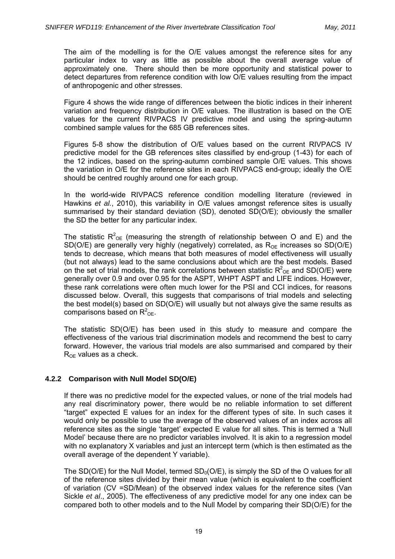The aim of the modelling is for the O/E values amongst the reference sites for any particular index to vary as little as possible about the overall average value of approximately one. There should then be more opportunity and statistical power to detect departures from reference condition with low O/E values resulting from the impact of anthropogenic and other stresses.

Figure 4 shows the wide range of differences between the biotic indices in their inherent variation and frequency distribution in O/E values. The illustration is based on the O/E values for the current RIVPACS IV predictive model and using the spring-autumn combined sample values for the 685 GB references sites.

Figures 5-8 show the distribution of O/E values based on the current RIVPACS IV predictive model for the GB references sites classified by end-group (1-43) for each of the 12 indices, based on the spring-autumn combined sample O/E values. This shows the variation in O/E for the reference sites in each RIVPACS end-group; ideally the O/E should be centred roughly around one for each group.

In the world-wide RIVPACS reference condition modelling literature (reviewed in Hawkins *et al.*, 2010), this variability in O/E values amongst reference sites is usually summarised by their standard deviation (SD), denoted SD(O/E); obviously the smaller the SD the better for any particular index.

The statistic  $R^2_{\text{OE}}$  (measuring the strength of relationship between O and E) and the SD(O/E) are generally very highly (negatively) correlated, as  $R_{OF}$  increases so SD(O/E) tends to decrease, which means that both measures of model effectiveness will usually (but not always) lead to the same conclusions about which are the best models. Based on the set of trial models, the rank correlations between statistic  $R^2_{\text{OE}}$  and SD(O/E) were generally over 0.9 and over 0.95 for the ASPT, WHPT ASPT and LIFE indices. However, these rank correlations were often much lower for the PSI and CCI indices, for reasons discussed below. Overall, this suggests that comparisons of trial models and selecting the best model(s) based on  $SD(O/E)$  will usually but not always give the same results as comparisons based on  $R^2$ <sub>OE</sub>.

The statistic SD(O/E) has been used in this study to measure and compare the effectiveness of the various trial discrimination models and recommend the best to carry forward. However, the various trial models are also summarised and compared by their  $R_{OF}$  values as a check.

## **4.2.2 Comparison with Null Model SD(O/E)**

If there was no predictive model for the expected values, or none of the trial models had any real discriminatory power, there would be no reliable information to set different "target" expected E values for an index for the different types of site. In such cases it would only be possible to use the average of the observed values of an index across all reference sites as the single 'target' expected E value for all sites. This is termed a 'Null Model' because there are no predictor variables involved. It is akin to a regression model with no explanatory X variables and just an intercept term (which is then estimated as the overall average of the dependent Y variable).

The SD(O/E) for the Null Model, termed  $SD_0(O/E)$ , is simply the SD of the O values for all of the reference sites divided by their mean value (which is equivalent to the coefficient of variation (CV =SD/Mean) of the observed index values for the reference sites (Van Sickle *et al*., 2005). The effectiveness of any predictive model for any one index can be compared both to other models and to the Null Model by comparing their SD(O/E) for the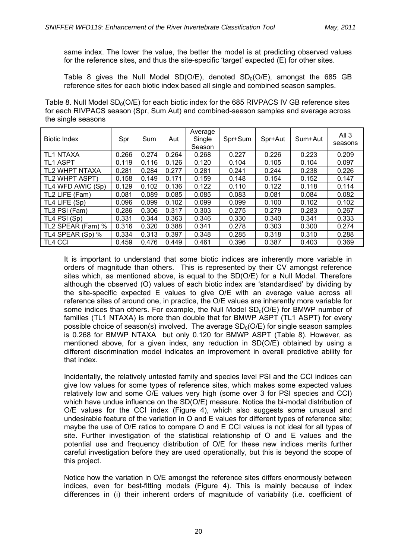same index. The lower the value, the better the model is at predicting observed values for the reference sites, and thus the site-specific 'target' expected (E) for other sites.

Table 8 gives the Null Model SD(O/E), denoted  $SD_0(O/E)$ , amongst the 685 GB reference sites for each biotic index based all single and combined season samples.

Table 8. Null Model  $SD<sub>0</sub>(O/E)$  for each biotic index for the 685 RIVPACS IV GB reference sites for each RIVPACS season (Spr, Sum Aut) and combined-season samples and average across the single seasons

| <b>Biotic Index</b> | Spr   | Sum   | Aut   | Average<br>Single<br>Season | Spr+Sum | Spr+Aut | Sum+Aut | All $3$<br>seasons |
|---------------------|-------|-------|-------|-----------------------------|---------|---------|---------|--------------------|
| <b>TL1 NTAXA</b>    | 0.266 | 0.274 | 0.264 | 0.268                       | 0.227   | 0.226   | 0.223   | 0.209              |
| <b>TL1 ASPT</b>     | 0.119 | 0.116 | 0.126 | 0.120                       | 0.104   | 0.105   | 0.104   | 0.097              |
| TL2 WHPT NTAXA      | 0.281 | 0.284 | 0.277 | 0.281                       | 0.241   | 0.244   | 0.238   | 0.226              |
| TL2 WHPT ASPT)      | 0.158 | 0.149 | 0.171 | 0.159                       | 0.148   | 0.154   | 0.152   | 0.147              |
| TL4 WFD AWIC (Sp)   | 0.129 | 0.102 | 0.136 | 0.122                       | 0.110   | 0.122   | 0.118   | 0.114              |
| TL2 LIFE (Fam)      | 0.081 | 0.089 | 0.085 | 0.085                       | 0.083   | 0.081   | 0.084   | 0.082              |
| TL4 LIFE (Sp)       | 0.096 | 0.099 | 0.102 | 0.099                       | 0.099   | 0.100   | 0.102   | 0.102              |
| TL3 PSI (Fam)       | 0.286 | 0.306 | 0.317 | 0.303                       | 0.275   | 0.279   | 0.283   | 0.267              |
| TL4 PSI (Sp)        | 0.331 | 0.344 | 0.363 | 0.346                       | 0.330   | 0.340   | 0.341   | 0.333              |
| TL2 SPEAR (Fam) %   | 0.316 | 0.320 | 0.388 | 0.341                       | 0.278   | 0.303   | 0.300   | 0.274              |
| TL4 SPEAR (Sp) %    | 0.334 | 0.313 | 0.397 | 0.348                       | 0.285   | 0.318   | 0.310   | 0.288              |
| <b>TL4 CCI</b>      | 0.459 | 0.476 | 0.449 | 0.461                       | 0.396   | 0.387   | 0.403   | 0.369              |

It is important to understand that some biotic indices are inherently more variable in orders of magnitude than others. This is represented by their CV amongst reference sites which, as mentioned above, is equal to the SD(O/E) for a Null Model. Therefore although the observed (O) values of each biotic index are 'standardised' by dividing by the site-specific expected E values to give O/E with an average value across all reference sites of around one, in practice, the O/E values are inherently more variable for some indices than others. For example, the Null Model  $SD<sub>0</sub>(O/E)$  for BMWP number of families (TL1 NTAXA) is more than double that for BMWP ASPT (TL1 ASPT) for every possible choice of season(s) involved. The average  $SD<sub>0</sub>(O/E)$  for single season samples is 0.268 for BMWP NTAXA but only 0.120 for BMWP ASPT (Table 8). However, as mentioned above, for a given index, any reduction in SD(O/E) obtained by using a different discrimination model indicates an improvement in overall predictive ability for that index.

Incidentally, the relatively untested family and species level PSI and the CCI indices can give low values for some types of reference sites, which makes some expected values relatively low and some O/E values very high (some over 3 for PSI species and CCI) which have undue influence on the SD(O/E) measure. Notice the bi-modal distribution of O/E values for the CCI index (Figure 4), which also suggests some unusual and undesirable feature of the variation in O and E values for different types of reference site; maybe the use of O/E ratios to compare O and E CCI values is not ideal for all types of site. Further investigation of the statistical relationship of O and E values and the potential use and frequency distribution of O/E for these new indices merits further careful investigation before they are used operationally, but this is beyond the scope of this project.

Notice how the variation in O/E amongst the reference sites differs enormously between indices, even for best-fitting models (Figure 4). This is mainly because of index differences in (i) their inherent orders of magnitude of variability (i.e. coefficient of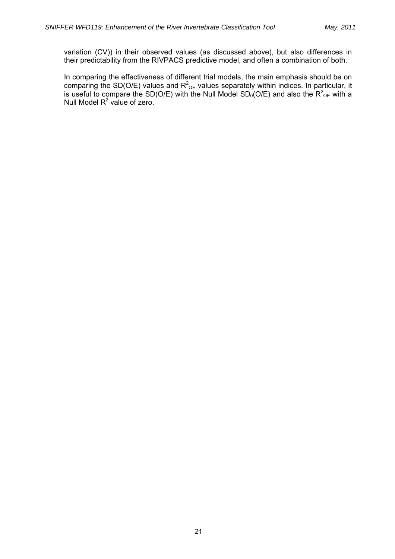variation (CV)) in their observed values (as discussed above), but also differences in their predictability from the RIVPACS predictive model, and often a combination of both.

In comparing the effectiveness of different trial models, the main emphasis should be on comparing the SD(O/E) values and  $R^2$ <sub>OE</sub> values separately within indices. In particular, it is useful to compare the SD(O/E) with the Null Model SD<sub>0</sub>(O/E) and also the R<sup>2</sup><sub>OE</sub> with a Null Model  $R^2$  value of zero.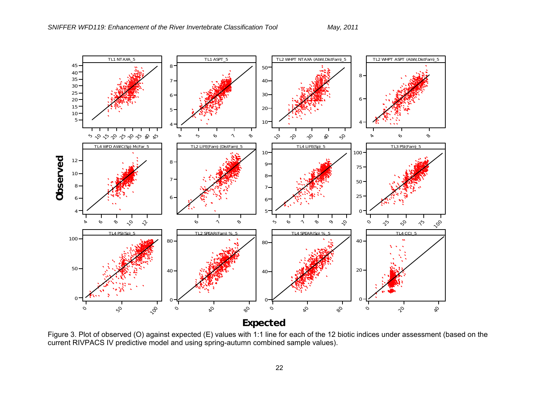

Figure 3. Plot of observed (O) against expected (E) values with 1:1 line for each of the 12 biotic indices under assessment (based on the current RIVPACS IV predictive model and using spring-autumn combined sample values).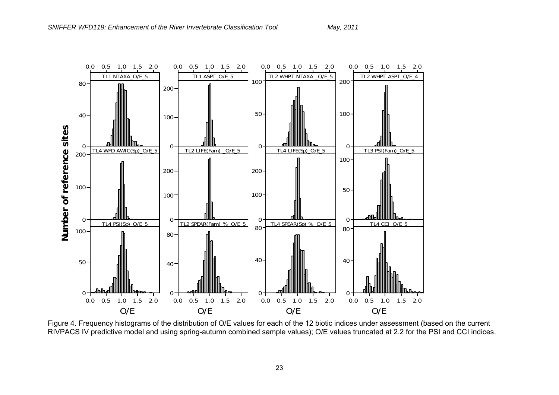

Figure 4. Frequency histograms of the distribution of O/E values for each of the 12 biotic indices under assessment (based on the current RIVPACS IV predictive model and using spring-autumn combined sample values); O/E values truncated at 2.2 for the PSI and CCI indices.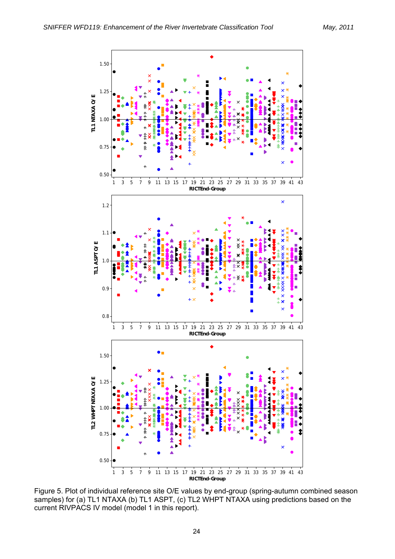

Figure 5. Plot of individual reference site O/E values by end-group (spring-autumn combined season<br>samples) for (a) IL1 NTAXA (b) IL1 ASPT (c) IL2 WHPT NTAXA using prodictions based on the samples) for (a) TL1 NTAXA (b) TL1 ASPT, (c) TL2 WHPT NTAXA using predictions based on the current RIVPACS IV model (model 1 in this report).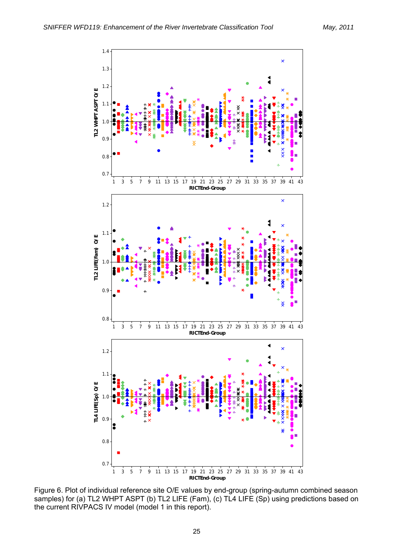

Figure 6. Plot of individual reference site O/E values by end-group (spring-autumn combined season<br>samples) for (a) IL2 WHPT ASPT (b) IL2 LIFE (Fam), (c) IL4 LIFE (Sp) using predictions based on samples) for (a) TL2 WHPT ASPT (b) TL2 LIFE (Fam), (c) TL4 LIFE (Sp) using predictions based on the current RIVPACS IV model (model 1 in this report).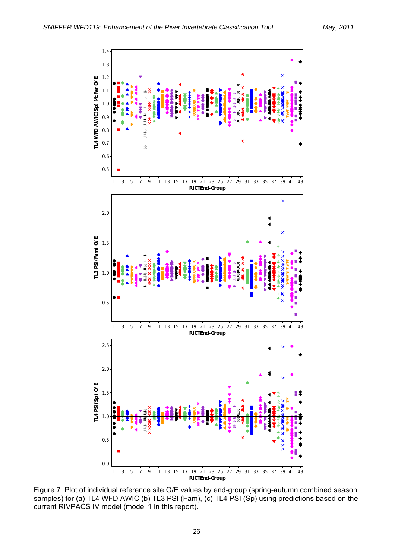

Figure 7. Plot of individual reference site O/E values by end-group (spring-autumn combined season<br>samples) for (a) TL4 WED AWIC (b) TL3 PSL(Eam) (c) TL4 PSL(Sp) using predictions based on the samples) for (a) TL4 WFD AWIC (b) TL3 PSI (Fam), (c) TL4 PSI (Sp) using predictions based on the current RIVPACS IV model (model 1 in this report).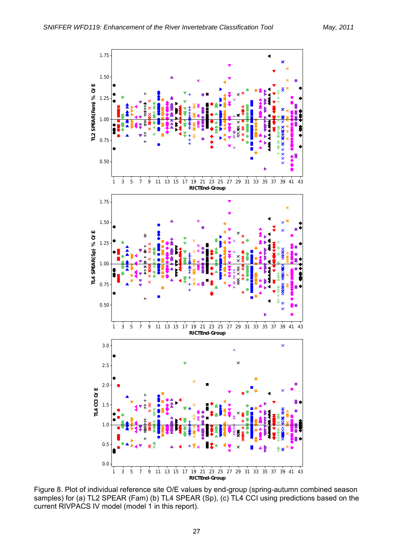

Figure 8. Plot of individual reference site O/E values by end-group (spring-autumn combined season samples) for (a) TL2 SPEAR (Fam) (b) TL4 SPEAR (Sp), (c) TL4 CCI using predictions based on the current RIVPACS IV model (model 1 in this report).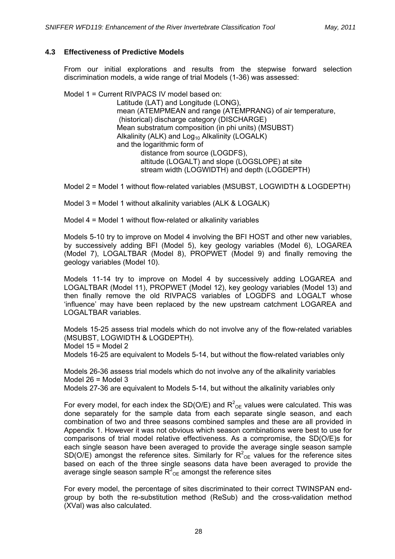## **4.3 Effectiveness of Predictive Models**

From our initial explorations and results from the stepwise forward selection discrimination models, a wide range of trial Models (1-36) was assessed:

Model 1 = Current RIVPACS IV model based on:

Latitude (LAT) and Longitude (LONG), mean (ATEMPMEAN and range (ATEMPRANG) of air temperature, (historical) discharge category (DISCHARGE) Mean substratum composition (in phi units) (MSUBST) Alkalinity (ALK) and  $Log_{10}$  Alkalinity (LOGALK) and the logarithmic form of distance from source (LOGDFS), altitude (LOGALT) and slope (LOGSLOPE) at site stream width (LOGWIDTH) and depth (LOGDEPTH)

Model 2 = Model 1 without flow-related variables (MSUBST, LOGWIDTH & LOGDEPTH)

Model 3 = Model 1 without alkalinity variables (ALK & LOGALK)

Model 4 = Model 1 without flow-related or alkalinity variables

Models 5-10 try to improve on Model 4 involving the BFI HOST and other new variables, by successively adding BFI (Model 5), key geology variables (Model 6), LOGAREA (Model 7), LOGALTBAR (Model 8), PROPWET (Model 9) and finally removing the geology variables (Model 10).

Models 11-14 try to improve on Model 4 by successively adding LOGAREA and LOGALTBAR (Model 11), PROPWET (Model 12), key geology variables (Model 13) and then finally remove the old RIVPACS variables of LOGDFS and LOGALT whose 'influence' may have been replaced by the new upstream catchment LOGAREA and LOGALTBAR variables.

Models 15-25 assess trial models which do not involve any of the flow-related variables (MSUBST, LOGWIDTH & LOGDEPTH). Model  $15 =$  Model 2

Models 16-25 are equivalent to Models 5-14, but without the flow-related variables only

Models 26-36 assess trial models which do not involve any of the alkalinity variables Model 26 = Model 3 Models 27-36 are equivalent to Models 5-14, but without the alkalinity variables only

For every model, for each index the SD(O/E) and  $R^2_{\text{OE}}$  values were calculated. This was done separately for the sample data from each separate single season, and each combination of two and three seasons combined samples and these are all provided in Appendix 1. However it was not obvious which season combinations were best to use for comparisons of trial model relative effectiveness. As a compromise, the SD(O/E)s for each single season have been averaged to provide the average single season sample SD(O/E) amongst the reference sites. Similarly for  $R^2_{\text{OE}}$  values for the reference sites based on each of the three single seasons data have been averaged to provide the average single season sample  $R^2$ <sub>OE</sub> amongst the reference sites

For every model, the percentage of sites discriminated to their correct TWINSPAN endgroup by both the re-substitution method (ReSub) and the cross-validation method (XVal) was also calculated.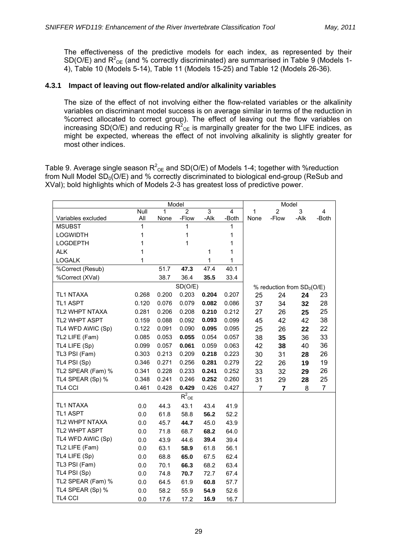The effectiveness of the predictive models for each index, as represented by their SD(O/E) and  $R^2$ <sub>OE</sub> (and % correctly discriminated) are summarised in Table 9 (Models 1-4), Table 10 (Models 5-14), Table 11 (Models 15-25) and Table 12 (Models 26-36).

## **4.3.1 Impact of leaving out flow-related and/or alkalinity variables**

The size of the effect of not involving either the flow-related variables or the alkalinity variables on discriminant model success is on average similar in terms of the reduction in %correct allocated to correct group). The effect of leaving out the flow variables on increasing SD(O/E) and reducing  $R^2_{OE}$  is marginally greater for the two LIFE indices, as might be expected, whereas the effect of not involving alkalinity is slightly greater for most other indices.

Table 9. Average single season  $R^2_{\text{OE}}$  and SD(O/E) of Models 1-4; together with %reduction from Null Model  $SD_0(O/E)$  and % correctly discriminated to biological end-group (ReSub and XVal); bold highlights which of Models 2-3 has greatest loss of predictive power.

|                    |             |       | Model               |                |                         |      | Model                       |      |                |
|--------------------|-------------|-------|---------------------|----------------|-------------------------|------|-----------------------------|------|----------------|
|                    | <b>Null</b> | 1     | $\overline{2}$      | $\overline{3}$ | $\overline{\mathbf{4}}$ | 1    | $\overline{2}$              | 3    | 4              |
| Variables excluded | All         | None  | -Flow               | -Alk           | -Both                   | None | -Flow                       | -Alk | -Both          |
| <b>MSUBST</b>      | 1           |       | 1                   |                | 1                       |      |                             |      |                |
| <b>LOGWIDTH</b>    | 1           |       | 1                   |                | 1                       |      |                             |      |                |
| <b>LOGDEPTH</b>    | 1           |       | 1                   |                | 1                       |      |                             |      |                |
| <b>ALK</b>         | 1           |       |                     | 1              | 1                       |      |                             |      |                |
| <b>LOGALK</b>      | 1           |       |                     | 1              | 1                       |      |                             |      |                |
| %Correct (Resub)   |             | 51.7  | 47.3                | 47.4           | 40.1                    |      |                             |      |                |
| %Correct (XVal)    |             | 38.7  | 36.4                | 35.5           | 33.4                    |      |                             |      |                |
|                    |             |       | SD(O/E)             |                |                         |      | % reduction from $SD0(O/E)$ |      |                |
| TL1 NTAXA          | 0.268       | 0.200 | 0.203               | 0.204          | 0.207                   | 25   | 24                          | 24   | 23             |
| TL1 ASPT           | 0.120       | 0.076 | 0.079               | 0.082          | 0.086                   | 37   | 34                          | 32   | 28             |
| TL2 WHPT NTAXA     | 0.281       | 0.206 | 0.208               | 0.210          | 0.212                   | 27   | 26                          | 25   | 25             |
| TL2 WHPT ASPT      | 0.159       | 0.088 | 0.092               | 0.093          | 0.099                   | 45   | 42                          | 42   | 38             |
| TL4 WFD AWIC (Sp)  | 0.122       | 0.091 | 0.090               | 0.095          | 0.095                   | 25   | 26                          | 22   | 22             |
| TL2 LIFE (Fam)     | 0.085       | 0.053 | 0.055               | 0.054          | 0.057                   | 38   | 35                          | 36   | 33             |
| TL4 LIFE (Sp)      | 0.099       | 0.057 | 0.061               | 0.059          | 0.063                   | 42   | 38                          | 40   | 36             |
| TL3 PSI (Fam)      | 0.303       | 0.213 | 0.209               | 0.218          | 0.223                   | 30   | 31                          | 28   | 26             |
| TL4 PSI (Sp)       | 0.346       | 0.271 | 0.256               | 0.281          | 0.279                   | 22   | 26                          | 19   | 19             |
| TL2 SPEAR (Fam) %  | 0.341       | 0.228 | 0.233               | 0.241          | 0.252                   | 33   | 32                          | 29   | 26             |
| TL4 SPEAR (Sp) %   | 0.348       | 0.241 | 0.246               | 0.252          | 0.260                   | 31   | 29                          | 28   | 25             |
| TL4 CCI            | 0.461       | 0.428 | 0.429               | 0.426          | 0.427                   | 7    | $\overline{\mathbf{r}}$     | 8    | $\overline{7}$ |
|                    |             |       | $R^2$ <sub>OE</sub> |                |                         |      |                             |      |                |
| TL1 NTAXA          | 0.0         | 44.3  | 43.1                | 43.4           | 41.9                    |      |                             |      |                |
| <b>TL1 ASPT</b>    | 0.0         | 61.8  | 58.8                | 56.2           | 52.2                    |      |                             |      |                |
| TL2 WHPT NTAXA     | 0.0         | 45.7  | 44.7                | 45.0           | 43.9                    |      |                             |      |                |
| TL2 WHPT ASPT      | 0.0         | 71.8  | 68.7                | 68.2           | 64.0                    |      |                             |      |                |
| TL4 WFD AWIC (Sp)  | 0.0         | 43.9  | 44.6                | 39.4           | 39.4                    |      |                             |      |                |
| TL2 LIFE (Fam)     | 0.0         | 63.1  | 58.9                | 61.8           | 56.1                    |      |                             |      |                |
| TL4 LIFE (Sp)      | 0.0         | 68.8  | 65.0                | 67.5           | 62.4                    |      |                             |      |                |
| TL3 PSI (Fam)      | 0.0         | 70.1  | 66.3                | 68.2           | 63.4                    |      |                             |      |                |
| TL4 PSI (Sp)       | 0.0         | 74.8  | 70.7                | 72.7           | 67.4                    |      |                             |      |                |
| TL2 SPEAR (Fam) %  | 0.0         | 64.5  | 61.9                | 60.8           | 57.7                    |      |                             |      |                |
| TL4 SPEAR (Sp) %   | 0.0         | 58.2  | 55.9                | 54.9           | 52.6                    |      |                             |      |                |
| <b>TL4 CCI</b>     | 0.0         | 17.6  | 17.2                | 16.9           | 16.7                    |      |                             |      |                |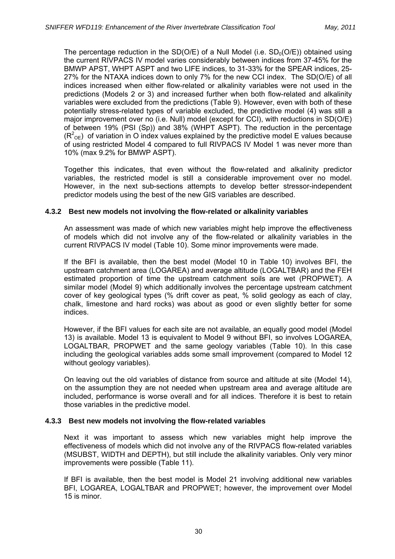The percentage reduction in the  $SD(O/E)$  of a Null Model (i.e.  $SD<sub>0</sub>(O/E)$ ) obtained using the current RIVPACS IV model varies considerably between indices from 37-45% for the BMWP APST, WHPT ASPT and two LIFE indices, to 31-33% for the SPEAR indices, 25- 27% for the NTAXA indices down to only 7% for the new CCI index. The SD(O/E) of all indices increased when either flow-related or alkalinity variables were not used in the predictions (Models 2 or 3) and increased further when both flow-related and alkalinity variables were excluded from the predictions (Table 9). However, even with both of these potentially stress-related types of variable excluded, the predictive model (4) was still a major improvement over no (i.e. Null) model (except for CCI), with reductions in SD(O/E) of between 19% (PSI (Sp)) and 38% (WHPT ASPT). The reduction in the percentage  $(R^2_{\text{OE}})$  of variation in O index values explained by the predictive model E values because of using restricted Model 4 compared to full RIVPACS IV Model 1 was never more than 10% (max 9.2% for BMWP ASPT).

Together this indicates, that even without the flow-related and alkalinity predictor variables, the restricted model is still a considerable improvement over no model. However, in the next sub-sections attempts to develop better stressor-independent predictor models using the best of the new GIS variables are described.

## **4.3.2 Best new models not involving the flow-related or alkalinity variables**

An assessment was made of which new variables might help improve the effectiveness of models which did not involve any of the flow-related or alkalinity variables in the current RIVPACS IV model (Table 10). Some minor improvements were made.

If the BFI is available, then the best model (Model 10 in Table 10) involves BFI, the upstream catchment area (LOGAREA) and average altitude (LOGALTBAR) and the FEH estimated proportion of time the upstream catchment soils are wet (PROPWET). A similar model (Model 9) which additionally involves the percentage upstream catchment cover of key geological types (% drift cover as peat, % solid geology as each of clay, chalk, limestone and hard rocks) was about as good or even slightly better for some indices.

However, if the BFI values for each site are not available, an equally good model (Model 13) is available. Model 13 is equivalent to Model 9 without BFI, so involves LOGAREA, LOGALTBAR, PROPWET and the same geology variables (Table 10). In this case including the geological variables adds some small improvement (compared to Model 12 without geology variables).

On leaving out the old variables of distance from source and altitude at site (Model 14), on the assumption they are not needed when upstream area and average altitude are included, performance is worse overall and for all indices. Therefore it is best to retain those variables in the predictive model.

### **4.3.3 Best new models not involving the flow-related variables**

Next it was important to assess which new variables might help improve the effectiveness of models which did not involve any of the RIVPACS flow-related variables (MSUBST, WIDTH and DEPTH), but still include the alkalinity variables. Only very minor improvements were possible (Table 11).

If BFI is available, then the best model is Model 21 involving additional new variables BFI, LOGAREA, LOGALTBAR and PROPWET; however, the improvement over Model 15 is minor.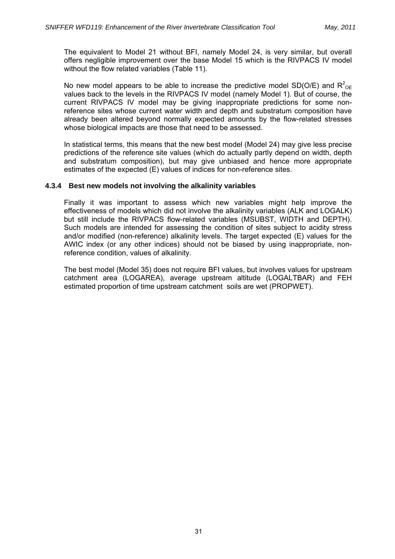The equivalent to Model 21 without BFI, namely Model 24, is very similar, but overall offers negligible improvement over the base Model 15 which is the RIVPACS IV model without the flow related variables (Table 11).

No new model appears to be able to increase the predictive model SD(O/E) and  $R^2_{\text{OE}}$ values back to the levels in the RIVPACS IV model (namely Model 1). But of course, the current RIVPACS IV model may be giving inappropriate predictions for some nonreference sites whose current water width and depth and substratum composition have already been altered beyond normally expected amounts by the flow-related stresses whose biological impacts are those that need to be assessed.

In statistical terms, this means that the new best model (Model 24) may give less precise predictions of the reference site values (which do actually partly depend on width, depth and substratum composition), but may give unbiased and hence more appropriate estimates of the expected (E) values of indices for non-reference sites.

## **4.3.4 Best new models not involving the alkalinity variables**

Finally it was important to assess which new variables might help improve the effectiveness of models which did not involve the alkalinity variables (ALK and LOGALK) but still include the RIVPACS flow-related variables (MSUBST, WIDTH and DEPTH). Such models are intended for assessing the condition of sites subject to acidity stress and/or modified (non-reference) alkalinity levels. The target expected (E) values for the AWIC index (or any other indices) should not be biased by using inappropriate, nonreference condition, values of alkalinity.

The best model (Model 35) does not require BFI values, but involves values for upstream catchment area (LOGAREA), average upstream altitude (LOGALTBAR) and FEH estimated proportion of time upstream catchment soils are wet (PROPWET).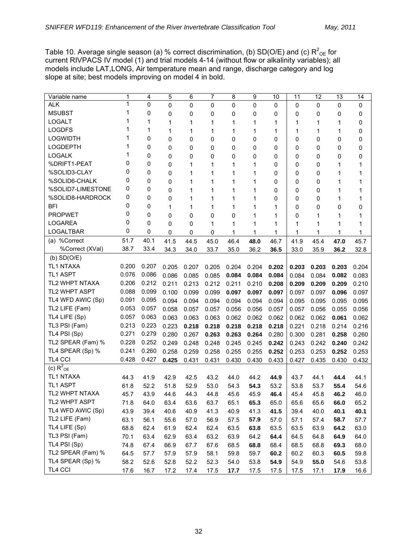Table 10. Average single season (a) % correct discrimination, (b) SD(O/E) and (c)  $R^2_{\text{OE}}$  for current RIVPACS IV model (1) and trial models 4-14 (without flow or alkalinity variables); all models include LAT,LONG, Air temperature mean and range, discharge category and log slope at site; best models improving on model 4 in bold.

| Variable name           | 1     | 4           | 5           | 6     | 7           | 8     | 9     | 10          | 11    | 12    | 13    | 14    |
|-------------------------|-------|-------------|-------------|-------|-------------|-------|-------|-------------|-------|-------|-------|-------|
| <b>ALK</b>              | 1     | $\mathbf 0$ | $\mathbf 0$ | 0     | 0           | 0     | 0     | 0           | 0     | 0     | 0     | 0     |
| <b>MSUBST</b>           | 1     | 0           | 0           | 0     | 0           | 0     | 0     | 0           | 0     | 0     | 0     | 0     |
| <b>LOGALT</b>           |       | 1           | 1           | 1     | 1           | 1     | 1     | 1           | 1     | 1     | 1     | 0     |
| <b>LOGDFS</b>           |       | 1           | 1           | 1     | 1           | 1     | 1     | 1           | 1     | 1     | 1     | 0     |
| <b>LOGWIDTH</b>         |       | 0           | 0           | 0     | 0           | 0     | 0     | 0           | 0     | 0     | 0     | 0     |
| <b>LOGDEPTH</b>         |       | 0           | 0           | 0     | 0           | 0     | 0     | 0           | 0     | 0     | 0     | 0     |
| <b>LOGALK</b>           |       | 0           | 0           | 0     | 0           | 0     | 0     | 0           | 0     | 0     | 0     | 0     |
| %DRIFT1-PEAT            | 0     | 0           | 0           | 1     | 1           | 1     | 1     | $\mathbf 0$ | 0     | 0     | 1     | 1     |
| %SOLID3-CLAY            | 0     | 0           | 0           | 1     | 1           | 1     | 1     | 0           | 0     | 0     | 1     | 1     |
| %SOLID6-CHALK           | 0     | 0           | 0           | 1     | 1           | 1     | 1     | 0           | 0     | 0     | 1     | 1     |
| %SOLID7-LIMESTONE       | 0     | 0           | 0           | 1     | 1           | 1     | 1     | 0           | 0     | 0     | 1     | 1     |
| %SOLID8-HARDROCK        | 0     | 0           | 0           | 1     | 1           | 1     | 1     | 0           | 0     | 0     | 1     | 1     |
| <b>BFI</b>              | 0     | 0           | 1           | 1     | 1           | 1     | 1     | 1           | 0     | 0     | 0     | 0     |
| <b>PROPWET</b>          | 0     | 0           | 0           | 0     | $\mathbf 0$ | 0     | 1     | 1           | 0     | 1     | 1     | 1     |
| <b>LOGAREA</b>          | 0     | $\mathbf 0$ | 0           | 0     | 1           | 1     | 1     | 1           | 1     | 1     | 1     | 1     |
| <b>LOGALTBAR</b>        | 0     | 0           | 0           | 0     | 0           | 1     | 1     | 1           | 1     | 1     | 1     | 1     |
| (a) %Correct            | 51.7  | 40.1        | 41.5        | 44.5  | 45.0        | 46.4  | 48.0  | 46.7        | 41.9  | 45.4  | 47.0  | 45.7  |
| %Correct (XVal)         | 38.7  | 33.4        | 34.3        | 34.0  | 33.7        | 35.0  | 36.2  | 36.5        | 33.0  | 35.9  | 36.2  | 32.8  |
| $(b)$ SD $(O/E)$        |       |             |             |       |             |       |       |             |       |       |       |       |
| TL1 NTAXA               | 0.200 | 0.207       | 0.205       | 0.207 | 0.205       | 0.204 | 0.204 | 0.202       | 0.203 | 0.203 | 0.203 | 0.204 |
| <b>TL1 ASPT</b>         | 0.076 | 0.086       | 0.086       | 0.085 | 0.085       | 0.084 | 0.084 | 0.084       | 0.084 | 0.084 | 0.082 | 0.083 |
| TL2 WHPT NTAXA          | 0.206 | 0.212       | 0.211       | 0.213 | 0.212       | 0.211 | 0.210 | 0.208       | 0.209 | 0.209 | 0.209 | 0.210 |
| TL2 WHPT ASPT           | 0.088 | 0.099       | 0.100       | 0.099 | 0.099       | 0.097 | 0.097 | 0.097       | 0.097 | 0.097 | 0.096 | 0.097 |
| TL4 WFD AWIC (Sp)       | 0.091 | 0.095       | 0.094       | 0.094 | 0.094       | 0.094 | 0.094 | 0.094       | 0.095 | 0.095 | 0.095 | 0.095 |
| TL2 LIFE (Fam)          | 0.053 | 0.057       | 0.058       | 0.057 | 0.057       | 0.056 | 0.056 | 0.057       | 0.057 | 0.056 | 0.055 | 0.056 |
| TL4 LIFE (Sp)           | 0.057 | 0.063       | 0.063       | 0.063 | 0.063       | 0.062 | 0.062 | 0.062       | 0.062 | 0.062 | 0.061 | 0.062 |
| TL3 PSI (Fam)           | 0.213 | 0.223       | 0.223       | 0.218 | 0.218       | 0.218 | 0.218 | 0.218       | 0.221 | 0.218 | 0.214 | 0.216 |
| TL4 PSI (Sp)            | 0.271 | 0.279       | 0.280       | 0.267 | 0.263       | 0.263 | 0.264 | 0.280       | 0.300 | 0.281 | 0.258 | 0.260 |
| TL2 SPEAR (Fam) %       | 0.228 | 0.252       | 0.249       | 0.248 | 0.248       | 0.245 | 0.245 | 0.242       | 0.243 | 0.242 | 0.240 | 0.242 |
| TL4 SPEAR (Sp) %        | 0.241 | 0.260       | 0.258       | 0.259 | 0.258       | 0.255 | 0.255 | 0.252       | 0.253 | 0.253 | 0.252 | 0.253 |
| TL4 CCI                 | 0.428 | 0.427       | 0.425       | 0.431 | 0.431       | 0.430 | 0.430 | 0.433       | 0.427 | 0.435 | 0.430 | 0.432 |
| (c) $R^2$ <sub>OE</sub> |       |             |             |       |             |       |       |             |       |       |       |       |
| TL1 NTAXA               | 44.3  | 41.9        | 42.9        | 42.5  | 43.2        | 44.0  | 44.2  | 44.9        | 43.7  | 44.1  | 44.4  | 44.1  |
| <b>TL1 ASPT</b>         | 61.8  | 52.2        | 51.8        | 52.9  | 53.0        | 54.3  | 54.3  | 53.2        | 53.8  | 53.7  | 55.4  | 54.6  |
| TL2 WHPT NTAXA          | 45.7  | 43.9        | 44.6        | 44.3  | 44.8        | 45.6  | 45.9  | 46.4        | 45.4  | 45.8  | 46.2  | 46.0  |
| TL2 WHPT ASPT           | 71.8  | 64.0        | 63.4        | 63.6  | 63.7        | 65.1  | 65.3  | 65.0        | 65.6  | 65.6  | 66.0  | 65.2  |
| TL4 WFD AWIC (Sp)       | 43.9  | 39.4        | 40.6        | 40.9  | 41.3        | 40.9  | 41.3  | 41.5        | 39.4  | 40.0  | 40.1  | 40.1  |
| TL2 LIFE (Fam)          | 63.1  | 56.1        | 55.6        | 57.0  | 56.9        | 57.5  | 57.9  | 57.0        | 57.1  | 57.4  | 58.7  | 57.7  |
| TL4 LIFE (Sp)           | 68.8  | 62.4        | 61.9        | 62.4  | 62.4        | 63.5  | 63.8  | 63.5        | 63.5  | 63.9  | 64.2  | 63.0  |
| TL3 PSI (Fam)           | 70.1  | 63.4        | 62.9        | 63.4  | 63.2        | 63.9  | 64.2  | 64.4        | 64.5  | 64.8  | 64.9  | 64.0  |
| TL4 PSI (Sp)            | 74.8  | 67.4        | 66.9        | 67.7  | 67.6        | 68.5  | 68.8  | 68.4        | 68.5  | 68.8  | 69.3  | 68.0  |
| TL2 SPEAR (Fam) %       | 64.5  | 57.7        | 57.9        | 57.9  | 58.1        | 59.8  | 59.7  | 60.2        | 60.2  | 60.3  | 60.5  | 59.8  |
| TL4 SPEAR (Sp) %        | 58.2  | 52.6        | 52.8        | 52.2  | 52.3        | 54.0  | 53.8  | 54.9        | 54.9  | 55.0  | 54.6  | 53.8  |
| TL4 CCI                 | 17.6  | 16.7        | 17.2        | 17.4  | 17.5        | 17.7  | 17.5  | 17.5        | 17.5  | 17.1  | 17.9  | 16.6  |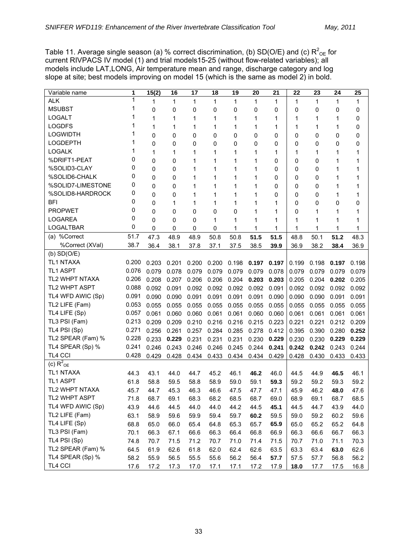Table 11. Average single season (a) % correct discrimination, (b) SD(O/E) and (c)  $R^2_{\text{OE}}$  for current RIVPACS IV model (1) and trial models15-25 (without flow-related variables); all models include LAT,LONG, Air temperature mean and range, discharge category and log slope at site; best models improving on model 15 (which is the same as model 2) in bold.

| Variable name           | 1     | 15(2) | 16    | 17    | 18           | 19    | 20           | 21          | 22    | 23    | 24    | 25           |
|-------------------------|-------|-------|-------|-------|--------------|-------|--------------|-------------|-------|-------|-------|--------------|
| <b>ALK</b>              | 1     | 1     | 1     | 1     | $\mathbf{1}$ | 1     | $\mathbf{1}$ | $\mathbf 1$ | 1     | 1     | 1     | $\mathbf{1}$ |
| <b>MSUBST</b>           | 1     | 0     | 0     | 0     | 0            | 0     | 0            | 0           | 0     | 0     | 0     | 0            |
| <b>LOGALT</b>           |       | 1     | 1     | 1     | 1            | 1     | 1            | 1           | 1     | 1     | 1     | 0            |
| <b>LOGDFS</b>           |       | 1     | 1     | 1     | 1            | 1     | 1            | 1           | 1     | 1     | 1     | 0            |
| <b>LOGWIDTH</b>         |       | 0     | 0     | 0     | 0            | 0     | 0            | 0           | 0     | 0     | 0     | 0            |
| <b>LOGDEPTH</b>         | 1     | 0     | 0     | 0     | 0            | 0     | 0            | 0           | 0     | 0     | 0     | 0            |
| <b>LOGALK</b>           | 1     | 1     | 1     | 1     | 1            | 1     | 1            | 1           | 1     | 1     | 1     | 1            |
| %DRIFT1-PEAT            | 0     | 0     | 0     | 1     | 1            | 1     | 1            | 0           | 0     | 0     | 1     | 1            |
| %SOLID3-CLAY            | 0     | 0     | 0     | 1     | 1            | 1     | 1            | 0           | 0     | 0     | 1     | 1            |
| %SOLID6-CHALK           | 0     | 0     | 0     | 1     | 1            | 1     | 1            | 0           | 0     | 0     | 1     | 1            |
| %SOLID7-LIMESTONE       | 0     | 0     | 0     | 1     | 1            | 1     | 1            | 0           | 0     | 0     | 1     | 1            |
| %SOLID8-HARDROCK        | 0     | 0     | 0     | 1     | 1            | 1     | 1            | 0           | 0     | 0     | 1     | 1            |
| <b>BFI</b>              | 0     | 0     | 1     | 1     | 1            | 1     | 1            | 1           | 0     | 0     | 0     | 0            |
| <b>PROPWET</b>          | 0     | 0     | 0     | 0     | 0            | 0     | 1            | 1           | 0     | 1     | 1     | 1            |
| <b>LOGAREA</b>          | 0     | 0     | 0     | 0     | 1            | 1     | 1            | 1           | 1     | 1     | 1     | 1            |
| <b>LOGALTBAR</b>        | 0     | 0     | 0     | 0     | 0            | 1     | 1            | 1           | 1     | 1     | 1     | 1            |
| (a) %Correct            | 51.7  | 47.3  | 48.9  | 48.9  | 50.8         | 50.8  | 51.5         | 51.5        | 48.8  | 50.1  | 51.2  | 48.3         |
| %Correct (XVal)         | 38.7  | 36.4  | 38.1  | 37.8  | 37.1         | 37.5  | 38.5         | 39.9        | 36.9  | 38.2  | 38.4  | 36.9         |
| $(b)$ SD $(O/E)$        |       |       |       |       |              |       |              |             |       |       |       |              |
| TL1 NTAXA               | 0.200 | 0.203 | 0.201 | 0.200 | 0.200        | 0.198 | 0.197        | 0.197       | 0.199 | 0.198 | 0.197 | 0.198        |
| <b>TL1 ASPT</b>         | 0.076 | 0.079 | 0.078 | 0.079 | 0.079        | 0.079 | 0.079        | 0.078       | 0.079 | 0.079 | 0.079 | 0.079        |
| TL2 WHPT NTAXA          | 0.206 | 0.208 | 0.207 | 0.206 | 0.206        | 0.204 | 0.203        | 0.203       | 0.205 | 0.204 | 0.202 | 0.205        |
| TL2 WHPT ASPT           | 0.088 | 0.092 | 0.091 | 0.092 | 0.092        | 0.092 | 0.092        | 0.091       | 0.092 | 0.092 | 0.092 | 0.092        |
| TL4 WFD AWIC (Sp)       | 0.091 | 0.090 | 0.090 | 0.091 | 0.091        | 0.091 | 0.091        | 0.090       | 0.090 | 0.090 | 0.091 | 0.091        |
| TL2 LIFE (Fam)          | 0.053 | 0.055 | 0.055 | 0.055 | 0.055        | 0.055 | 0.055        | 0.055       | 0.055 | 0.055 | 0.055 | 0.055        |
| TL4 LIFE (Sp)           | 0.057 | 0.061 | 0.060 | 0.060 | 0.061        | 0.061 | 0.060        | 0.060       | 0.061 | 0.061 | 0.061 | 0.061        |
| TL3 PSI (Fam)           | 0.213 | 0.209 | 0.209 | 0.210 | 0.216        | 0.216 | 0.215        | 0.223       | 0.221 | 0.221 | 0.212 | 0.209        |
| TL4 PSI (Sp)            | 0.271 | 0.256 | 0.261 | 0.257 | 0.284        | 0.285 | 0.278        | 0.412       | 0.395 | 0.390 | 0.280 | 0.252        |
| TL2 SPEAR (Fam) %       | 0.228 | 0.233 | 0.229 | 0.231 | 0.231        | 0.231 | 0.230        | 0.229       | 0.230 | 0.230 | 0.229 | 0.229        |
| TL4 SPEAR (Sp) %        | 0.241 | 0.246 | 0.243 | 0.246 | 0.246        | 0.245 | 0.244        | 0.241       | 0.242 | 0.242 | 0.243 | 0.244        |
| TL4 CCI                 | 0.428 | 0.429 | 0.428 | 0.434 | 0.433        | 0.434 | 0.434        | 0.429       | 0.428 | 0.430 | 0.433 | 0.433        |
| (c) $R^2$ <sub>OE</sub> |       |       |       |       |              |       |              |             |       |       |       |              |
| <b>TL1 NTAXA</b>        | 44.3  | 43.1  | 44.0  | 44.7  | 45.2         | 46.1  | 46.2         | 46.0        | 44.5  | 44.9  | 46.5  | 46.1         |
| TL1 ASPT                | 61.8  | 58.8  | 59.5  | 58.8  | 58.9         | 59.0  | 59.1         | 59.3        | 59.2  | 59.2  | 59.3  | 59.2         |
| TL2 WHPT NTAXA          | 45.7  | 44.7  | 45.3  | 46.3  | 46.6         | 47.5  | 47.7         | 47.1        | 45.9  | 46.2  | 48.0  | 47.6         |
| TL2 WHPT ASPT           | 71.8  | 68.7  | 69.1  | 68.3  | 68.2         | 68.5  | 68.7         | 69.0        | 68.9  | 69.1  | 68.7  | 68.5         |
| TL4 WFD AWIC (Sp)       | 43.9  | 44.6  | 44.5  | 44.0  | 44.0         | 44.2  | 44.5         | 45.1        | 44.5  | 44.7  | 43.9  | 44.0         |
| TL2 LIFE (Fam)          | 63.1  | 58.9  | 59.6  | 59.9  | 59.4         | 59.7  | 60.2         | 59.5        | 59.0  | 59.2  | 60.2  | 59.6         |
| TL4 LIFE (Sp)           | 68.8  | 65.0  | 66.0  | 65.4  | 64.8         | 65.3  | 65.7         | 65.9        | 65.0  | 65.2  | 65.2  | 64.8         |
| TL3 PSI (Fam)           | 70.1  | 66.3  | 67.1  | 66.6  | 66.3         | 66.4  | 66.8         | 66.9        | 66.3  | 66.6  | 66.7  | 66.3         |
| TL4 PSI (Sp)            | 74.8  | 70.7  | 71.5  | 71.2  | 70.7         | 71.0  | 71.4         | 71.5        | 70.7  | 71.0  | 71.1  | 70.3         |
| TL2 SPEAR (Fam) %       | 64.5  | 61.9  | 62.6  | 61.8  | 62.0         | 62.4  | 62.6         | 63.5        | 63.3  | 63.4  | 63.0  | 62.6         |
| TL4 SPEAR (Sp) %        | 58.2  | 55.9  | 56.5  | 55.5  | 55.6         | 56.2  | 56.4         | 57.7        | 57.5  | 57.7  | 56.8  | 56.2         |
| TL4 CCI                 | 17.6  | 17.2  | 17.3  | 17.0  | 17.1         | 17.1  | 17.2         | 17.9        | 18.0  | 17.7  | 17.5  | 16.8         |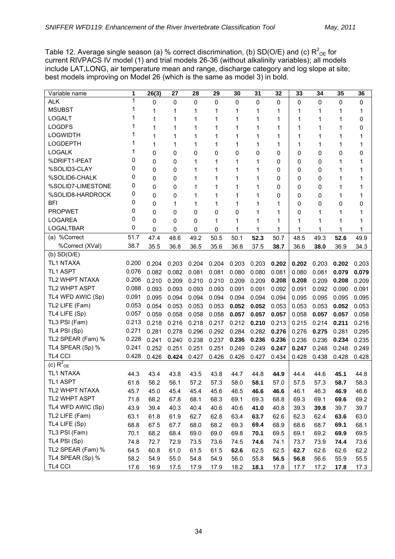Table 12. Average single season (a) % correct discrimination, (b) SD(O/E) and (c)  $R^2_{\text{OE}}$  for current RIVPACS IV model (1) and trial models 26-36 (without alkalinity variables); all models include LAT,LONG, air temperature mean and range, discharge category and log slope at site; best models improving on Model 26 (which is the same as model 3) in bold.

| 1<br><b>ALK</b><br>$\mathbf{0}$<br>0<br>0<br>0<br>0<br>0<br>0<br>0<br>0<br>0<br>0<br><b>MSUBST</b><br>1<br>1<br>1<br>1<br>1<br>1<br>1<br>1<br>1<br>1<br>1<br><b>LOGALT</b><br>0<br>1<br>1<br>1<br>1<br>1<br>1<br>1<br>1<br>1<br>1<br><b>LOGDFS</b><br>1<br>1<br>1<br>1<br>1<br>1<br>1<br>1<br>1<br>1<br>0<br><b>LOGWIDTH</b><br>1<br>1<br>1<br>1<br>1<br>1<br>1<br>1<br>1<br>1<br>1<br><b>LOGDEPTH</b><br>1<br>1<br>1<br>1<br>1<br>1<br>1<br>1<br>1<br>1<br>1<br>1<br><b>LOGALK</b><br>0<br>0<br>0<br>0<br>0<br>0<br>0<br>0<br>0<br>0<br>0<br>0<br>%DRIFT1-PEAT<br>0<br>0<br>1<br>1<br>1<br>1<br>0<br>0<br>1<br>1<br>0<br>0<br>%SOLID3-CLAY<br>0<br>0<br>1<br>1<br>0<br>0<br>1<br>1<br>1<br>1<br>0<br>0<br>%SOLID6-CHALK<br>0<br>0<br>1<br>1<br>0<br>0<br>1<br>1<br>1<br>1<br>0<br>0<br>%SOLID7-LIMESTONE<br>0<br>0<br>1<br>0<br>1<br>1<br>1<br>0<br>0<br>1<br>1<br>0<br>%SOLID8-HARDROCK<br>0<br>0<br>1<br>1<br>1<br>1<br>0<br>0<br>1<br>1<br>0<br>0<br><b>BFI</b><br>0<br>1<br>1<br>$\mathbf 0$<br>0<br>1<br>1<br>0<br>0<br>1<br>1<br>0<br><b>PROPWET</b><br>0<br>0<br>0<br>1<br>0<br>0<br>0<br>1<br>1<br>1<br>1<br>0<br><b>LOGAREA</b><br>0<br>0<br>0<br>1<br>1<br>1<br>1<br>1<br>1<br>1<br>1<br>0<br>LOGALTBAR<br>1<br>1<br>0<br>0<br>0<br>0<br>1<br>1<br>1<br>1<br>1 | Variable name | 1 | 26(3) | 27 | 28 | 29 | 30 | 31 | 32 | 33 | 34 | 35 | 36 |
|---------------------------------------------------------------------------------------------------------------------------------------------------------------------------------------------------------------------------------------------------------------------------------------------------------------------------------------------------------------------------------------------------------------------------------------------------------------------------------------------------------------------------------------------------------------------------------------------------------------------------------------------------------------------------------------------------------------------------------------------------------------------------------------------------------------------------------------------------------------------------------------------------------------------------------------------------------------------------------------------------------------------------------------------------------------------------------------------------------------------------------------------------------------------------------------------------------------------------------------------------------------------------|---------------|---|-------|----|----|----|----|----|----|----|----|----|----|
|                                                                                                                                                                                                                                                                                                                                                                                                                                                                                                                                                                                                                                                                                                                                                                                                                                                                                                                                                                                                                                                                                                                                                                                                                                                                           |               |   |       |    |    |    |    |    |    |    |    |    |    |
|                                                                                                                                                                                                                                                                                                                                                                                                                                                                                                                                                                                                                                                                                                                                                                                                                                                                                                                                                                                                                                                                                                                                                                                                                                                                           |               |   |       |    |    |    |    |    |    |    |    |    |    |
|                                                                                                                                                                                                                                                                                                                                                                                                                                                                                                                                                                                                                                                                                                                                                                                                                                                                                                                                                                                                                                                                                                                                                                                                                                                                           |               |   |       |    |    |    |    |    |    |    |    |    |    |
|                                                                                                                                                                                                                                                                                                                                                                                                                                                                                                                                                                                                                                                                                                                                                                                                                                                                                                                                                                                                                                                                                                                                                                                                                                                                           |               |   |       |    |    |    |    |    |    |    |    |    |    |
|                                                                                                                                                                                                                                                                                                                                                                                                                                                                                                                                                                                                                                                                                                                                                                                                                                                                                                                                                                                                                                                                                                                                                                                                                                                                           |               |   |       |    |    |    |    |    |    |    |    |    |    |
|                                                                                                                                                                                                                                                                                                                                                                                                                                                                                                                                                                                                                                                                                                                                                                                                                                                                                                                                                                                                                                                                                                                                                                                                                                                                           |               |   |       |    |    |    |    |    |    |    |    |    |    |
|                                                                                                                                                                                                                                                                                                                                                                                                                                                                                                                                                                                                                                                                                                                                                                                                                                                                                                                                                                                                                                                                                                                                                                                                                                                                           |               |   |       |    |    |    |    |    |    |    |    |    |    |
|                                                                                                                                                                                                                                                                                                                                                                                                                                                                                                                                                                                                                                                                                                                                                                                                                                                                                                                                                                                                                                                                                                                                                                                                                                                                           |               |   |       |    |    |    |    |    |    |    |    |    |    |
|                                                                                                                                                                                                                                                                                                                                                                                                                                                                                                                                                                                                                                                                                                                                                                                                                                                                                                                                                                                                                                                                                                                                                                                                                                                                           |               |   |       |    |    |    |    |    |    |    |    |    |    |
|                                                                                                                                                                                                                                                                                                                                                                                                                                                                                                                                                                                                                                                                                                                                                                                                                                                                                                                                                                                                                                                                                                                                                                                                                                                                           |               |   |       |    |    |    |    |    |    |    |    |    |    |
|                                                                                                                                                                                                                                                                                                                                                                                                                                                                                                                                                                                                                                                                                                                                                                                                                                                                                                                                                                                                                                                                                                                                                                                                                                                                           |               |   |       |    |    |    |    |    |    |    |    |    |    |
|                                                                                                                                                                                                                                                                                                                                                                                                                                                                                                                                                                                                                                                                                                                                                                                                                                                                                                                                                                                                                                                                                                                                                                                                                                                                           |               |   |       |    |    |    |    |    |    |    |    |    |    |
|                                                                                                                                                                                                                                                                                                                                                                                                                                                                                                                                                                                                                                                                                                                                                                                                                                                                                                                                                                                                                                                                                                                                                                                                                                                                           |               |   |       |    |    |    |    |    |    |    |    |    |    |
|                                                                                                                                                                                                                                                                                                                                                                                                                                                                                                                                                                                                                                                                                                                                                                                                                                                                                                                                                                                                                                                                                                                                                                                                                                                                           |               |   |       |    |    |    |    |    |    |    |    |    |    |
|                                                                                                                                                                                                                                                                                                                                                                                                                                                                                                                                                                                                                                                                                                                                                                                                                                                                                                                                                                                                                                                                                                                                                                                                                                                                           |               |   |       |    |    |    |    |    |    |    |    |    |    |
|                                                                                                                                                                                                                                                                                                                                                                                                                                                                                                                                                                                                                                                                                                                                                                                                                                                                                                                                                                                                                                                                                                                                                                                                                                                                           |               |   |       |    |    |    |    |    |    |    |    |    |    |
| 51.7<br>(a) %Correct<br>52.3<br>47.4<br>48.6<br>49.2<br>50.5<br>50.1<br>50.7<br>48.5<br>49.3<br>49.9<br>52.6                                                                                                                                                                                                                                                                                                                                                                                                                                                                                                                                                                                                                                                                                                                                                                                                                                                                                                                                                                                                                                                                                                                                                              |               |   |       |    |    |    |    |    |    |    |    |    |    |
| %Correct (XVal)<br>38.7<br>35.5<br>36.8<br>36.5<br>35.6<br>36.8<br>37.5<br>38.7<br>36.6<br>38.0<br>36.9<br>34.3                                                                                                                                                                                                                                                                                                                                                                                                                                                                                                                                                                                                                                                                                                                                                                                                                                                                                                                                                                                                                                                                                                                                                           |               |   |       |    |    |    |    |    |    |    |    |    |    |
| $(b)$ SD $(O/E)$                                                                                                                                                                                                                                                                                                                                                                                                                                                                                                                                                                                                                                                                                                                                                                                                                                                                                                                                                                                                                                                                                                                                                                                                                                                          |               |   |       |    |    |    |    |    |    |    |    |    |    |
| <b>TL1 NTAXA</b><br>0.200<br>0.203<br>0.204<br>0.204<br>0.203<br>0.202<br>0.204<br>0.203<br>0.202<br>0.203<br>0.202<br>0.203                                                                                                                                                                                                                                                                                                                                                                                                                                                                                                                                                                                                                                                                                                                                                                                                                                                                                                                                                                                                                                                                                                                                              |               |   |       |    |    |    |    |    |    |    |    |    |    |
| 0.076<br><b>TL1 ASPT</b><br>0.082<br>0.082<br>0.081<br>0.080<br>0.080<br>0.079<br>0.079<br>0.081<br>0.080<br>0.081<br>0.081                                                                                                                                                                                                                                                                                                                                                                                                                                                                                                                                                                                                                                                                                                                                                                                                                                                                                                                                                                                                                                                                                                                                               |               |   |       |    |    |    |    |    |    |    |    |    |    |
| TL2 WHPT NTAXA<br>0.206<br>0.210<br>0.209<br>0.210<br>0.210<br>0.209<br>0.209<br>0.208<br>0.208<br>0.209<br>0.209<br>0.208                                                                                                                                                                                                                                                                                                                                                                                                                                                                                                                                                                                                                                                                                                                                                                                                                                                                                                                                                                                                                                                                                                                                                |               |   |       |    |    |    |    |    |    |    |    |    |    |
| TL2 WHPT ASPT<br>0.088<br>0.093<br>0.093<br>0.093<br>0.093<br>0.091<br>0.091<br>0.092<br>0.091<br>0.092<br>0.090<br>0.091                                                                                                                                                                                                                                                                                                                                                                                                                                                                                                                                                                                                                                                                                                                                                                                                                                                                                                                                                                                                                                                                                                                                                 |               |   |       |    |    |    |    |    |    |    |    |    |    |
| TL4 WFD AWIC (Sp)<br>0.091<br>0.095<br>0.094<br>0.094<br>0.094<br>0.094<br>0.095<br>0.094<br>0.094<br>0.095<br>0.095<br>0.095                                                                                                                                                                                                                                                                                                                                                                                                                                                                                                                                                                                                                                                                                                                                                                                                                                                                                                                                                                                                                                                                                                                                             |               |   |       |    |    |    |    |    |    |    |    |    |    |
| TL2 LIFE (Fam)<br>0.053<br>0.054<br>0.053<br>0.053<br>0.053<br>0.052<br>0.052<br>0.053<br>0.053<br>0.052<br>0.053<br>0.053                                                                                                                                                                                                                                                                                                                                                                                                                                                                                                                                                                                                                                                                                                                                                                                                                                                                                                                                                                                                                                                                                                                                                |               |   |       |    |    |    |    |    |    |    |    |    |    |
| TL4 LIFE (Sp)<br>0.057<br>0.058<br>0.057<br>0.057<br>0.057<br>0.059<br>0.058<br>0.058<br>0.058<br>0.057<br>0.057<br>0.058                                                                                                                                                                                                                                                                                                                                                                                                                                                                                                                                                                                                                                                                                                                                                                                                                                                                                                                                                                                                                                                                                                                                                 |               |   |       |    |    |    |    |    |    |    |    |    |    |
| 0.213<br>TL3 PSI (Fam)<br>0.218<br>0.216<br>0.218<br>0.217<br>0.212<br>0.210<br>0.213<br>0.211<br>0.216<br>0.215<br>0.214                                                                                                                                                                                                                                                                                                                                                                                                                                                                                                                                                                                                                                                                                                                                                                                                                                                                                                                                                                                                                                                                                                                                                 |               |   |       |    |    |    |    |    |    |    |    |    |    |
| TL4 PSI (Sp)<br>0.271<br>0.281<br>0.278<br>0.296<br>0.292<br>0.284<br>0.282<br>0.276<br>0.276<br>0.275<br>0.281<br>0.295                                                                                                                                                                                                                                                                                                                                                                                                                                                                                                                                                                                                                                                                                                                                                                                                                                                                                                                                                                                                                                                                                                                                                  |               |   |       |    |    |    |    |    |    |    |    |    |    |
| TL2 SPEAR (Fam) %<br>0.228<br>0.236<br>0.241<br>0.240<br>0.238<br>0.237<br>0.236<br>0.236<br>0.236<br>0.236<br>0.234<br>0.235                                                                                                                                                                                                                                                                                                                                                                                                                                                                                                                                                                                                                                                                                                                                                                                                                                                                                                                                                                                                                                                                                                                                             |               |   |       |    |    |    |    |    |    |    |    |    |    |
| TL4 SPEAR (Sp) %<br>0.241<br>0.252<br>0.251<br>0.251<br>0.251<br>0.249<br>0.247<br>0.247<br>0.248<br>0.249<br>0.248<br>0.249                                                                                                                                                                                                                                                                                                                                                                                                                                                                                                                                                                                                                                                                                                                                                                                                                                                                                                                                                                                                                                                                                                                                              |               |   |       |    |    |    |    |    |    |    |    |    |    |
| TL4 CCI<br>0.428<br>0.426<br>0.424<br>0.427<br>0.426<br>0.426<br>0.427<br>0.434<br>0.428<br>0.438<br>0.428<br>0.428                                                                                                                                                                                                                                                                                                                                                                                                                                                                                                                                                                                                                                                                                                                                                                                                                                                                                                                                                                                                                                                                                                                                                       |               |   |       |    |    |    |    |    |    |    |    |    |    |
| (c) $R^2$ <sub>OE</sub>                                                                                                                                                                                                                                                                                                                                                                                                                                                                                                                                                                                                                                                                                                                                                                                                                                                                                                                                                                                                                                                                                                                                                                                                                                                   |               |   |       |    |    |    |    |    |    |    |    |    |    |
| <b>TL1 NTAXA</b><br>44.3<br>43.4<br>43.8<br>43.5<br>43.8<br>44.8<br>44.7<br>44.8<br>44.9<br>44.4<br>44.6<br>45.1                                                                                                                                                                                                                                                                                                                                                                                                                                                                                                                                                                                                                                                                                                                                                                                                                                                                                                                                                                                                                                                                                                                                                          |               |   |       |    |    |    |    |    |    |    |    |    |    |
| <b>TL1 ASPT</b><br>61.8<br>56.2<br>58.1<br>58.3<br>56.1<br>57.2<br>57.3<br>58.0<br>57.0<br>57.5<br>57.3<br>58.7                                                                                                                                                                                                                                                                                                                                                                                                                                                                                                                                                                                                                                                                                                                                                                                                                                                                                                                                                                                                                                                                                                                                                           |               |   |       |    |    |    |    |    |    |    |    |    |    |
| TL2 WHPT NTAXA<br>46.6<br>45.7<br>46.6<br>46.1<br>46.9<br>45.0<br>45.4<br>45.4<br>45.6<br>46.5<br>46.6<br>46.3                                                                                                                                                                                                                                                                                                                                                                                                                                                                                                                                                                                                                                                                                                                                                                                                                                                                                                                                                                                                                                                                                                                                                            |               |   |       |    |    |    |    |    |    |    |    |    |    |
| TL2 WHPT ASPT<br>71.8<br>68.1<br>69.3<br>68.8<br>69.2<br>68.2<br>67.8<br>68.3<br>69.1<br>69.3<br>69.1<br>69.6                                                                                                                                                                                                                                                                                                                                                                                                                                                                                                                                                                                                                                                                                                                                                                                                                                                                                                                                                                                                                                                                                                                                                             |               |   |       |    |    |    |    |    |    |    |    |    |    |
| TL4 WFD AWIC (Sp)<br>40.4<br>41.0<br>39.7<br>43.9<br>39.4<br>40.3<br>40.6<br>40.6<br>40.8<br>39.3<br>39.8<br>39.7                                                                                                                                                                                                                                                                                                                                                                                                                                                                                                                                                                                                                                                                                                                                                                                                                                                                                                                                                                                                                                                                                                                                                         |               |   |       |    |    |    |    |    |    |    |    |    |    |
| TL2 LIFE (Fam)<br>62.6<br>63.6<br>63.0<br>63.1<br>61.8<br>61.9<br>62.7<br>62.8<br>63.4<br>63.7<br>62.3<br>62.4                                                                                                                                                                                                                                                                                                                                                                                                                                                                                                                                                                                                                                                                                                                                                                                                                                                                                                                                                                                                                                                                                                                                                            |               |   |       |    |    |    |    |    |    |    |    |    |    |
| TL4 LIFE (Sp)<br>68.0<br>68.2<br>68.8<br>67.5<br>67.7<br>69.4<br>68.9<br>68.6<br>68.7<br>69.1<br>68.1<br>69.3                                                                                                                                                                                                                                                                                                                                                                                                                                                                                                                                                                                                                                                                                                                                                                                                                                                                                                                                                                                                                                                                                                                                                             |               |   |       |    |    |    |    |    |    |    |    |    |    |
| TL3 PSI (Fam)<br>70.1<br>68.2<br>68.4<br>69.0<br>69.0<br>69.8<br>70.1<br>69.5<br>69.1<br>69.2<br>69.9<br>69.5                                                                                                                                                                                                                                                                                                                                                                                                                                                                                                                                                                                                                                                                                                                                                                                                                                                                                                                                                                                                                                                                                                                                                             |               |   |       |    |    |    |    |    |    |    |    |    |    |
| TL4 PSI (Sp)<br>74.8<br>72.7<br>73.5<br>73.6<br>74.6<br>74.4<br>73.6<br>72.9<br>74.5<br>74.1<br>73.7<br>73.9                                                                                                                                                                                                                                                                                                                                                                                                                                                                                                                                                                                                                                                                                                                                                                                                                                                                                                                                                                                                                                                                                                                                                              |               |   |       |    |    |    |    |    |    |    |    |    |    |
| TL2 SPEAR (Fam) %<br>64.5<br>60.8<br>61.0<br>61.5<br>61.5<br>62.5<br>62.5<br>62.7<br>62.6<br>62.6<br>62.2<br>62.6                                                                                                                                                                                                                                                                                                                                                                                                                                                                                                                                                                                                                                                                                                                                                                                                                                                                                                                                                                                                                                                                                                                                                         |               |   |       |    |    |    |    |    |    |    |    |    |    |
| TL4 SPEAR (Sp) %<br>55.8<br>58.2<br>54.9<br>55.0<br>54.8<br>54.9<br>56.0<br>56.5<br>56.8<br>56.6<br>55.9<br>55.5                                                                                                                                                                                                                                                                                                                                                                                                                                                                                                                                                                                                                                                                                                                                                                                                                                                                                                                                                                                                                                                                                                                                                          |               |   |       |    |    |    |    |    |    |    |    |    |    |
| TL4 CCI<br>17.6<br>16.9<br>17.5<br>17.9<br>18.2<br>18.1<br>17.7<br>17.2<br>17.8<br>17.3<br>17.9<br>17.8                                                                                                                                                                                                                                                                                                                                                                                                                                                                                                                                                                                                                                                                                                                                                                                                                                                                                                                                                                                                                                                                                                                                                                   |               |   |       |    |    |    |    |    |    |    |    |    |    |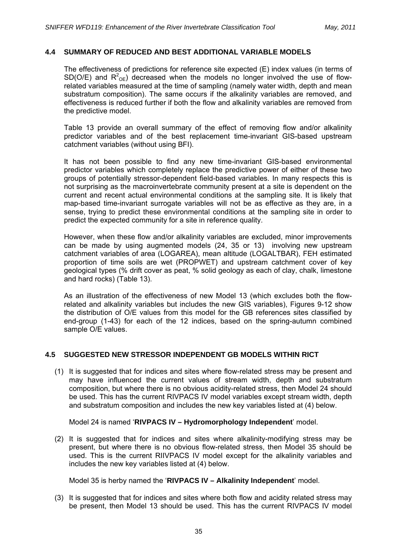## **4.4 SUMMARY OF REDUCED AND BEST ADDITIONAL VARIABLE MODELS**

The effectiveness of predictions for reference site expected (E) index values (in terms of SD(O/E) and  $R^2$ <sub>OE</sub>) decreased when the models no longer involved the use of flowrelated variables measured at the time of sampling (namely water width, depth and mean substratum composition). The same occurs if the alkalinity variables are removed, and effectiveness is reduced further if both the flow and alkalinity variables are removed from the predictive model.

Table 13 provide an overall summary of the effect of removing flow and/or alkalinity predictor variables and of the best replacement time-invariant GIS-based upstream catchment variables (without using BFI).

It has not been possible to find any new time-invariant GIS-based environmental predictor variables which completely replace the predictive power of either of these two groups of potentially stressor-dependent field-based variables. In many respects this is not surprising as the macroinvertebrate community present at a site is dependent on the current and recent actual environmental conditions at the sampling site. It is likely that map-based time-invariant surrogate variables will not be as effective as they are, in a sense, trying to predict these environmental conditions at the sampling site in order to predict the expected community for a site in reference quality.

However, when these flow and/or alkalinity variables are excluded, minor improvements can be made by using augmented models (24, 35 or 13) involving new upstream catchment variables of area (LOGAREA), mean altitude (LOGALTBAR), FEH estimated proportion of time soils are wet (PROPWET) and upstream catchment cover of key geological types (% drift cover as peat, % solid geology as each of clay, chalk, limestone and hard rocks) (Table 13).

As an illustration of the effectiveness of new Model 13 (which excludes both the flowrelated and alkalinity variables but includes the new GIS variables), Figures 9-12 show the distribution of O/E values from this model for the GB references sites classified by end-group (1-43) for each of the 12 indices, based on the spring-autumn combined sample O/E values.

# **4.5 SUGGESTED NEW STRESSOR INDEPENDENT GB MODELS WITHIN RICT**

(1) It is suggested that for indices and sites where flow-related stress may be present and may have influenced the current values of stream width, depth and substratum composition, but where there is no obvious acidity-related stress, then Model 24 should be used. This has the current RIVPACS IV model variables except stream width, depth and substratum composition and includes the new key variables listed at (4) below.

Model 24 is named '**RIVPACS IV – Hydromorphology Independent**' model.

(2) It is suggested that for indices and sites where alkalinity-modifying stress may be present, but where there is no obvious flow-related stress, then Model 35 should be used. This is the current RIIVPACS IV model except for the alkalinity variables and includes the new key variables listed at (4) below.

Model 35 is herby named the '**RIVPACS IV – Alkalinity Independent**' model.

(3) It is suggested that for indices and sites where both flow and acidity related stress may be present, then Model 13 should be used. This has the current RIVPACS IV model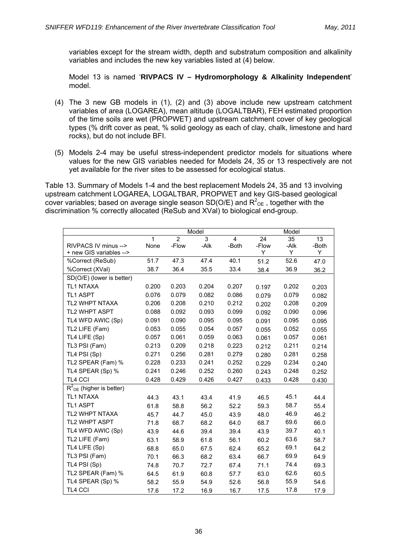variables except for the stream width, depth and substratum composition and alkalinity variables and includes the new key variables listed at (4) below.

Model 13 is named '**RIVPACS IV – Hydromorphology & Alkalinity Independent**' model.

- (4) The 3 new GB models in (1), (2) and (3) above include new upstream catchment variables of area (LOGAREA), mean altitude (LOGALTBAR), FEH estimated proportion of the time soils are wet (PROPWET) and upstream catchment cover of key geological types (% drift cover as peat, % solid geology as each of clay, chalk, limestone and hard rocks), but do not include BFI.
- (5) Models 2-4 may be useful stress-independent predictor models for situations where values for the new GIS variables needed for Models 24, 35 or 13 respectively are not yet available for the river sites to be assessed for ecological status.

Table 13. Summary of Models 1-4 and the best replacement Models 24, 35 and 13 involving upstream catchment LOGAREA, LOGALTBAR, PROPWET and key GIS-based geological cover variables; based on average single season SD(O/E) and  $R^2_{\text{OE}}$  , together with the discrimination % correctly allocated (ReSub and XVal) to biological end-group.

|                                        |       |               | Model |                |       | Model |       |
|----------------------------------------|-------|---------------|-------|----------------|-------|-------|-------|
|                                        | 1     | $\mathcal{P}$ | 3     | $\overline{4}$ | 24    | 35    | 13    |
| RIVPACS IV minus -->                   | None  | -Flow         | -Alk  | -Both          | -Flow | -Alk  | -Both |
| + new GIS variables -->                |       |               |       |                | Y     | Y     | Y     |
| %Correct (ReSub)                       | 51.7  | 47.3          | 47.4  | 40.1           | 51.2  | 52.6  | 47.0  |
| %Correct (XVal)                        | 38.7  | 36.4          | 35.5  | 33.4           | 38.4  | 36.9  | 36.2  |
| SD(O/E) (lower is better)              |       |               |       |                |       |       |       |
| <b>TL1 NTAXA</b>                       | 0.200 | 0.203         | 0.204 | 0.207          | 0.197 | 0.202 | 0.203 |
| <b>TL1 ASPT</b>                        | 0.076 | 0.079         | 0.082 | 0.086          | 0.079 | 0.079 | 0.082 |
| <b>TL2 WHPT NTAXA</b>                  | 0.206 | 0.208         | 0.210 | 0.212          | 0.202 | 0.208 | 0.209 |
| <b>TL2 WHPT ASPT</b>                   | 0.088 | 0.092         | 0.093 | 0.099          | 0.092 | 0.090 | 0.096 |
| TL4 WFD AWIC (Sp)                      | 0.091 | 0.090         | 0.095 | 0.095          | 0.091 | 0.095 | 0.095 |
| TL2 LIFE (Fam)                         | 0.053 | 0.055         | 0.054 | 0.057          | 0.055 | 0.052 | 0.055 |
| TL4 LIFE (Sp)                          | 0.057 | 0.061         | 0.059 | 0.063          | 0.061 | 0.057 | 0.061 |
| TL3 PSI (Fam)                          | 0.213 | 0.209         | 0.218 | 0.223          | 0.212 | 0.211 | 0.214 |
| TL4 PSI (Sp)                           | 0.271 | 0.256         | 0.281 | 0.279          | 0.280 | 0.281 | 0.258 |
| TL2 SPEAR (Fam) %                      | 0.228 | 0.233         | 0.241 | 0.252          | 0.229 | 0.234 | 0.240 |
| TL4 SPEAR (Sp) %                       | 0.241 | 0.246         | 0.252 | 0.260          | 0.243 | 0.248 | 0.252 |
| <b>TL4 CCI</b>                         | 0.428 | 0.429         | 0.426 | 0.427          | 0.433 | 0.428 | 0.430 |
| $R^2$ <sub>OE</sub> (higher is better) |       |               |       |                |       |       |       |
| <b>TL1 NTAXA</b>                       | 44.3  | 43.1          | 43.4  | 41.9           | 46.5  | 45.1  | 44.4  |
| <b>TL1 ASPT</b>                        | 61.8  | 58.8          | 56.2  | 52.2           | 59.3  | 58.7  | 55.4  |
| <b>TL2 WHPT NTAXA</b>                  | 45.7  | 44.7          | 45.0  | 43.9           | 48.0  | 46.9  | 46.2  |
| TL2 WHPT ASPT                          | 71.8  | 68.7          | 68.2  | 64.0           | 68.7  | 69.6  | 66.0  |
| TL4 WFD AWIC (Sp)                      | 43.9  | 44.6          | 39.4  | 39.4           | 43.9  | 39.7  | 40.1  |
| TL2 LIFE (Fam)                         | 63.1  | 58.9          | 61.8  | 56.1           | 60.2  | 63.6  | 58.7  |
| TL4 LIFE (Sp)                          | 68.8  | 65.0          | 67.5  | 62.4           | 65.2  | 69.1  | 64.2  |
| TL3 PSI (Fam)                          | 70.1  | 66.3          | 68.2  | 63.4           | 66.7  | 69.9  | 64.9  |
| TL4 PSI (Sp)                           | 74.8  | 70.7          | 72.7  | 67.4           | 71.1  | 74.4  | 69.3  |
| TL2 SPEAR (Fam) %                      | 64.5  | 61.9          | 60.8  | 57.7           | 63.0  | 62.6  | 60.5  |
| TL4 SPEAR (Sp) %                       | 58.2  | 55.9          | 54.9  | 52.6           | 56.8  | 55.9  | 54.6  |
| TL4 CCI                                | 17.6  | 17.2          | 16.9  | 16.7           | 17.5  | 17.8  | 17.9  |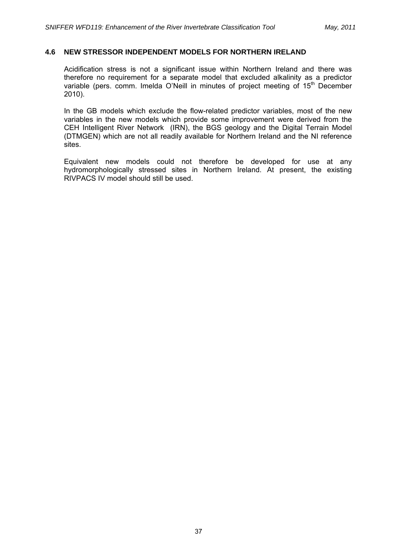### **4.6 NEW STRESSOR INDEPENDENT MODELS FOR NORTHERN IRELAND**

Acidification stress is not a significant issue within Northern Ireland and there was therefore no requirement for a separate model that excluded alkalinity as a predictor variable (pers. comm. Imelda O'Neill in minutes of project meeting of 15<sup>th</sup> December 2010).

In the GB models which exclude the flow-related predictor variables, most of the new variables in the new models which provide some improvement were derived from the CEH Intelligent River Network (IRN), the BGS geology and the Digital Terrain Model (DTMGEN) which are not all readily available for Northern Ireland and the NI reference sites.

Equivalent new models could not therefore be developed for use at any hydromorphologically stressed sites in Northern Ireland. At present, the existing RIVPACS IV model should still be used.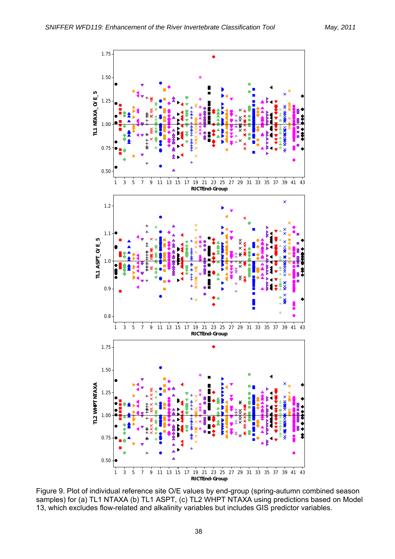

Figure 9. Plot of individual reference site O/E values by end-group (spring-autumn combined season<br>samples) for (a) TL1 NTAXA (b) TL1 ASPT (c) TL2 WHPT NTAXA using prodictions based on Mode samples) for (a) TL1 NTAXA (b) TL1 ASPT, (c) TL2 WHPT NTAXA using predictions based on Model 13, which excludes flow-related and alkalinity variables but includes GIS predictor variables.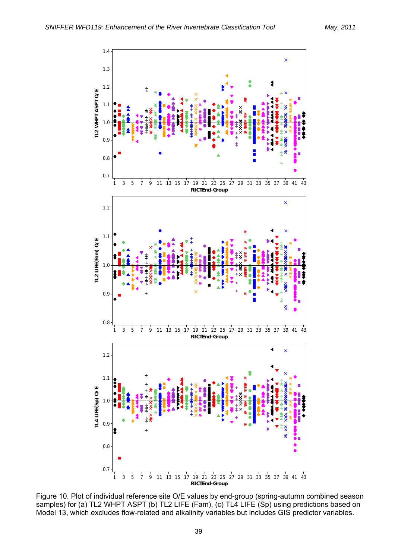

Figure 10. Plot of individual reference site O/E values by end-group (spring-autumn combined season<br>samples) for (a) IL2 WHPT ASPT (b) IL2 LIFE (Eam), (c) IL4 LIFE (Sp) using predictions based on samples) for (a) TL2 WHPT ASPT (b) TL2 LIFE (Fam), (c) TL4 LIFE (Sp) using predictions based on Model 13, which excludes flow-related and alkalinity variables but includes GIS predictor variables.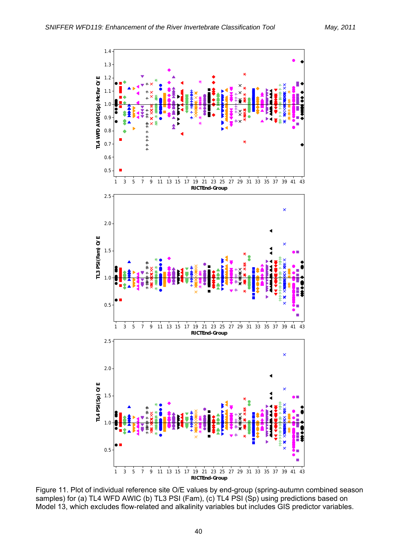

Figure 11. Plot of individual reference site O/E values by end-group (spring-autumn combined season<br>samples) for (a) IL4 WED AWIC (b) IL3 PSL(Eam), (c) IL4 PSL(Sp) using predictions based on samples) for (a) TL4 WFD AWIC (b) TL3 PSI (Fam), (c) TL4 PSI (Sp) using predictions based on Model 13, which excludes flow-related and alkalinity variables but includes GIS predictor variables.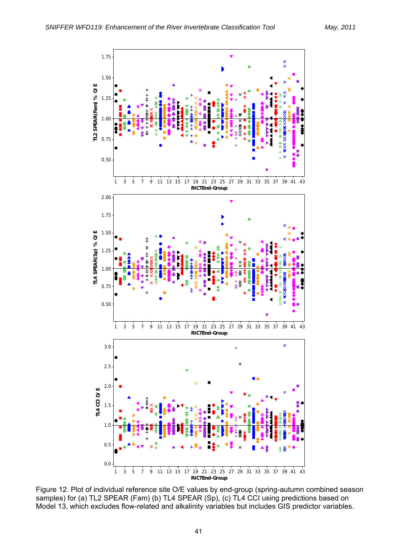

Figure 12. Plot of individual reference site O/E values by end-group (spring-autumn combined season samples) for (a) TL2 SPEAR (Fam) (b) TL4 SPEAR (Sp), (c) TL4 CCI using predictions based on Model 13, which excludes flow-related and alkalinity variables but includes GIS predictor variables.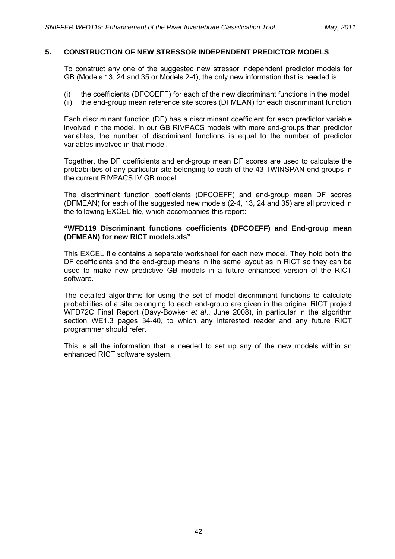### **5. CONSTRUCTION OF NEW STRESSOR INDEPENDENT PREDICTOR MODELS**

To construct any one of the suggested new stressor independent predictor models for GB (Models 13, 24 and 35 or Models 2-4), the only new information that is needed is:

- (i) the coefficients (DFCOEFF) for each of the new discriminant functions in the model
- (ii) the end-group mean reference site scores (DFMEAN) for each discriminant function

Each discriminant function (DF) has a discriminant coefficient for each predictor variable involved in the model. In our GB RIVPACS models with more end-groups than predictor variables, the number of discriminant functions is equal to the number of predictor variables involved in that model.

Together, the DF coefficients and end-group mean DF scores are used to calculate the probabilities of any particular site belonging to each of the 43 TWINSPAN end-groups in the current RIVPACS IV GB model.

The discriminant function coefficients (DFCOEFF) and end-group mean DF scores (DFMEAN) for each of the suggested new models (2-4, 13, 24 and 35) are all provided in the following EXCEL file, which accompanies this report:

### **"WFD119 Discriminant functions coefficients (DFCOEFF) and End-group mean (DFMEAN) for new RICT models.xls"**

This EXCEL file contains a separate worksheet for each new model. They hold both the DF coefficients and the end-group means in the same layout as in RICT so they can be used to make new predictive GB models in a future enhanced version of the RICT software.

The detailed algorithms for using the set of model discriminant functions to calculate probabilities of a site belonging to each end-group are given in the original RICT project WFD72C Final Report (Davy-Bowker *et al*., June 2008), in particular in the algorithm section WE1.3 pages 34-40, to which any interested reader and any future RICT programmer should refer.

This is all the information that is needed to set up any of the new models within an enhanced RICT software system.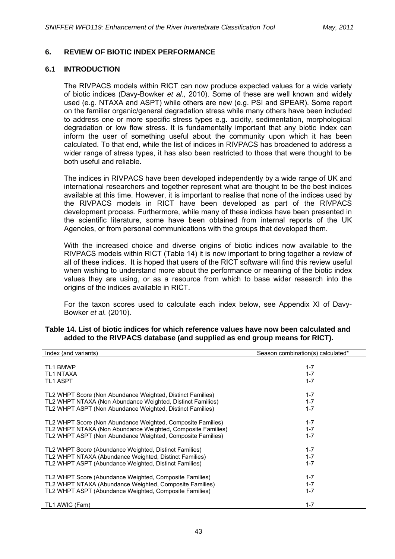# **6. REVIEW OF BIOTIC INDEX PERFORMANCE**

#### **6.1 INTRODUCTION**

The RIVPACS models within RICT can now produce expected values for a wide variety of biotic indices (Davy-Bowker *et al.,* 2010). Some of these are well known and widely used (e.g. NTAXA and ASPT) while others are new (e.g. PSI and SPEAR). Some report on the familiar organic/general degradation stress while many others have been included to address one or more specific stress types e.g. acidity, sedimentation, morphological degradation or low flow stress. It is fundamentally important that any biotic index can inform the user of something useful about the community upon which it has been calculated. To that end, while the list of indices in RIVPACS has broadened to address a wider range of stress types, it has also been restricted to those that were thought to be both useful and reliable.

The indices in RIVPACS have been developed independently by a wide range of UK and international researchers and together represent what are thought to be the best indices available at this time. However, it is important to realise that none of the indices used by the RIVPACS models in RICT have been developed as part of the RIVPACS development process. Furthermore, while many of these indices have been presented in the scientific literature, some have been obtained from internal reports of the UK Agencies, or from personal communications with the groups that developed them.

With the increased choice and diverse origins of biotic indices now available to the RIVPACS models within RICT (Table 14) it is now important to bring together a review of all of these indices. It is hoped that users of the RICT software will find this review useful when wishing to understand more about the performance or meaning of the biotic index values they are using, or as a resource from which to base wider research into the origins of the indices available in RICT.

For the taxon scores used to calculate each index below, see Appendix XI of Davy-Bowker *et al.* (2010).

| Index (and variants)                                        | Season combination(s) calculated* |
|-------------------------------------------------------------|-----------------------------------|
| <b>TL1 BMWP</b>                                             | $1 - 7$                           |
| <b>TL1 NTAXA</b>                                            | $1 - 7$                           |
| <b>TL1 ASPT</b>                                             | $1 - 7$                           |
| TL2 WHPT Score (Non Abundance Weighted, Distinct Families)  | $1 - 7$                           |
| TL2 WHPT NTAXA (Non Abundance Weighted, Distinct Families)  | $1 - 7$                           |
| TL2 WHPT ASPT (Non Abundance Weighted, Distinct Families)   | $1 - 7$                           |
| TL2 WHPT Score (Non Abundance Weighted, Composite Families) | $1 - 7$                           |
| TL2 WHPT NTAXA (Non Abundance Weighted, Composite Families) | $1 - 7$                           |
| TL2 WHPT ASPT (Non Abundance Weighted, Composite Families)  | $1 - 7$                           |
| TL2 WHPT Score (Abundance Weighted, Distinct Families)      | $1 - 7$                           |
| TL2 WHPT NTAXA (Abundance Weighted, Distinct Families)      | $1 - 7$                           |
| TL2 WHPT ASPT (Abundance Weighted, Distinct Families)       | $1 - 7$                           |
| TL2 WHPT Score (Abundance Weighted, Composite Families)     | $1 - 7$                           |
| TL2 WHPT NTAXA (Abundance Weighted, Composite Families)     | $1 - 7$                           |
| TL2 WHPT ASPT (Abundance Weighted, Composite Families)      | $1 - 7$                           |
| TL1 AWIC (Fam)                                              | $1 - 7$                           |

### **Table 14. List of biotic indices for which reference values have now been calculated and added to the RIVPACS database (and supplied as end group means for RICT).**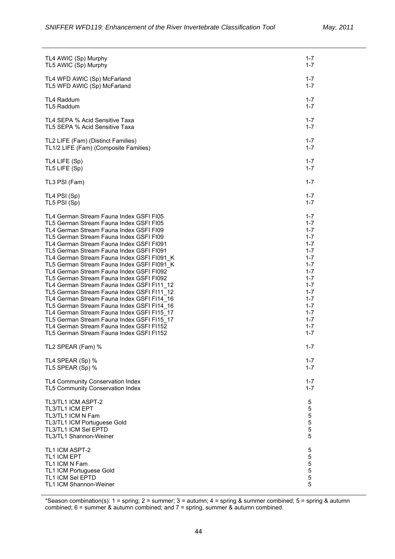| TL4 AWIC (Sp) Murphy                       | 1-7     |
|--------------------------------------------|---------|
| TL5 AWIC (Sp) Murphy                       | $1 - 7$ |
| TL4 WFD AWIC (Sp) McFarland                | $1 - 7$ |
| TL5 WFD AWIC (Sp) McFarland                | $1 - 7$ |
| <b>TL4 Raddum</b>                          | $1 - 7$ |
| TL5 Raddum                                 | $1 - 7$ |
| TL4 SEPA % Acid Sensitive Taxa             | $1 - 7$ |
| TL5 SEPA % Acid Sensitive Taxa             | $1 - 7$ |
| TL2 LIFE (Fam) (Distinct Families)         | $1 - 7$ |
| TL1/2 LIFE (Fam) (Composite Families)      | $1 - 7$ |
| TL4 LIFE (Sp)                              | $1 - 7$ |
| TL5 LIFE (Sp)                              | $1 - 7$ |
| TL3 PSI (Fam)                              | $1 - 7$ |
| TL4 PSI (Sp)                               | $1 - 7$ |
| TL5 PSI (Sp)                               | $1 - 7$ |
| TL4 German Stream Fauna Index GSFI FI05    | $1 - 7$ |
| TL5 German Stream Fauna Index GSFI FI05    | $1 - 7$ |
| TL4 German Stream Fauna Index GSFI FI09    | $1 - 7$ |
| TL5 German Stream Fauna Index GSFI FI09    | $1 - 7$ |
| TL4 German Stream Fauna Index GSFI FI091   | $1 - 7$ |
| TL5 German Stream Fauna Index GSFI FI091   | $1 - 7$ |
| TL4 German Stream Fauna Index GSFI FI091 K | $1 - 7$ |
| TL5 German Stream Fauna Index GSFI FI091 K | $1 - 7$ |
| TL4 German Stream Fauna Index GSFI FI092   | $1 - 7$ |
| TL5 German Stream Fauna Index GSFI FI092   | $1 - 7$ |
| TL4 German Stream Fauna Index GSFI FI11 12 | 1-7     |
| TL5 German Stream Fauna Index GSFI FI11 12 | $1 - 7$ |
| TL4 German Stream Fauna Index GSFI FI14 16 | $1 - 7$ |
| TL5 German Stream Fauna Index GSFI FI14 16 | $1 - 7$ |
| TL4 German Stream Fauna Index GSFI FI15 17 | $1 - 7$ |
| TL5 German Stream Fauna Index GSFI FI15 17 | $1 - 7$ |
| TL4 German Stream Fauna Index GSFI F1152   | $1 - 7$ |
| TL5 German Stream Fauna Index GSFI F1152   | $1 - 7$ |
| TL2 SPEAR (Fam) %                          | $1 - 7$ |
| TL4 SPEAR (Sp) %                           | 1-7     |
| TL5 SPEAR (Sp) %                           | 1-7     |
| TL4 Community Conservation Index           | 1-7     |
| TL5 Community Conservation Index           | $1 - 7$ |
| TL3/TL1 ICM ASPT-2                         | 5       |
| <b>TL3/TL1 ICM EPT</b>                     | 5       |
| TL3/TL1 ICM N Fam                          | 5       |
| TL3/TL1 ICM Portuguese Gold                | 5       |
| <b>TL3/TL1 ICM Sel EPTD</b>                | 5       |
| TL3/TL1 Shannon-Weiner                     | 5       |
| TL1 ICM ASPT-2                             | 5       |
| <b>TL1 ICM EPT</b>                         | 5       |
| TL1 ICM N Fam                              | 5       |
| TL1 ICM Portuguese Gold                    | 5       |
| <b>TL1 ICM Sel EPTD</b>                    | 5       |
| TL1 ICM Shannon-Weiner                     | 5       |

\*Season combination(s): 1 = spring; 2 = summer; 3 = autumn; 4 = spring & summer combined; 5 = spring & autumn combined; 6 = summer & autumn combined; and 7 = spring, summer & autumn combined.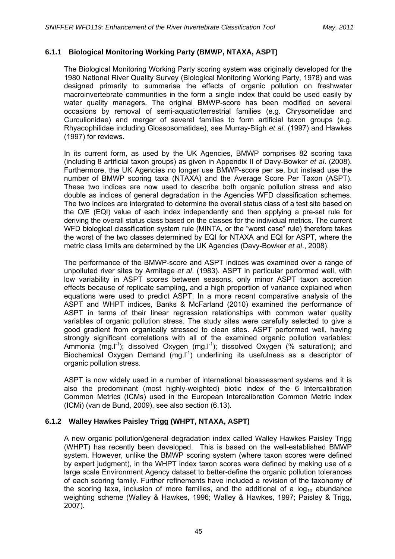## **6.1.1 Biological Monitoring Working Party (BMWP, NTAXA, ASPT)**

The Biological Monitoring Working Party scoring system was originally developed for the 1980 National River Quality Survey (Biological Monitoring Working Party, 1978) and was designed primarily to summarise the effects of organic pollution on freshwater macroinvertebrate communities in the form a single index that could be used easily by water quality managers. The original BMWP-score has been modified on several occasions by removal of semi-aquatic/terrestrial families (e.g. Chrysomelidae and Curculionidae) and merger of several families to form artificial taxon groups (e.g. Rhyacophilidae including Glossosomatidae), see Murray-Bligh *et al*. (1997) and Hawkes (1997) for reviews.

In its current form, as used by the UK Agencies, BMWP comprises 82 scoring taxa (including 8 artificial taxon groups) as given in Appendix II of Davy-Bowker *et al*. (2008). Furthermore, the UK Agencies no longer use BMWP-score per se, but instead use the number of BMWP scoring taxa (NTAXA) and the Average Score Per Taxon (ASPT). These two indices are now used to describe both organic pollution stress and also double as indices of general degradation in the Agencies WFD classification schemes. The two indices are intergrated to determine the overall status class of a test site based on the O/E (EQI) value of each index independently and then applying a pre-set rule for deriving the overall status class based on the classes for the individual metrics. The current WFD biological classification system rule (MINTA, or the "worst case" rule) therefore takes the worst of the two classes determined by EQI for NTAXA and EQI for ASPT, where the metric class limits are determined by the UK Agencies (Davy-Bowker *et al*., 2008).

The performance of the BMWP-score and ASPT indices was examined over a range of unpolluted river sites by Armitage *et al*. (1983). ASPT in particular performed well, with low variability in ASPT scores between seasons, only minor ASPT taxon accretion effects because of replicate sampling, and a high proportion of variance explained when equations were used to predict ASPT. In a more recent comparative analysis of the ASPT and WHPT indices, Banks & McFarland (2010) examined the performance of ASPT in terms of their linear regression relationships with common water quality variables of organic pollution stress. The study sites were carefully selected to give a good gradient from organically stressed to clean sites. ASPT performed well, having strongly significant correlations with all of the examined organic pollution variables: Ammonia (mg.I<sup>-1</sup>); dissolved Oxygen (mg.I<sup>-1</sup>); dissolved Oxygen (% saturation); and Biochemical Oxygen Demand  $(mg.l<sup>-1</sup>)$  underlining its usefulness as a descriptor of organic pollution stress.

ASPT is now widely used in a number of international bioassessment systems and it is also the predominant (most highly-weighted) biotic index of the 6 Intercalibration Common Metrics (ICMs) used in the European Intercalibration Common Metric index (ICMi) (van de Bund, 2009), see also section (6.13).

### **6.1.2 Walley Hawkes Paisley Trigg (WHPT, NTAXA, ASPT)**

A new organic pollution/general degradation index called Walley Hawkes Paisley Trigg (WHPT) has recently been developed. This is based on the well-established BMWP system. However, unlike the BMWP scoring system (where taxon scores were defined by expert judgment), in the WHPT index taxon scores were defined by making use of a large scale Environment Agency dataset to better-define the organic pollution tolerances of each scoring family. Further refinements have included a revision of the taxonomy of the scoring taxa, inclusion of more families, and the additional of a  $log_{10}$  abundance weighting scheme (Walley & Hawkes, 1996; Walley & Hawkes, 1997; Paisley & Trigg, 2007).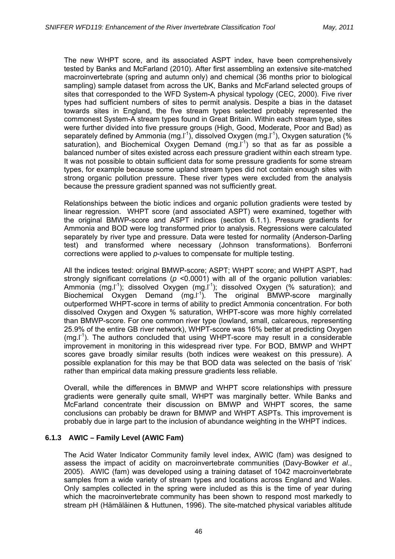The new WHPT score, and its associated ASPT index, have been comprehensively tested by Banks and McFarland (2010). After first assembling an extensive site-matched macroinvertebrate (spring and autumn only) and chemical (36 months prior to biological sampling) sample dataset from across the UK, Banks and McFarland selected groups of sites that corresponded to the WFD System-A physical typology (CEC, 2000). Five river types had sufficient numbers of sites to permit analysis. Despite a bias in the dataset towards sites in England, the five stream types selected probably represented the commonest System-A stream types found in Great Britain. Within each stream type, sites were further divided into five pressure groups (High, Good, Moderate, Poor and Bad) as separately defined by Ammonia (mg. $I<sup>-1</sup>$ ), dissolved Oxygen (mg. $I<sup>-1</sup>$ ), Oxygen saturation (% saturation), and Biochemical Oxygen Demand  $(mg.l^{-1})$  so that as far as possible a balanced number of sites existed across each pressure gradient within each stream type. It was not possible to obtain sufficient data for some pressure gradients for some stream types, for example because some upland stream types did not contain enough sites with strong organic pollution pressure. These river types were excluded from the analysis because the pressure gradient spanned was not sufficiently great.

Relationships between the biotic indices and organic pollution gradients were tested by linear regression. WHPT score (and associated ASPT) were examined, together with the original BMWP-score and ASPT indices (section 6.1.1). Pressure gradients for Ammonia and BOD were log transformed prior to analysis. Regressions were calculated separately by river type and pressure. Data were tested for normality (Anderson-Darling test) and transformed where necessary (Johnson transformations). Bonferroni corrections were applied to *p*-values to compensate for multiple testing.

All the indices tested: original BMWP-score; ASPT; WHPT score; and WHPT ASPT, had strongly significant correlations ( $p$  <0.0001) with all of the organic pollution variables: Ammonia (mg.<sup>1-1</sup>); dissolved Oxygen (mg.<sup>1-1</sup>); dissolved Oxygen (% saturation); and Biochemical Oxygen Demand (mg.I<sup>-1</sup>). The original BMWP-score marginally outperformed WHPT-score in terms of ability to predict Ammonia concentration. For both dissolved Oxygen and Oxygen % saturation, WHPT-score was more highly correlated than BMWP-score. For one common river type (lowland, small, calcareous, representing 25.9% of the entire GB river network), WHPT-score was 16% better at predicting Oxygen  $(mg.l<sup>-1</sup>)$ . The authors concluded that using WHPT-score may result in a considerable improvement in monitoring in this widespread river type. For BOD, BMWP and WHPT scores gave broadly similar results (both indices were weakest on this pressure). A possible explanation for this may be that BOD data was selected on the basis of 'risk' rather than empirical data making pressure gradients less reliable.

Overall, while the differences in BMWP and WHPT score relationships with pressure gradients were generally quite small, WHPT was marginally better. While Banks and McFarland concentrate their discussion on BMWP and WHPT scores, the same conclusions can probably be drawn for BMWP and WHPT ASPTs. This improvement is probably due in large part to the inclusion of abundance weighting in the WHPT indices.

# **6.1.3 AWIC – Family Level (AWIC Fam)**

The Acid Water Indicator Community family level index, AWIC (fam) was designed to assess the impact of acidity on macroinvertebrate communities (Davy-Bowker *et al*., 2005). AWIC (fam) was developed using a training dataset of 1042 macroinvertebrate samples from a wide variety of stream types and locations across England and Wales. Only samples collected in the spring were included as this is the time of year during which the macroinvertebrate community has been shown to respond most markedly to stream pH (Hämäläinen & Huttunen, 1996). The site-matched physical variables altitude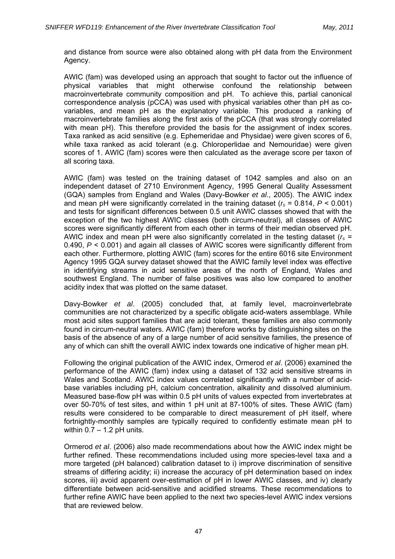and distance from source were also obtained along with pH data from the Environment Agency.

AWIC (fam) was developed using an approach that sought to factor out the influence of physical variables that might otherwise confound the relationship between macroinvertebrate community composition and pH. To achieve this, partial canonical correspondence analysis (pCCA) was used with physical variables other than pH as covariables, and mean pH as the explanatory variable. This produced a ranking of macroinvertebrate families along the first axis of the pCCA (that was strongly correlated with mean pH). This therefore provided the basis for the assignment of index scores. Taxa ranked as acid sensitive (e.g. Ephemeridae and Physidae) were given scores of 6, while taxa ranked as acid tolerant (e.g. Chloroperlidae and Nemouridae) were given scores of 1. AWIC (fam) scores were then calculated as the average score per taxon of all scoring taxa.

AWIC (fam) was tested on the training dataset of 1042 samples and also on an independent dataset of 2710 Environment Agency, 1995 General Quality Assessment (GQA) samples from England and Wales (Davy-Bowker *et al*., 2005). The AWIC index and mean pH were significantly correlated in the training dataset ( $r_s = 0.814$ ,  $P < 0.001$ ) and tests for significant differences between 0.5 unit AWIC classes showed that with the exception of the two highest AWIC classes (both circum-neutral), all classes of AWIC scores were significantly different from each other in terms of their median observed pH. AWIC index and mean pH were also significantly correlated in the testing dataset  $(r<sub>s</sub> =$ 0.490, *P* < 0.001) and again all classes of AWIC scores were significantly different from each other. Furthermore, plotting AWIC (fam) scores for the entire 6016 site Environment Agency 1995 GQA survey dataset showed that the AWIC family level index was effective in identifying streams in acid sensitive areas of the north of England, Wales and southwest England. The number of false positives was also low compared to another acidity index that was plotted on the same dataset.

Davy-Bowker *et al*. (2005) concluded that, at family level, macroinvertebrate communities are not characterized by a specific obligate acid-waters assemblage. While most acid sites support families that are acid tolerant, these families are also commonly found in circum-neutral waters. AWIC (fam) therefore works by distinguishing sites on the basis of the absence of any of a large number of acid sensitive families, the presence of any of which can shift the overall AWIC index towards one indicative of higher mean pH.

Following the original publication of the AWIC index, Ormerod *et al*. (2006) examined the performance of the AWIC (fam) index using a dataset of 132 acid sensitive streams in Wales and Scotland. AWIC index values correlated significantly with a number of acidbase variables including pH, calcium concentration, alkalinity and dissolved aluminium. Measured base-flow pH was within 0.5 pH units of values expected from invertebrates at over 50-70% of test sites, and within 1 pH unit at 87-100% of sites. These AWIC (fam) results were considered to be comparable to direct measurement of pH itself, where fortnightly-monthly samples are typically required to confidently estimate mean pH to within  $0.7 - 1.2$  pH units.

Ormerod *et al*. (2006) also made recommendations about how the AWIC index might be further refined. These recommendations included using more species-level taxa and a more targeted (pH balanced) calibration dataset to i) improve discrimination of sensitive streams of differing acidity; ii) increase the accuracy of pH determination based on index scores, iii) avoid apparent over-estimation of pH in lower AWIC classes, and iv) clearly differentiate between acid-sensitive and acidified streams. These recommendations to further refine AWIC have been applied to the next two species-level AWIC index versions that are reviewed below.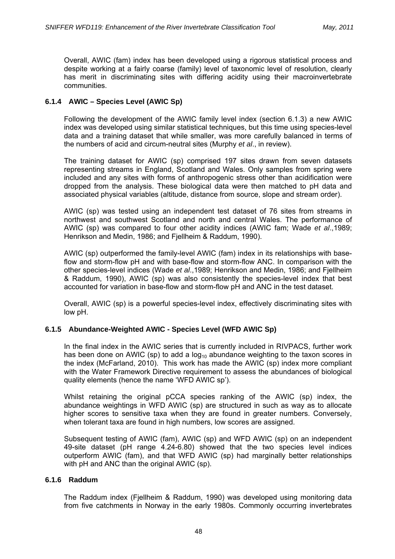Overall, AWIC (fam) index has been developed using a rigorous statistical process and despite working at a fairly coarse (family) level of taxonomic level of resolution, clearly has merit in discriminating sites with differing acidity using their macroinvertebrate communities.

# **6.1.4 AWIC – Species Level (AWIC Sp)**

Following the development of the AWIC family level index (section 6.1.3) a new AWIC index was developed using similar statistical techniques, but this time using species-level data and a training dataset that while smaller, was more carefully balanced in terms of the numbers of acid and circum-neutral sites (Murphy *et al*., in review).

The training dataset for AWIC (sp) comprised 197 sites drawn from seven datasets representing streams in England, Scotland and Wales. Only samples from spring were included and any sites with forms of anthropogenic stress other than acidification were dropped from the analysis. These biological data were then matched to pH data and associated physical variables (altitude, distance from source, slope and stream order).

AWIC (sp) was tested using an independent test dataset of 76 sites from streams in northwest and southwest Scotland and north and central Wales. The performance of AWIC (sp) was compared to four other acidity indices (AWIC fam; Wade *et al*.,1989; Henrikson and Medin, 1986; and Fjellheim & Raddum, 1990).

AWIC (sp) outperformed the family-level AWIC (fam) index in its relationships with baseflow and storm-flow pH and with base-flow and storm-flow ANC. In comparison with the other species-level indices (Wade *et al*.,1989; Henrikson and Medin, 1986; and Fjellheim & Raddum, 1990), AWIC (sp) was also consistently the species-level index that best accounted for variation in base-flow and storm-flow pH and ANC in the test dataset.

Overall, AWIC (sp) is a powerful species-level index, effectively discriminating sites with low pH.

# **6.1.5 Abundance-Weighted AWIC - Species Level (WFD AWIC Sp)**

In the final index in the AWIC series that is currently included in RIVPACS, further work has been done on AWIC (sp) to add a  $log_{10}$  abundance weighting to the taxon scores in the index (McFarland, 2010). This work has made the AWIC (sp) index more compliant with the Water Framework Directive requirement to assess the abundances of biological quality elements (hence the name 'WFD AWIC sp').

Whilst retaining the original pCCA species ranking of the AWIC (sp) index, the abundance weightings in WFD AWIC (sp) are structured in such as way as to allocate higher scores to sensitive taxa when they are found in greater numbers. Conversely, when tolerant taxa are found in high numbers, low scores are assigned.

Subsequent testing of AWIC (fam), AWIC (sp) and WFD AWIC (sp) on an independent 49-site dataset (pH range 4.24-6.80) showed that the two species level indices outperform AWIC (fam), and that WFD AWIC (sp) had marginally better relationships with pH and ANC than the original AWIC (sp).

### **6.1.6 Raddum**

The Raddum index (Fjellheim & Raddum, 1990) was developed using monitoring data from five catchments in Norway in the early 1980s. Commonly occurring invertebrates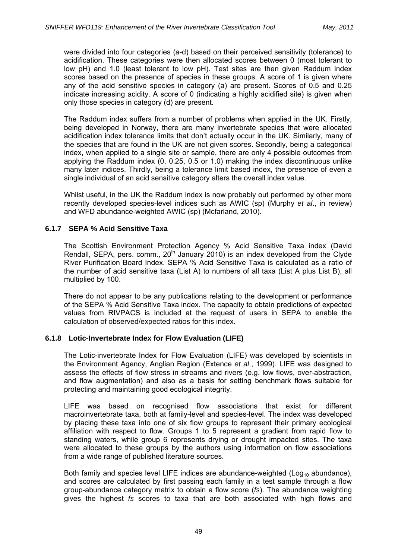were divided into four categories (a-d) based on their perceived sensitivity (tolerance) to acidification. These categories were then allocated scores between 0 (most tolerant to low pH) and 1.0 (least tolerant to low pH). Test sites are then given Raddum index scores based on the presence of species in these groups. A score of 1 is given where any of the acid sensitive species in category (a) are present. Scores of 0.5 and 0.25 indicate increasing acidity. A score of 0 (indicating a highly acidified site) is given when only those species in category (d) are present.

The Raddum index suffers from a number of problems when applied in the UK. Firstly, being developed in Norway, there are many invertebrate species that were allocated acidification index tolerance limits that don't actually occur in the UK. Similarly, many of the species that are found in the UK are not given scores. Secondly, being a categorical index, when applied to a single site or sample, there are only 4 possible outcomes from applying the Raddum index (0, 0.25, 0.5 or 1.0) making the index discontinuous unlike many later indices. Thirdly, being a tolerance limit based index, the presence of even a single individual of an acid sensitive category alters the overall index value.

Whilst useful, in the UK the Raddum index is now probably out performed by other more recently developed species-level indices such as AWIC (sp) (Murphy *et al*., in review) and WFD abundance-weighted AWIC (sp) (Mcfarland, 2010).

# **6.1.7 SEPA % Acid Sensitive Taxa**

The Scottish Environment Protection Agency % Acid Sensitive Taxa index (David Rendall, SEPA, pers. comm.,  $20<sup>th</sup>$  January 2010) is an index developed from the Clyde River Purification Board Index. SEPA % Acid Sensitive Taxa is calculated as a ratio of the number of acid sensitive taxa (List A) to numbers of all taxa (List A plus List B), all multiplied by 100.

There do not appear to be any publications relating to the development or performance of the SEPA % Acid Sensitive Taxa index. The capacity to obtain predictions of expected values from RIVPACS is included at the request of users in SEPA to enable the calculation of observed/expected ratios for this index.

# **6.1.8 Lotic-Invertebrate Index for Flow Evaluation (LIFE)**

The Lotic-invertebrate Index for Flow Evaluation (LIFE) was developed by scientists in the Environment Agency, Anglian Region (Extence *et al*., 1999). LIFE was designed to assess the effects of flow stress in streams and rivers (e.g. low flows, over-abstraction, and flow augmentation) and also as a basis for setting benchmark flows suitable for protecting and maintaining good ecological integrity.

LIFE was based on recognised flow associations that exist for different macroinvertebrate taxa, both at family-level and species-level. The index was developed by placing these taxa into one of six flow groups to represent their primary ecological affiliation with respect to flow. Groups 1 to 5 represent a gradient from rapid flow to standing waters, while group 6 represents drying or drought impacted sites. The taxa were allocated to these groups by the authors using information on flow associations from a wide range of published literature sources.

Both family and species level LIFE indices are abundance-weighted ( $Log_{10}$  abundance), and scores are calculated by first passing each family in a test sample through a flow group-abundance category matrix to obtain a flow score (*fs*). The abundance weighting gives the highest *fs* scores to taxa that are both associated with high flows and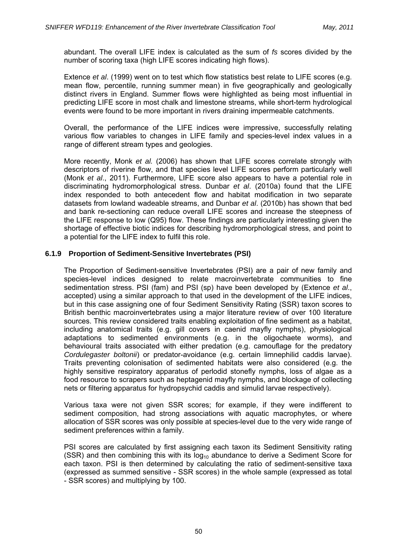abundant. The overall LIFE index is calculated as the sum of *fs* scores divided by the number of scoring taxa (high LIFE scores indicating high flows).

Extence *et al*. (1999) went on to test which flow statistics best relate to LIFE scores (e.g. mean flow, percentile, running summer mean) in five geographically and geologically distinct rivers in England. Summer flows were highlighted as being most influential in predicting LIFE score in most chalk and limestone streams, while short-term hydrological events were found to be more important in rivers draining impermeable catchments.

Overall, the performance of the LIFE indices were impressive, successfully relating various flow variables to changes in LIFE family and species-level index values in a range of different stream types and geologies.

More recently, Monk *et al.* (2006) has shown that LIFE scores correlate strongly with descriptors of riverine flow, and that species level LIFE scores perform particularly well (Monk *et al*., 2011). Furthermore, LIFE score also appears to have a potential role in discriminating hydromorphological stress. Dunbar *et al*. (2010a) found that the LIFE index responded to both antecedent flow and habitat modification in two separate datasets from lowland wadeable streams, and Dunbar *et al*. (2010b) has shown that bed and bank re-sectioning can reduce overall LIFE scores and increase the steepness of the LIFE response to low (Q95) flow. These findings are particularly interesting given the shortage of effective biotic indices for describing hydromorphological stress, and point to a potential for the LIFE index to fulfil this role.

## **6.1.9 Proportion of Sediment-Sensitive Invertebrates (PSI)**

The Proportion of Sediment-sensitive Invertebrates (PSI) are a pair of new family and species-level indices designed to relate macroinvertebrate communities to fine sedimentation stress. PSI (fam) and PSI (sp) have been developed by (Extence *et al*., accepted) using a similar approach to that used in the development of the LIFE indices, but in this case assigning one of four Sediment Sensitivity Rating (SSR) taxon scores to British benthic macroinvertebrates using a major literature review of over 100 literature sources. This review considered traits enabling exploitation of fine sediment as a habitat, including anatomical traits (e.g. gill covers in caenid mayfly nymphs), physiological adaptations to sedimented environments (e.g. in the oligochaete worms), and behavioural traits associated with either predation (e.g. camouflage for the predatory *Cordulegaster boltonii*) or predator-avoidance (e.g. certain limnephilid caddis larvae). Traits preventing colonisation of sedimented habitats were also considered (e.g. the highly sensitive respiratory apparatus of perlodid stonefly nymphs, loss of algae as a food resource to scrapers such as heptagenid mayfly nymphs, and blockage of collecting nets or filtering apparatus for hydropsychid caddis and simulid larvae respectively).

Various taxa were not given SSR scores; for example, if they were indifferent to sediment composition, had strong associations with aquatic macrophytes, or where allocation of SSR scores was only possible at species-level due to the very wide range of sediment preferences within a family.

PSI scores are calculated by first assigning each taxon its Sediment Sensitivity rating (SSR) and then combining this with its  $log_{10}$  abundance to derive a Sediment Score for each taxon. PSI is then determined by calculating the ratio of sediment-sensitive taxa (expressed as summed sensitive - SSR scores) in the whole sample (expressed as total - SSR scores) and multiplying by 100.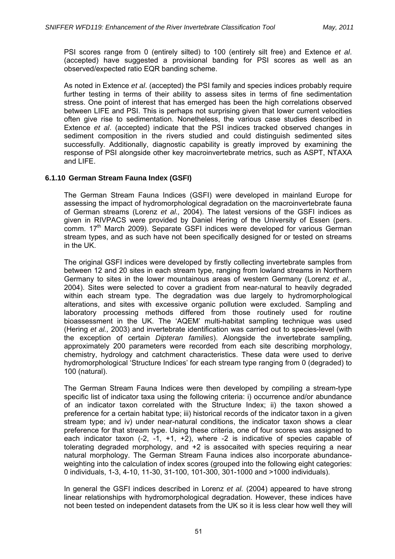PSI scores range from 0 (entirely silted) to 100 (entirely silt free) and Extence *et al*. (accepted) have suggested a provisional banding for PSI scores as well as an observed/expected ratio EQR banding scheme.

As noted in Extence *et al*. (accepted) the PSI family and species indices probably require further testing in terms of their ability to assess sites in terms of fine sedimentation stress. One point of interest that has emerged has been the high correlations observed between LIFE and PSI. This is perhaps not surprising given that lower current velocities often give rise to sedimentation. Nonetheless, the various case studies described in Extence *et al*. (accepted) indicate that the PSI indices tracked observed changes in sediment composition in the rivers studied and could distinguish sedimented sites successfully. Additionally, diagnostic capability is greatly improved by examining the response of PSI alongside other key macroinvertebrate metrics, such as ASPT, NTAXA and LIFE.

## **6.1.10 German Stream Fauna Index (GSFI)**

The German Stream Fauna Indices (GSFI) were developed in mainland Europe for assessing the impact of hydromorphological degradation on the macroinvertebrate fauna of German streams (Lorenz *et al.,* 2004). The latest versions of the GSFI indices as given in RIVPACS were provided by Daniel Hering of the University of Essen (pers. comm. 17<sup>th</sup> March 2009). Separate GSFI indices were developed for various German stream types, and as such have not been specifically designed for or tested on streams in the UK.

The original GSFI indices were developed by firstly collecting invertebrate samples from between 12 and 20 sites in each stream type, ranging from lowland streams in Northern Germany to sites in the lower mountainous areas of western Germany (Lorenz *et al.,* 2004). Sites were selected to cover a gradient from near-natural to heavily degraded within each stream type. The degradation was due largely to hydromorphological alterations, and sites with excessive organic pollution were excluded. Sampling and laboratory processing methods differed from those routinely used for routine bioassessment in the UK. The 'AQEM' multi-habitat sampling technique was used (Hering *et al.,* 2003) and invertebrate identification was carried out to species-level (with the exception of certain *Dipteran families*). Alongside the invertebrate sampling, approximately 200 parameters were recorded from each site describing morphology, chemistry, hydrology and catchment characteristics. These data were used to derive hydromorphological 'Structure Indices' for each stream type ranging from 0 (degraded) to 100 (natural).

The German Stream Fauna Indices were then developed by compiling a stream-type specific list of indicator taxa using the following criteria: i) occurrence and/or abundance of an indicator taxon correlated with the Structure Index; ii) the taxon showed a preference for a certain habitat type; iii) historical records of the indicator taxon in a given stream type; and iv) under near-natural conditions, the indicator taxon shows a clear preference for that stream type. Using these criteria, one of four scores was assigned to each indicator taxon  $(-2, -1, +1, +2)$ , where  $-2$  is indicative of species capable of tolerating degraded morphology, and +2 is assocaited with species requiring a near natural morphology. The German Stream Fauna indices also incorporate abundanceweighting into the calculation of index scores (grouped into the following eight categories: 0 individuals, 1-3, 4-10, 11-30, 31-100, 101-300, 301-1000 and >1000 individuals).

In general the GSFI indices described in Lorenz *et al.* (2004) appeared to have strong linear relationships with hydromorphological degradation. However, these indices have not been tested on independent datasets from the UK so it is less clear how well they will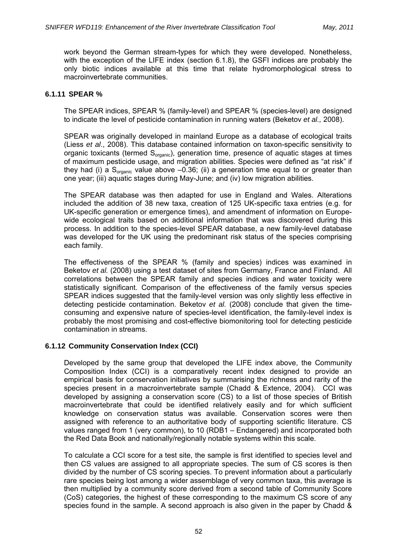work beyond the German stream-types for which they were developed. Nonetheless, with the exception of the LIFE index (section 6.1.8), the GSFI indices are probably the only biotic indices available at this time that relate hydromorphological stress to macroinvertebrate communities.

# **6.1.11 SPEAR %**

The SPEAR indices, SPEAR % (family-level) and SPEAR % (species-level) are designed to indicate the level of pesticide contamination in running waters (Beketov *et al.,* 2008).

SPEAR was originally developed in mainland Europe as a database of ecological traits (Liess *et al*., 2008). This database contained information on taxon-specific sensitivity to organic toxicants (termed S<sub>organic</sub>), generation time, presence of aquatic stages at times of maximum pesticide usage, and migration abilities. Species were defined as "at risk" if they had (i) a  $S_{\text{oraanic}}$  value above  $-0.36$ ; (ii) a generation time equal to or greater than one year; (iii) aquatic stages during May-June; and (iv) low migration abilities.

The SPEAR database was then adapted for use in England and Wales. Alterations included the addition of 38 new taxa, creation of 125 UK-specific taxa entries (e.g. for UK-specific generation or emergence times), and amendment of information on Europewide ecological traits based on additional information that was discovered during this process. In addition to the species-level SPEAR database, a new family-level database was developed for the UK using the predominant risk status of the species comprising each family.

The effectiveness of the SPEAR % (family and species) indices was examined in Beketov *et al.* (2008) using a test dataset of sites from Germany, France and Finland. All correlations between the SPEAR family and species indices and water toxicity were statistically significant. Comparison of the effectiveness of the family versus species SPEAR indices suggested that the family-level version was only slightly less effective in detecting pesticide contamination. Beketov *et al.* (2008) conclude that given the timeconsuming and expensive nature of species-level identification, the family-level index is probably the most promising and cost-effective biomonitoring tool for detecting pesticide contamination in streams.

# **6.1.12 Community Conservation Index (CCI)**

Developed by the same group that developed the LIFE index above, the Community Composition Index (CCI) is a comparatively recent index designed to provide an empirical basis for conservation initiatives by summarising the richness and rarity of the species present in a macroinvertebrate sample (Chadd & Extence, 2004). CCI was developed by assigning a conservation score (CS) to a list of those species of British macroinvertebrate that could be identified relatively easily and for which sufficient knowledge on conservation status was available. Conservation scores were then assigned with reference to an authoritative body of supporting scientific literature. CS values ranged from 1 (very common), to 10 (RDB1 – Endangered) and incorporated both the Red Data Book and nationally/regionally notable systems within this scale.

To calculate a CCI score for a test site, the sample is first identified to species level and then CS values are assigned to all appropriate species. The sum of CS scores is then divided by the number of CS scoring species. To prevent information about a particularly rare species being lost among a wider assemblage of very common taxa, this average is then multiplied by a community score derived from a second table of Community Score (CoS) categories, the highest of these corresponding to the maximum CS score of any species found in the sample. A second approach is also given in the paper by Chadd &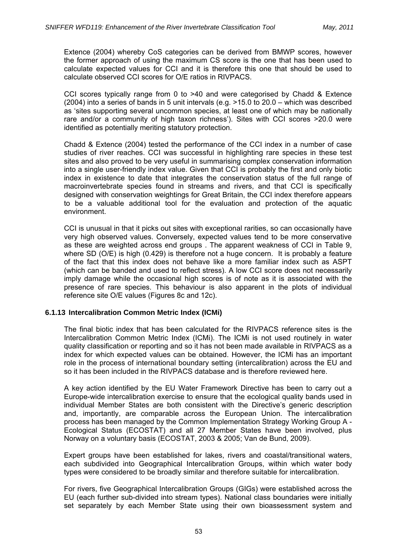Extence (2004) whereby CoS categories can be derived from BMWP scores, however the former approach of using the maximum CS score is the one that has been used to calculate expected values for CCI and it is therefore this one that should be used to calculate observed CCI scores for O/E ratios in RIVPACS.

CCI scores typically range from 0 to >40 and were categorised by Chadd & Extence (2004) into a series of bands in 5 unit intervals (e.g. >15.0 to 20.0 – which was described as 'sites supporting several uncommon species, at least one of which may be nationally rare and/or a community of high taxon richness'). Sites with CCI scores >20.0 were identified as potentially meriting statutory protection.

Chadd & Extence (2004) tested the performance of the CCI index in a number of case studies of river reaches. CCI was successful in highlighting rare species in these test sites and also proved to be very useful in summarising complex conservation information into a single user-friendly index value. Given that CCI is probably the first and only biotic index in existence to date that integrates the conservation status of the full range of macroinvertebrate species found in streams and rivers, and that CCI is specifically designed with conservation weightings for Great Britain, the CCI index therefore appears to be a valuable additional tool for the evaluation and protection of the aquatic environment.

CCI is unusual in that it picks out sites with exceptional rarities, so can occasionally have very high observed values. Conversely, expected values tend to be more conservative as these are weighted across end groups . The apparent weakness of CCI in Table 9, where SD (O/E) is high (0.429) is therefore not a huge concern. It is probably a feature of the fact that this index does not behave like a more familiar index such as ASPT (which can be banded and used to reflect stress). A low CCI score does not necessarily imply damage while the occasional high scores is of note as it is associated with the presence of rare species. This behaviour is also apparent in the plots of individual reference site O/E values (Figures 8c and 12c).

### **6.1.13 Intercalibration Common Metric Index (ICMi)**

The final biotic index that has been calculated for the RIVPACS reference sites is the Intercalibration Common Metric Index (ICMi). The ICMi is not used routinely in water quality classification or reporting and so it has not been made available in RIVPACS as a index for which expected values can be obtained. However, the ICMi has an important role in the process of international boundary setting (intercalibration) across the EU and so it has been included in the RIVPACS database and is therefore reviewed here.

A key action identified by the EU Water Framework Directive has been to carry out a Europe-wide intercalibration exercise to ensure that the ecological quality bands used in individual Member States are both consistent with the Directive's generic description and, importantly, are comparable across the European Union. The intercalibration process has been managed by the Common Implementation Strategy Working Group A - Ecological Status (ECOSTAT) and all 27 Member States have been involved, plus Norway on a voluntary basis (ECOSTAT, 2003 & 2005; Van de Bund, 2009).

Expert groups have been established for lakes, rivers and coastal/transitional waters, each subdivided into Geographical Intercalibration Groups, within which water body types were considered to be broadly similar and therefore suitable for intercalibration.

For rivers, five Geographical Intercalibration Groups (GIGs) were established across the EU (each further sub-divided into stream types). National class boundaries were initially set separately by each Member State using their own bioassessment system and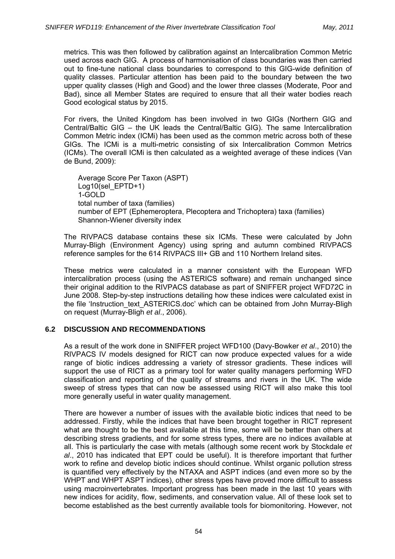metrics. This was then followed by calibration against an Intercalibration Common Metric used across each GIG. A process of harmonisation of class boundaries was then carried out to fine-tune national class boundaries to correspond to this GIG-wide definition of quality classes. Particular attention has been paid to the boundary between the two upper quality classes (High and Good) and the lower three classes (Moderate, Poor and Bad), since all Member States are required to ensure that all their water bodies reach Good ecological status by 2015.

For rivers, the United Kingdom has been involved in two GIGs (Northern GIG and Central/Baltic GIG – the UK leads the Central/Baltic GIG). The same Intercalibration Common Metric index (ICMi) has been used as the common metric across both of these GIGs. The ICMi is a multi-metric consisting of six Intercalibration Common Metrics (ICMs). The overall ICMi is then calculated as a weighted average of these indices (Van de Bund, 2009):

Average Score Per Taxon (ASPT) Log10(sel\_EPTD+1) 1-GOLD total number of taxa (families) number of EPT (Ephemeroptera, Plecoptera and Trichoptera) taxa (families) Shannon-Wiener diversity index

The RIVPACS database contains these six ICMs. These were calculated by John Murray-Bligh (Environment Agency) using spring and autumn combined RIVPACS reference samples for the 614 RIVPACS III+ GB and 110 Northern Ireland sites.

These metrics were calculated in a manner consistent with the European WFD intercalibration process (using the ASTERICS software) and remain unchanged since their original addition to the RIVPACS database as part of SNIFFER project WFD72C in June 2008. Step-by-step instructions detailing how these indices were calculated exist in the file 'Instruction text ASTERICS.doc' which can be obtained from John Murray-Bligh on request (Murray-Bligh *et al*., 2006).

### **6.2 DISCUSSION AND RECOMMENDATIONS**

As a result of the work done in SNIFFER project WFD100 (Davy-Bowker *et al*., 2010) the RIVPACS IV models designed for RICT can now produce expected values for a wide range of biotic indices addressing a variety of stressor gradients. These indices will support the use of RICT as a primary tool for water quality managers performing WFD classification and reporting of the quality of streams and rivers in the UK. The wide sweep of stress types that can now be assessed using RICT will also make this tool more generally useful in water quality management.

There are however a number of issues with the available biotic indices that need to be addressed. Firstly, while the indices that have been brought together in RICT represent what are thought to be the best available at this time, some will be better than others at describing stress gradients, and for some stress types, there are no indices available at all. This is particularly the case with metals (although some recent work by Stockdale *et al*., 2010 has indicated that EPT could be useful). It is therefore important that further work to refine and develop biotic indices should continue. Whilst organic pollution stress is quantified very effectively by the NTAXA and ASPT indices (and even more so by the WHPT and WHPT ASPT indices), other stress types have proved more difficult to assess using macroinvertebrates. Important progress has been made in the last 10 years with new indices for acidity, flow, sediments, and conservation value. All of these look set to become established as the best currently available tools for biomonitoring. However, not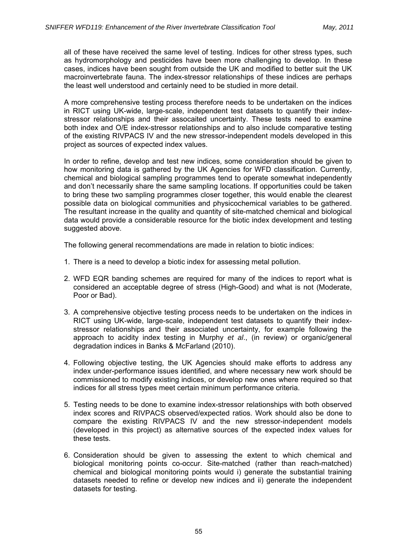all of these have received the same level of testing. Indices for other stress types, such as hydromorphology and pesticides have been more challenging to develop. In these cases, indices have been sought from outside the UK and modified to better suit the UK macroinvertebrate fauna. The index-stressor relationships of these indices are perhaps the least well understood and certainly need to be studied in more detail.

A more comprehensive testing process therefore needs to be undertaken on the indices in RICT using UK-wide, large-scale, independent test datasets to quantify their indexstressor relationships and their assocaited uncertainty. These tests need to examine both index and O/E index-stressor relationships and to also include comparative testing of the existing RIVPACS IV and the new stressor-independent models developed in this project as sources of expected index values.

In order to refine, develop and test new indices, some consideration should be given to how monitoring data is gathered by the UK Agencies for WFD classification. Currently, chemical and biological sampling programmes tend to operate somewhat independently and don't necessarily share the same sampling locations. If opportunities could be taken to bring these two sampling programmes closer together, this would enable the clearest possible data on biological communities and physicochemical variables to be gathered. The resultant increase in the quality and quantity of site-matched chemical and biological data would provide a considerable resource for the biotic index development and testing suggested above.

The following general recommendations are made in relation to biotic indices:

- 1. There is a need to develop a biotic index for assessing metal pollution.
- 2. WFD EQR banding schemes are required for many of the indices to report what is considered an acceptable degree of stress (High-Good) and what is not (Moderate, Poor or Bad).
- 3. A comprehensive objective testing process needs to be undertaken on the indices in RICT using UK-wide, large-scale, independent test datasets to quantify their indexstressor relationships and their associated uncertainty, for example following the approach to acidity index testing in Murphy *et al*., (in review) or organic/general degradation indices in Banks & McFarland (2010).
- 4. Following objective testing, the UK Agencies should make efforts to address any index under-performance issues identified, and where necessary new work should be commissioned to modify existing indices, or develop new ones where required so that indices for all stress types meet certain minimum performance criteria.
- 5. Testing needs to be done to examine index-stressor relationships with both observed index scores and RIVPACS observed/expected ratios. Work should also be done to compare the existing RIVPACS IV and the new stressor-independent models (developed in this project) as alternative sources of the expected index values for these tests.
- 6. Consideration should be given to assessing the extent to which chemical and biological monitoring points co-occur. Site-matched (rather than reach-matched) chemical and biological monitoring points would i) generate the substantial training datasets needed to refine or develop new indices and ii) generate the independent datasets for testing.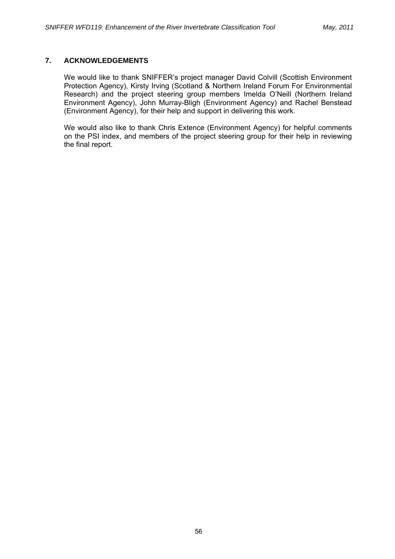# **7. ACKNOWLEDGEMENTS**

We would like to thank SNIFFER's project manager David Colvill (Scottish Environment Protection Agency), Kirsty Irving (Scotland & Northern Ireland Forum For Environmental Research) and the project steering group members Imelda O'Neill (Northern Ireland Environment Agency), John Murray-Bligh (Environment Agency) and Rachel Benstead (Environment Agency), for their help and support in delivering this work.

We would also like to thank Chris Extence (Environment Agency) for helpful comments on the PSI index, and members of the project steering group for their help in reviewing the final report.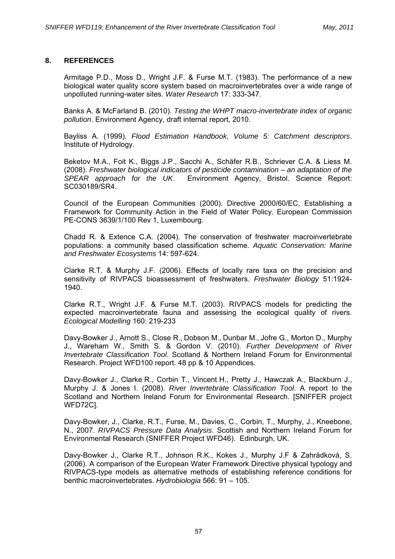# **8. REFERENCES**

Armitage P.D., Moss D., Wright J.F. & Furse M.T. (1983). The performance of a new biological water quality score system based on macroinvertebrates over a wide range of unpolluted running-water sites. *Water Research* 17: 333-347.

Banks A. & McFarland B. (2010). *Testing the WHPT macro-invertebrate index of organic pollution*. Environment Agency, draft internal report, 2010.

Bayliss A. (1999). *Flood Estimation Handbook, Volume 5: Catchment descriptors*. Institute of Hydrology.

Beketov M.A., Foit K., Biggs J.P., Sacchi A., Schäfer R.B., Schriever C.A. & Liess M. (2008). *Freshwater biological indicators of pesticide contamination – an adaptation of the SPEAR approach for the UK*. Environment Agency, Bristol. Science Report: SC030189/SR4.

Council of the European Communities (2000). Directive 2000/60/EC, Establishing a Framework for Community Action in the Field of Water Policy. European Commission PE-CONS 3639/1/100 Rev 1, Luxembourg.

Chadd R. & Extence C.A. (2004). The conservation of freshwater macroinvertebrate populations: a community based classification scheme. *Aquatic Conservation: Marine and Freshwater Ecosystems* 14: 597-624.

Clarke R.T. & Murphy J.F. (2006). Effects of locally rare taxa on the precision and sensitivity of RIVPACS bioassessment of freshwaters. *Freshwater Biology* 51:1924- 1940.

Clarke R.T., Wright J.F. & Furse M.T. (2003). RIVPACS models for predicting the expected macroinvertebrate fauna and assessing the ecological quality of rivers. *Ecological Modelling* 160: 219-233

Davy-Bowker J., Arnott S., Close R., Dobson M., Dunbar M., Jofre G., Morton D., Murphy J., Wareham W., Smith S. & Gordon V. (2010). *Further Development of River Invertebrate Classification Tool*. Scotland & Northern Ireland Forum for Environmental Research. Project WFD100 report. 48 pp & 10 Appendices.

Davy-Bowker J., Clarke R., Corbin T., Vincent H., Pretty J., Hawczak A., Blackburn J., Murphy J. & Jones I. (2008). *River Invertebrate Classification Tool*. A report to the Scotland and Northern Ireland Forum for Environmental Research. [SNIFFER project WFD72C].

Davy-Bowker, J., Clarke, R.T., Furse, M., Davies, C., Corbin, T., Murphy, J., Kneebone, N., 2007. *RIVPACS Pressure Data Analysis*. Scottish and Northern Ireland Forum for Environmental Research (SNIFFER Project WFD46). Edinburgh, UK.

Davy-Bowker J., Clarke R.T., Johnson R.K., Kokes J., Murphy J.F & Zahrádková, S. (2006). A comparison of the European Water Framework Directive physical typology and RIVPACS-type models as alternative methods of establishing reference conditions for benthic macroinvertebrates. *Hydrobiologia* 566: 91 – 105.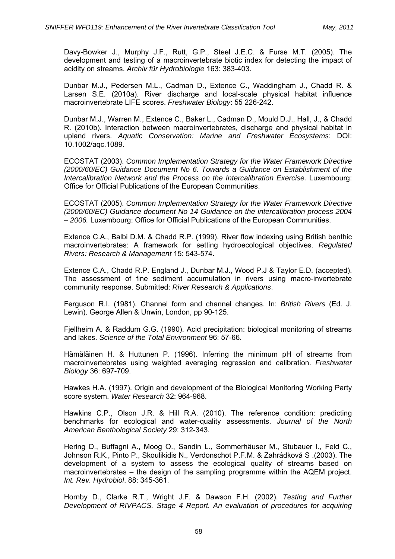Davy-Bowker J., Murphy J.F., Rutt, G.P., Steel J.E.C. & Furse M.T. (2005). The development and testing of a macroinvertebrate biotic index for detecting the impact of acidity on streams. *Archiv für Hydrobiologie* 163: 383-403.

Dunbar M.J., Pedersen M.L., Cadman D., Extence C., Waddingham J., Chadd R. & Larsen S.E. (2010a). River discharge and local-scale physical habitat influence macroinvertebrate LIFE scores. *Freshwater Biology*: 55 226-242.

Dunbar M.J., Warren M., Extence C., Baker L., Cadman D., Mould D.J., Hall, J., & Chadd R. (2010b). Interaction between macroinvertebrates, discharge and physical habitat in upland rivers. *Aquatic Conservation: Marine and Freshwater Ecosystems*: DOI: 10.1002/aqc.1089.

ECOSTAT (2003). *Common Implementation Strategy for the Water Framework Directive (2000/60/EC) Guidance Document No 6. Towards a Guidance on Establishment of the Intercalibration Network and the Process on the Intercalibration Exercise.* Luxembourg: Office for Official Publications of the European Communities.

ECOSTAT (2005). *Common Implementation Strategy for the Water Framework Directive (2000/60/EC) Guidance document No 14 Guidance on the intercalibration process 2004 – 2006.* Luxembourg: Office for Official Publications of the European Communities.

Extence C.A., Balbi D.M. & Chadd R.P. (1999). River flow indexing using British benthic macroinvertebrates: A framework for setting hydroecological objectives. *Regulated Rivers: Research & Management* 15: 543-574.

Extence C.A., Chadd R.P. England J., Dunbar M.J., Wood P.J & Taylor E.D. (accepted). The assessment of fine sediment accumulation in rivers using macro-invertebrate community response. Submitted: *River Research & Applications*.

Ferguson R.I. (1981). Channel form and channel changes. In: *British Rivers* (Ed. J. Lewin). George Allen & Unwin, London, pp 90-125.

Fjellheim A. & Raddum G.G. (1990). Acid precipitation: biological monitoring of streams and lakes. *Science of the Total Environment* 96: 57-66.

Hämäläinen H. & Huttunen P. (1996). Inferring the minimum pH of streams from macroinvertebrates using weighted averaging regression and calibration. *Freshwater Biology* 36: 697-709.

Hawkes H.A. (1997). Origin and development of the Biological Monitoring Working Party score system. *Water Research* 32: 964-968.

Hawkins C.P., Olson J.R. & Hill R.A. (2010). The reference condition: predicting benchmarks for ecological and water-quality assessments. *Journal of the North American Benthological Society* 29: 312-343.

Hering D., Buffagni A., Moog O., Sandin L., Sommerhäuser M., Stubauer I., Feld C., Johnson R.K., Pinto P., Skoulikidis N., Verdonschot P.F.M. & Zahrádková S .(2003). The development of a system to assess the ecological quality of streams based on macroinvertebrates – the design of the sampling programme within the AQEM project. *Int. Rev. Hydrobiol*. 88: 345-361.

Hornby D., Clarke R.T., Wright J.F. & Dawson F.H. (2002). *Testing and Further Development of RIVPACS. Stage 4 Report. An evaluation of procedures for acquiring*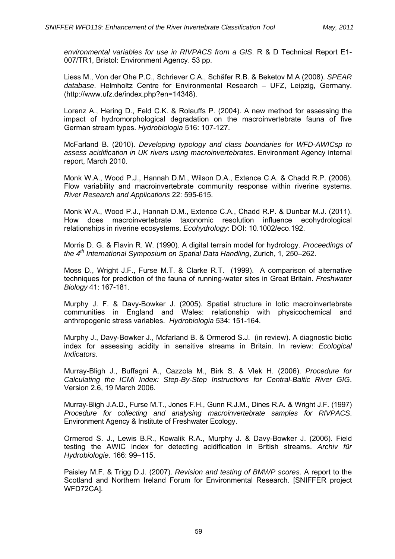*environmental variables for use in RIVPACS from a GIS*. R & D Technical Report E1- 007/TR1, Bristol: Environment Agency. 53 pp.

Liess M., Von der Ohe P.C., Schriever C.A., Schäfer R.B. & Beketov M.A (2008). *SPEAR database*. Helmholtz Centre for Environmental Research – UFZ, Leipzig, Germany. (http://www.ufz.de/index.php?en=14348).

Lorenz A., Hering D., Feld C.K. & Rolauffs P. (2004). A new method for assessing the impact of hydromorphological degradation on the macroinvertebrate fauna of five German stream types. *Hydrobiologia* 516: 107-127.

McFarland B. (2010). *Developing typology and class boundaries for WFD-AWICsp to assess acidification in UK rivers using macroinvertebrates*. Environment Agency internal report, March 2010.

Monk W.A., Wood P.J., Hannah D.M., Wilson D.A., Extence C.A. & Chadd R.P. (2006). Flow variability and macroinvertebrate community response within riverine systems. *River Research and Applications* 22: 595-615.

Monk W.A., Wood P.J., Hannah D.M., Extence C.A., Chadd R.P. & Dunbar M.J. (2011). How does macroinvertebrate taxonomic resolution influence ecohydrological relationships in riverine ecosystems. *Ecohydrology*: DOI: 10.1002/eco.192.

Morris D. G. & Flavin R. W. (1990). A digital terrain model for hydrology. *Proceedings of the 4th International Symposium on Spatial Data Handling*, Zurich, 1, 250–262.

Moss D., Wright J.F., Furse M.T. & Clarke R.T. (1999). A comparison of alternative techniques for prediction of the fauna of running-water sites in Great Britain. *Freshwater Biology* 41: 167-181.

Murphy J. F. & Davy-Bowker J. (2005). Spatial structure in lotic macroinvertebrate communities in England and Wales: relationship with physicochemical and anthropogenic stress variables. *Hydrobiologia* 534: 151-164.

Murphy J., Davy-Bowker J., Mcfarland B. & Ormerod S.J. (in review). A diagnostic biotic index for assessing acidity in sensitive streams in Britain. In review: *Ecological Indicators*.

Murray-Bligh J., Buffagni A., Cazzola M., Birk S. & Vlek H. (2006). *Procedure for Calculating the ICMi Index: Step-By-Step Instructions for Central-Baltic River GIG*. Version 2.6, 19 March 2006.

Murray-Bligh J.A.D., Furse M.T., Jones F.H., Gunn R.J.M., Dines R.A. & Wright J.F. (1997) *Procedure for collecting and analysing macroinvertebrate samples for RIVPACS*. Environment Agency & Institute of Freshwater Ecology.

Ormerod S. J., Lewis B.R., Kowalik R.A., Murphy J. & Davy-Bowker J. (2006). Field testing the AWIC index for detecting acidification in British streams. *Archiv für Hydrobiologie*. 166: 99–115.

Paisley M.F. & Trigg D.J. (2007). *Revision and testing of BMWP scores*. A report to the Scotland and Northern Ireland Forum for Environmental Research. [SNIFFER project WFD72CA].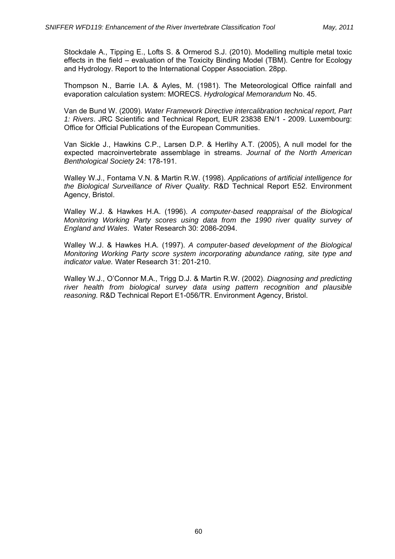Stockdale A., Tipping E., Lofts S. & Ormerod S.J. (2010). Modelling multiple metal toxic effects in the field – evaluation of the Toxicity Binding Model (TBM). Centre for Ecology and Hydrology. Report to the International Copper Association. 28pp.

Thompson N., Barrie I.A. & Ayles, M. (1981). The Meteorological Office rainfall and evaporation calculation system: MORECS. *Hydrological Memorandum* No. 45.

Van de Bund W. (2009). *Water Framework Directive intercalibration technical report, Part 1: Rivers*. JRC Scientific and Technical Report, EUR 23838 EN/1 - 2009. Luxembourg: Office for Official Publications of the European Communities.

Van Sickle J., Hawkins C.P., Larsen D.P. & Herlihy A.T. (2005), A null model for the expected macroinvertebrate assemblage in streams. *Journal of the North American Benthological Society* 24: 178-191.

Walley W.J., Fontama V.N. & Martin R.W. (1998). *Applications of artificial intelligence for the Biological Surveillance of River Quality*. R&D Technical Report E52. Environment Agency, Bristol.

Walley W.J. & Hawkes H.A. (1996). *A computer-based reappraisal of the Biological Monitoring Working Party scores using data from the 1990 river quality survey of England and Wales*. Water Research 30: 2086-2094.

Walley W.J. & Hawkes H.A. (1997). *A computer-based development of the Biological Monitoring Working Party score system incorporating abundance rating, site type and indicator value.* Water Research 31: 201-210.

Walley W.J., O'Connor M.A., Trigg D.J. & Martin R.W. (2002). *Diagnosing and predicting river health from biological survey data using pattern recognition and plausible reasoning.* R&D Technical Report E1-056/TR. Environment Agency, Bristol.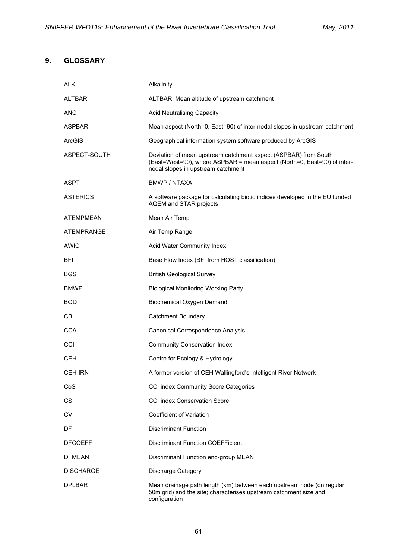## **9. GLOSSARY**

| <b>ALK</b>        | Alkalinity                                                                                                                                                                       |
|-------------------|----------------------------------------------------------------------------------------------------------------------------------------------------------------------------------|
| <b>ALTBAR</b>     | ALTBAR Mean altitude of upstream catchment                                                                                                                                       |
| <b>ANC</b>        | <b>Acid Neutralising Capacity</b>                                                                                                                                                |
| <b>ASPBAR</b>     | Mean aspect (North=0, East=90) of inter-nodal slopes in upstream catchment                                                                                                       |
| <b>ArcGIS</b>     | Geographical information system software produced by ArcGIS                                                                                                                      |
| ASPECT-SOUTH      | Deviation of mean upstream catchment aspect (ASPBAR) from South<br>(East=West=90), where ASPBAR = mean aspect (North=0, East=90) of inter-<br>nodal slopes in upstream catchment |
| <b>ASPT</b>       | BMWP / NTAXA                                                                                                                                                                     |
| <b>ASTERICS</b>   | A software package for calculating biotic indices developed in the EU funded<br>AQEM and STAR projects                                                                           |
| ATEMPMEAN         | Mean Air Temp                                                                                                                                                                    |
| <b>ATEMPRANGE</b> | Air Temp Range                                                                                                                                                                   |
| <b>AWIC</b>       | Acid Water Community Index                                                                                                                                                       |
| <b>BFI</b>        | Base Flow Index (BFI from HOST classification)                                                                                                                                   |
| <b>BGS</b>        | <b>British Geological Survey</b>                                                                                                                                                 |
| <b>BMWP</b>       | <b>Biological Monitoring Working Party</b>                                                                                                                                       |
| <b>BOD</b>        | Biochemical Oxygen Demand                                                                                                                                                        |
| C <sub>B</sub>    | <b>Catchment Boundary</b>                                                                                                                                                        |
| <b>CCA</b>        | Canonical Correspondence Analysis                                                                                                                                                |
| CCI               | <b>Community Conservation Index</b>                                                                                                                                              |
| <b>CEH</b>        | Centre for Ecology & Hydrology                                                                                                                                                   |
| <b>CEH-IRN</b>    | A former version of CEH Wallingford's Intelligent River Network                                                                                                                  |
| CoS               | CCI index Community Score Categories                                                                                                                                             |
| <b>CS</b>         | <b>CCI index Conservation Score</b>                                                                                                                                              |
| <b>CV</b>         | Coefficient of Variation                                                                                                                                                         |
| DF                | <b>Discriminant Function</b>                                                                                                                                                     |
| <b>DFCOEFF</b>    | <b>Discriminant Function COEFFicient</b>                                                                                                                                         |
| <b>DEMEAN</b>     | Discriminant Function end-group MEAN                                                                                                                                             |
| <b>DISCHARGE</b>  | Discharge Category                                                                                                                                                               |
| <b>DPLBAR</b>     | Mean drainage path length (km) between each upstream node (on regular<br>50m grid) and the site; characterises upstream catchment size and<br>configuration                      |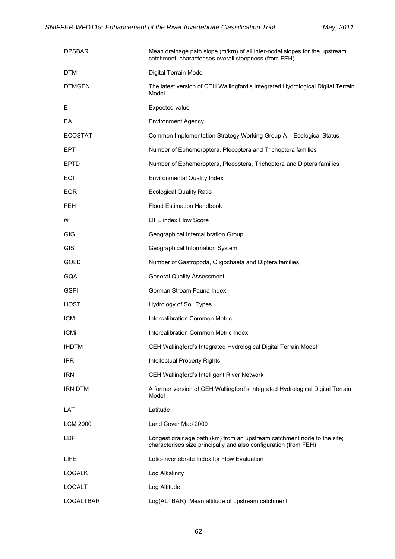| <b>DPSBAR</b>    | Mean drainage path slope (m/km) of all inter-nodal slopes for the upstream<br>catchment; characterises overall steepness (from FEH)         |
|------------------|---------------------------------------------------------------------------------------------------------------------------------------------|
| DTM              | Digital Terrain Model                                                                                                                       |
| <b>DTMGEN</b>    | The latest version of CEH Wallingford's Integrated Hydrological Digital Terrain<br>Model                                                    |
| Е                | Expected value                                                                                                                              |
| EA               | <b>Environment Agency</b>                                                                                                                   |
| <b>ECOSTAT</b>   | Common Implementation Strategy Working Group A - Ecological Status                                                                          |
| EPT              | Number of Ephemeroptera, Plecoptera and Trichoptera families                                                                                |
| <b>EPTD</b>      | Number of Ephemeroptera, Plecoptera, Trichoptera and Diptera families                                                                       |
| EQI              | <b>Environmental Quality Index</b>                                                                                                          |
| <b>EQR</b>       | <b>Ecological Quality Ratio</b>                                                                                                             |
| FEH.             | <b>Flood Estimation Handbook</b>                                                                                                            |
| fs               | <b>LIFE index Flow Score</b>                                                                                                                |
| <b>GIG</b>       | Geographical Intercalibration Group                                                                                                         |
| <b>GIS</b>       | Geographical Information System                                                                                                             |
| GOLD             | Number of Gastropoda, Oligochaeta and Diptera families                                                                                      |
| <b>GQA</b>       | <b>General Quality Assessment</b>                                                                                                           |
| <b>GSFI</b>      | German Stream Fauna Index                                                                                                                   |
| <b>HOST</b>      | <b>Hydrology of Soil Types</b>                                                                                                              |
| <b>ICM</b>       | Intercalibration Common Metric                                                                                                              |
| <b>ICMi</b>      | Intercalibration Common Metric Index                                                                                                        |
| <b>IHDTM</b>     | CEH Wallingford's Integrated Hydrological Digital Terrain Model                                                                             |
| <b>IPR</b>       | <b>Intellectual Property Rights</b>                                                                                                         |
| IRN              | CEH Wallingford's Intelligent River Network                                                                                                 |
| <b>IRN DTM</b>   | A former version of CEH Wallingford's Integrated Hydrological Digital Terrain<br>Model                                                      |
| LAT              | Latitude                                                                                                                                    |
| <b>LCM 2000</b>  | Land Cover Map 2000                                                                                                                         |
| <b>LDP</b>       | Longest drainage path (km) from an upstream catchment node to the site;<br>characterises size principally and also configuration (from FEH) |
| <b>LIFE</b>      | Lotic-invertebrate Index for Flow Evaluation                                                                                                |
| <b>LOGALK</b>    | Log Alkalinity                                                                                                                              |
| <b>LOGALT</b>    | Log Altitude                                                                                                                                |
| <b>LOGALTBAR</b> | Log(ALTBAR) Mean altitude of upstream catchment                                                                                             |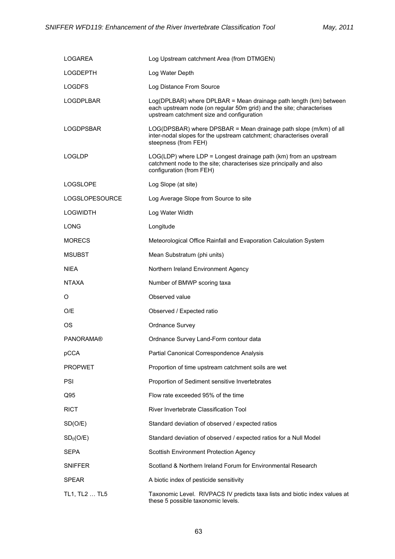| LOGAREA               | Log Upstream catchment Area (from DTMGEN)                                                                                                                                              |
|-----------------------|----------------------------------------------------------------------------------------------------------------------------------------------------------------------------------------|
| <b>LOGDEPTH</b>       | Log Water Depth                                                                                                                                                                        |
| <b>LOGDFS</b>         | Log Distance From Source                                                                                                                                                               |
| LOGDPLBAR             | Log(DPLBAR) where DPLBAR = Mean drainage path length (km) between<br>each upstream node (on regular 50m grid) and the site; characterises<br>upstream catchment size and configuration |
| <b>LOGDPSBAR</b>      | LOG(DPSBAR) where DPSBAR = Mean drainage path slope (m/km) of all<br>inter-nodal slopes for the upstream catchment; characterises overall<br>steepness (from FEH)                      |
| <b>LOGLDP</b>         | $LOG(LDP)$ where $LDP = Longest$ drainage path $(km)$ from an upstream<br>catchment node to the site; characterises size principally and also<br>configuration (from FEH)              |
| <b>LOGSLOPE</b>       | Log Slope (at site)                                                                                                                                                                    |
| <b>LOGSLOPESOURCE</b> | Log Average Slope from Source to site                                                                                                                                                  |
| <b>LOGWIDTH</b>       | Log Water Width                                                                                                                                                                        |
| <b>LONG</b>           | Longitude                                                                                                                                                                              |
| <b>MORECS</b>         | Meteorological Office Rainfall and Evaporation Calculation System                                                                                                                      |
| <b>MSUBST</b>         | Mean Substratum (phi units)                                                                                                                                                            |
| <b>NIEA</b>           | Northern Ireland Environment Agency                                                                                                                                                    |
| <b>NTAXA</b>          | Number of BMWP scoring taxa                                                                                                                                                            |
| O                     | Observed value                                                                                                                                                                         |
| O/E                   | Observed / Expected ratio                                                                                                                                                              |
| ΟS                    | Ordnance Survey                                                                                                                                                                        |
| <b>PANORAMA®</b>      | Ordnance Survey Land-Form contour data                                                                                                                                                 |
| pCCA                  | Partial Canonical Correspondence Analysis                                                                                                                                              |
| <b>PROPWET</b>        | Proportion of time upstream catchment soils are wet                                                                                                                                    |
| <b>PSI</b>            | Proportion of Sediment sensitive Invertebrates                                                                                                                                         |
| Q95                   | Flow rate exceeded 95% of the time                                                                                                                                                     |
| <b>RICT</b>           | River Invertebrate Classification Tool                                                                                                                                                 |
| SD(O/E)               | Standard deviation of observed / expected ratios                                                                                                                                       |
| SD <sub>0</sub> (O/E) | Standard deviation of observed / expected ratios for a Null Model                                                                                                                      |
| <b>SEPA</b>           | Scottish Environment Protection Agency                                                                                                                                                 |
| <b>SNIFFER</b>        | Scotland & Northern Ireland Forum for Environmental Research                                                                                                                           |
| <b>SPEAR</b>          | A biotic index of pesticide sensitivity                                                                                                                                                |
| TL1, TL2  TL5         | Taxonomic Level. RIVPACS IV predicts taxa lists and biotic index values at<br>these 5 possible taxonomic levels.                                                                       |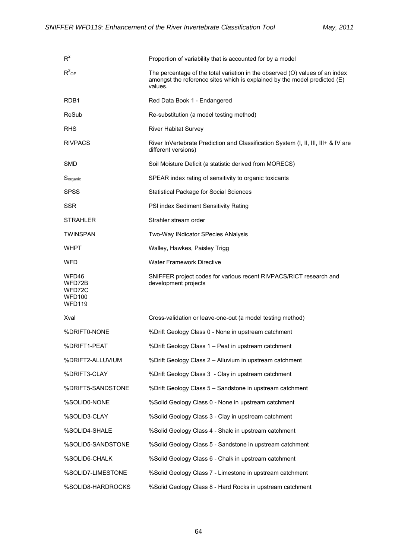| $R^2$                                                       | Proportion of variability that is accounted for by a model                                                                                                           |
|-------------------------------------------------------------|----------------------------------------------------------------------------------------------------------------------------------------------------------------------|
| $R^2$ <sub>OE</sub>                                         | The percentage of the total variation in the observed (O) values of an index<br>amongst the reference sites which is explained by the model predicted (E)<br>values. |
| RDB <sub>1</sub>                                            | Red Data Book 1 - Endangered                                                                                                                                         |
| ReSub                                                       | Re-substitution (a model testing method)                                                                                                                             |
| <b>RHS</b>                                                  | <b>River Habitat Survey</b>                                                                                                                                          |
| <b>RIVPACS</b>                                              | River InVertebrate Prediction and Classification System (I, II, III, III+ & IV are<br>different versions)                                                            |
| <b>SMD</b>                                                  | Soil Moisture Deficit (a statistic derived from MORECS)                                                                                                              |
| Sorganic                                                    | SPEAR index rating of sensitivity to organic toxicants                                                                                                               |
| <b>SPSS</b>                                                 | <b>Statistical Package for Social Sciences</b>                                                                                                                       |
| <b>SSR</b>                                                  | PSI index Sediment Sensitivity Rating                                                                                                                                |
| <b>STRAHLER</b>                                             | Strahler stream order                                                                                                                                                |
| <b>TWINSPAN</b>                                             | Two-Way INdicator SPecies ANalysis                                                                                                                                   |
| <b>WHPT</b>                                                 | Walley, Hawkes, Paisley Trigg                                                                                                                                        |
| WFD                                                         | <b>Water Framework Directive</b>                                                                                                                                     |
|                                                             |                                                                                                                                                                      |
| WFD46<br>WFD72B<br>WFD72C<br><b>WFD100</b><br><b>WFD119</b> | SNIFFER project codes for various recent RIVPACS/RICT research and<br>development projects                                                                           |
| Xval                                                        | Cross-validation or leave-one-out (a model testing method)                                                                                                           |
| %DRIFT0-NONE                                                | %Drift Geology Class 0 - None in upstream catchment                                                                                                                  |
| %DRIFT1-PEAT                                                | %Drift Geology Class 1 – Peat in upstream catchment                                                                                                                  |
| %DRIFT2-ALLUVIUM                                            | %Drift Geology Class 2 - Alluvium in upstream catchment                                                                                                              |
| %DRIFT3-CLAY                                                | %Drift Geology Class 3 - Clay in upstream catchment                                                                                                                  |
| %DRIFT5-SANDSTONE                                           | %Drift Geology Class 5 - Sandstone in upstream catchment                                                                                                             |
| %SOLID0-NONE                                                | %Solid Geology Class 0 - None in upstream catchment                                                                                                                  |
| %SOLID3-CLAY                                                | %Solid Geology Class 3 - Clay in upstream catchment                                                                                                                  |
| %SOLID4-SHALE                                               | %Solid Geology Class 4 - Shale in upstream catchment                                                                                                                 |
| %SOLID5-SANDSTONE                                           | %Solid Geology Class 5 - Sandstone in upstream catchment                                                                                                             |
| %SOLID6-CHALK                                               | %Solid Geology Class 6 - Chalk in upstream catchment                                                                                                                 |
| %SOLID7-LIMESTONE                                           | %Solid Geology Class 7 - Limestone in upstream catchment                                                                                                             |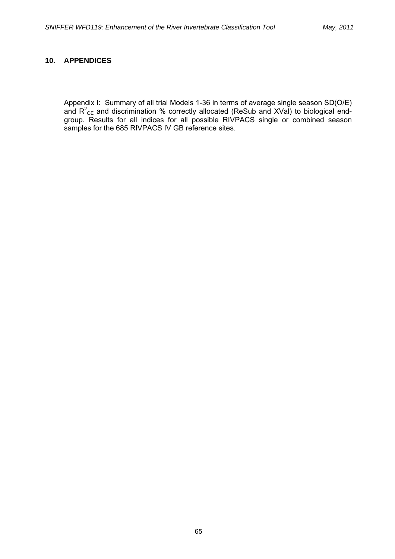## **10. APPENDICES**

Appendix I:Summary of all trial Models 1-36 in terms of average single season SD(O/E) and  $R^2$ <sub>OE</sub> and discrimination % correctly allocated (ReSub and XVal) to biological endgroup. Results for all indices for all possible RIVPACS single or combined season samples for the 685 RIVPACS IV GB reference sites.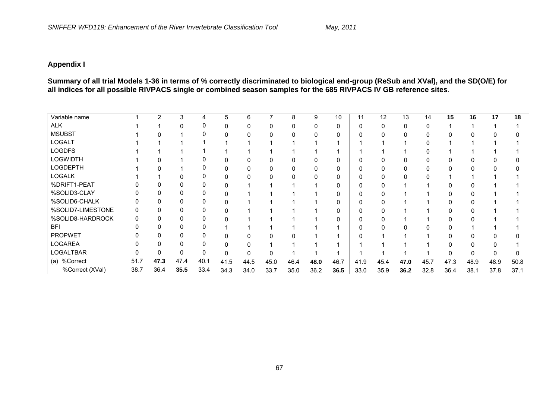## **Appendix I**

**Summary of all trial Models 1-36 in terms of % correctly discriminated to biological end-group (ReSub and XVal), and the SD(O/E) for all indices for all possible RIVPACS single or combined season samples for the 685 RIVPACS IV GB reference sites**.

| Variable name     |      | 2    | 3        | 4    | 5        | 6    | 7        | 8        | 9    | 10 <sup>°</sup> | 11   | 12   | 13   | 14   | 15   | 16           | 17   | 18   |
|-------------------|------|------|----------|------|----------|------|----------|----------|------|-----------------|------|------|------|------|------|--------------|------|------|
| <b>ALK</b>        |      |      | $\Omega$ | 0    | 0        | 0    | $\Omega$ | $\Omega$ | 0    | 0               | 0    | 0    | 0    |      |      |              |      |      |
| <b>MSUBST</b>     |      |      |          |      |          |      |          |          |      | 0               | 0    |      |      |      |      |              |      |      |
| <b>LOGALT</b>     |      |      |          |      |          |      |          |          |      |                 |      |      |      |      |      |              |      |      |
| <b>LOGDFS</b>     |      |      |          |      |          |      |          |          |      |                 |      |      |      |      |      |              |      |      |
| <b>LOGWIDTH</b>   |      |      |          |      |          |      |          |          |      | o               | O    |      |      |      |      |              |      |      |
| <b>LOGDEPTH</b>   |      |      |          |      |          |      |          |          |      | o               | 0    |      |      |      |      |              |      |      |
| <b>LOGALK</b>     |      |      |          |      |          |      |          |          |      |                 | 0    |      |      |      |      |              |      |      |
| %DRIFT1-PEAT      |      |      |          |      |          |      |          |          |      |                 | 0    |      |      |      |      |              |      |      |
| %SOLID3-CLAY      |      |      |          |      |          |      |          |          |      | o               | 0    |      |      |      |      |              |      |      |
| %SOLID6-CHALK     |      |      |          |      |          |      |          |          |      | 0               | 0    |      |      |      |      |              |      |      |
| %SOLID7-LIMESTONE |      |      | 0        |      |          |      |          |          |      | 0               | 0    |      |      |      |      |              |      |      |
| %SOLID8-HARDROCK  |      |      | 0        | O    |          |      |          |          |      | ი               | ŋ    |      |      |      |      |              |      |      |
| <b>BFI</b>        |      |      | 0        |      |          |      |          |          |      |                 | ŋ    |      |      |      |      |              |      |      |
| <b>PROPWET</b>    |      |      |          |      |          |      |          |          |      |                 |      |      |      |      |      |              |      |      |
| <b>LOGAREA</b>    |      |      |          |      |          |      |          |          |      |                 |      |      |      |      |      |              |      |      |
| <b>LOGALTBAR</b>  |      | 0    | 0        | 0    | $\Omega$ |      | ∩        |          |      |                 |      |      |      |      |      | $\mathbf{0}$ |      | 0    |
| (a) %Correct      | 51.7 | 47.3 | 47.4     | 40.1 | 41.5     | 44.5 | 45.0     | 46.4     | 48.0 | 46.7            | 41.9 | 45.4 | 47.0 | 45.7 | 47.3 | 48.9         | 48.9 | 50.8 |
| %Correct (XVal)   | 38.7 | 36.4 | 35.5     | 33.4 | 34.3     | 34.0 | 33.7     | 35.0     | 36.2 | 36.5            | 33.0 | 35.9 | 36.2 | 32.8 | 36.4 | 38.1         | 37.8 | 37.1 |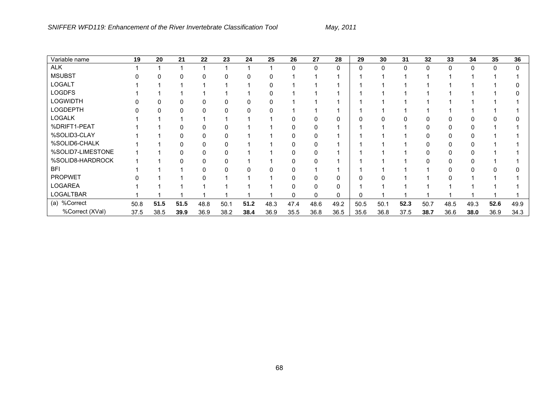| Variable name     | 19   | 20   | 21   | 22   | 23   | 24   | $2\overline{5}$ | 26       | 27       | 28   | 29       | 30   | 31   | 32   | 33       | 34           | 35   | 36   |
|-------------------|------|------|------|------|------|------|-----------------|----------|----------|------|----------|------|------|------|----------|--------------|------|------|
| <b>ALK</b>        |      |      |      |      |      |      |                 | $\Omega$ | $\Omega$ | 0    | $\Omega$ | 0    | 0    | 0    | $\Omega$ | $\mathbf{0}$ | 0    | 0    |
| <b>MSUBST</b>     |      |      |      | 0    | 0    |      |                 |          |          |      |          |      |      |      |          |              |      |      |
| <b>LOGALT</b>     |      |      |      |      |      |      |                 |          |          |      |          |      |      |      |          |              |      |      |
| <b>LOGDFS</b>     |      |      |      |      |      |      |                 |          |          |      |          |      |      |      |          |              |      |      |
| <b>LOGWIDTH</b>   |      |      |      |      |      |      |                 |          |          |      |          |      |      |      |          |              |      |      |
| <b>LOGDEPTH</b>   |      |      |      |      |      |      |                 |          |          |      |          |      |      |      |          |              |      |      |
| <b>LOGALK</b>     |      |      |      |      |      |      |                 |          |          |      |          |      |      |      |          |              |      |      |
| %DRIFT1-PEAT      |      |      |      |      |      |      |                 |          |          |      |          |      |      |      |          |              |      |      |
| %SOLID3-CLAY      |      |      |      |      |      |      |                 |          |          |      |          |      |      |      |          |              |      |      |
| %SOLID6-CHALK     |      |      |      |      |      |      |                 |          |          |      |          |      |      |      |          |              |      |      |
| %SOLID7-LIMESTONE |      |      |      |      |      |      |                 |          |          |      |          |      |      |      |          |              |      |      |
| %SOLID8-HARDROCK  |      |      |      |      |      |      |                 |          |          |      |          |      |      |      |          |              |      |      |
| <b>BFI</b>        |      |      |      |      |      |      |                 |          |          |      |          |      |      |      |          |              |      |      |
| <b>PROPWET</b>    |      |      |      |      |      |      |                 |          |          |      |          |      |      |      |          |              |      |      |
| <b>LOGAREA</b>    |      |      |      |      |      |      |                 |          |          | 0    |          |      |      |      |          |              |      |      |
| LOGALTBAR         |      |      |      |      |      |      |                 |          |          | 0    | 0        |      |      |      |          |              |      |      |
| (a) %Correct      | 50.8 | 51.5 | 51.5 | 48.8 | 50.1 | 51.2 | 48.3            | 47.4     | 48.6     | 49.2 | 50.5     | 50.1 | 52.3 | 50.7 | 48.5     | 49.3         | 52.6 | 49.9 |
| %Correct (XVal)   | 37.5 | 38.5 | 39.9 | 36.9 | 38.2 | 38.4 | 36.9            | 35.5     | 36.8     | 36.5 | 35.6     | 36.8 | 37.5 | 38.7 | 36.6     | 38.0         | 36.9 | 34.3 |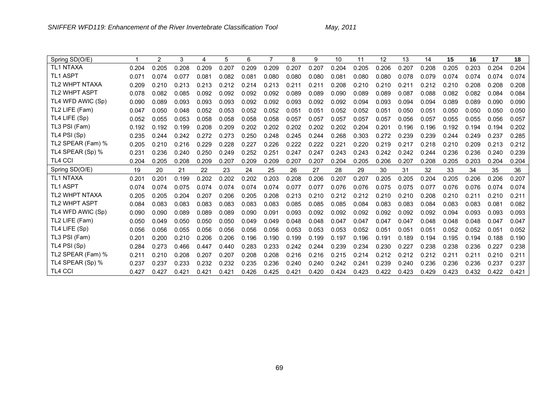| Spring SD(O/E)        |                | 2     | 3     | 4     | 5     | 6     | 7     | 8     | 9     | 10    | 11    | 12    | 13    | 14    | 15    | 16    | 17    | 18    |
|-----------------------|----------------|-------|-------|-------|-------|-------|-------|-------|-------|-------|-------|-------|-------|-------|-------|-------|-------|-------|
| <b>TL1 NTAXA</b>      | 0.204          | 0.205 | 0.208 | 0.209 | 0.207 | 0.209 | 0.209 | 0.207 | 0.207 | 0.204 | 0.205 | 0.206 | 0.207 | 0.208 | 0.205 | 0.203 | 0.204 | 0.204 |
| <b>TL1 ASPT</b>       | 0.071          | 0.074 | 0.077 | 0.081 | 0.082 | 0.081 | 0.080 | 0.080 | 0.080 | 0.081 | 0.080 | 0.080 | 0.078 | 0.079 | 0.074 | 0.074 | 0.074 | 0.074 |
| <b>TL2 WHPT NTAXA</b> | 0.209          | 0.210 | 0.213 | 0.213 | 0.212 | 0.214 | 0.213 | 0.211 | 0.211 | 0.208 | 0.210 | 0.210 | 0.211 | 0.212 | 0.210 | 0.208 | 0.208 | 0.208 |
| <b>TL2 WHPT ASPT</b>  | 0.078          | 0.082 | 0.085 | 0.092 | 0.092 | 0.092 | 0.092 | 0.089 | 0.089 | 0.090 | 0.089 | 0.089 | 0.087 | 0.088 | 0.082 | 0.082 | 0.084 | 0.084 |
| TL4 WFD AWIC (Sp)     | 0.090          | 0.089 | 0.093 | 0.093 | 0.093 | 0.092 | 0.092 | 0.093 | 0.092 | 0.092 | 0.094 | 0.093 | 0.094 | 0.094 | 0.089 | 0.089 | 0.090 | 0.090 |
| TL2 LIFE (Fam)        | 0.047          | 0.050 | 0.048 | 0.052 | 0.053 | 0.052 | 0.052 | 0.051 | 0.051 | 0.052 | 0.052 | 0.051 | 0.050 | 0.051 | 0.050 | 0.050 | 0.050 | 0.050 |
| TL4 LIFE (Sp)         | 0.052          | 0.055 | 0.053 | 0.058 | 0.058 | 0.058 | 0.058 | 0.057 | 0.057 | 0.057 | 0.057 | 0.057 | 0.056 | 0.057 | 0.055 | 0.055 | 0.056 | 0.057 |
| TL3 PSI (Fam)         | 0.192          | 0.192 | 0.199 | 0.208 | 0.209 | 0.202 | 0.202 | 0.202 | 0.202 | 0.202 | 0.204 | 0.201 | 0.196 | 0.196 | 0.192 | 0.194 | 0.194 | 0.202 |
| TL4 PSI (Sp)          | 0.235          | 0.244 | 0.242 | 0.272 | 0.273 | 0.250 | 0.248 | 0.245 | 0.244 | 0.268 | 0.303 | 0.272 | 0.239 | 0.239 | 0.244 | 0.249 | 0.237 | 0.285 |
| TL2 SPEAR (Fam) %     | 0.205          | 0.210 | 0.216 | 0.229 | 0.228 | 0.227 | 0.226 | 0.222 | 0.222 | 0.221 | 0.220 | 0.219 | 0.217 | 0.218 | 0.210 | 0.209 | 0.213 | 0.212 |
| TL4 SPEAR (Sp) %      | 0.231          | 0.236 | 0.240 | 0.250 | 0.249 | 0.252 | 0.251 | 0.247 | 0.247 | 0.243 | 0.243 | 0.242 | 0.242 | 0.244 | 0.236 | 0.236 | 0.240 | 0.239 |
| <b>TL4 CCI</b>        | 0.204          | 0.205 | 0.208 | 0.209 | 0.207 | 0.209 | 0.209 | 0.207 | 0.207 | 0.204 | 0.205 | 0.206 | 0.207 | 0.208 | 0.205 | 0.203 | 0.204 | 0.204 |
|                       |                |       |       |       |       |       |       |       |       |       |       |       |       |       |       |       |       |       |
| Spring SD(O/E)        | 19             | 20    | 21    | 22    | 23    | 24    | 25    | 26    | 27    | 28    | 29    | 30    | 31    | 32    | 33    | 34    | 35    | 36    |
| <b>TL1 NTAXA</b>      | $0.20^{\circ}$ | 0.201 | 0.199 | 0.202 | 0.202 | 0.202 | 0.203 | 0.208 | 0.206 | 0.207 | 0.207 | 0.205 | 0.205 | 0.204 | 0.205 | 0.206 | 0.206 | 0.207 |
| <b>TL1 ASPT</b>       | 0.074          | 0.074 | 0.075 | 0.074 | 0.074 | 0.074 | 0.074 | 0.077 | 0.077 | 0.076 | 0.076 | 0.075 | 0.075 | 0.077 | 0.076 | 0.076 | 0.074 | 0.074 |
| <b>TL2 WHPT NTAXA</b> | 0.205          | 0.205 | 0.204 | 0.207 | 0.206 | 0.205 | 0.208 | 0.213 | 0.210 | 0.212 | 0.212 | 0.210 | 0.210 | 0.208 | 0.210 | 0.211 | 0.210 | 0.211 |
| <b>TL2 WHPT ASPT</b>  | 0.084          | 0.083 | 0.083 | 0.083 | 0.083 | 0.083 | 0.083 | 0.085 | 0.085 | 0.085 | 0.084 | 0.083 | 0.083 | 0.084 | 0.083 | 0.083 | 0.081 | 0.082 |
| TL4 WFD AWIC (Sp)     | 0.090          | 0.090 | 0.089 | 0.089 | 0.089 | 0.090 | 0.091 | 0.093 | 0.092 | 0.092 | 0.092 | 0.092 | 0.092 | 0.092 | 0.094 | 0.093 | 0.093 | 0.093 |
| TL2 LIFE (Fam)        | 0.050          | 0.049 | 0.050 | 0.050 | 0.050 | 0.049 | 0.049 | 0.048 | 0.048 | 0.047 | 0.047 | 0.047 | 0.047 | 0.048 | 0.048 | 0.048 | 0.047 | 0.047 |
| TL4 LIFE (Sp)         | 0.056          | 0.056 | 0.055 | 0.056 | 0.056 | 0.056 | 0.056 | 0.053 | 0.053 | 0.053 | 0.052 | 0.051 | 0.051 | 0.051 | 0.052 | 0.052 | 0.051 | 0.052 |
| TL3 PSI (Fam)         | 0.201          | 0.200 | 0.210 | 0.206 | 0.206 | 0.196 | 0.190 | 0.199 | 0.199 | 0.197 | 0.196 | 0.191 | 0.189 | 0.194 | 0.195 | 0.194 | 0.188 | 0.190 |
| TL4 PSI (Sp)          | 0.284          | 0.273 | 0.466 | 0.447 | 0.440 | 0.283 | 0.233 | 0.242 | 0.244 | 0.239 | 0.234 | 0.230 | 0.227 | 0.238 | 0.238 | 0.236 | 0.227 | 0.238 |
| TL2 SPEAR (Fam) %     | 0.211          | 0.210 | 0.208 | 0.207 | 0.207 | 0.208 | 0.208 | 0.216 | 0.216 | 0.215 | 0.214 | 0.212 | 0.212 | 0.212 | 0.211 | 0.211 | 0.210 | 0.211 |
| TL4 SPEAR (Sp) %      | 0.237          | 0.237 | 0.233 | 0.232 | 0.232 | 0.235 | 0.236 | 0.240 | 0.240 | 0.242 | 0.241 | 0.239 | 0.240 | 0.236 | 0.236 | 0.236 | 0.237 | 0.237 |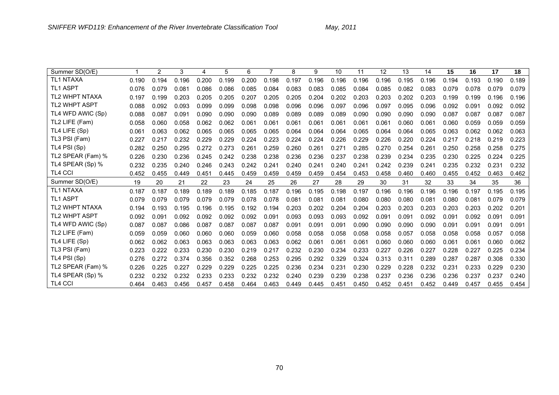| <b>TL1 NTAXA</b><br>0.189<br>0.196<br>0.200<br>0.199<br>0.200<br>0.198<br>0.197<br>0.196<br>0.196<br>0.196<br>0.196<br>0.195<br>0.196<br>0.194<br>0.193<br>0.190<br>0.190<br>0.194<br><b>TL1 ASPT</b><br>0.079<br>0.076<br>0.079<br>0.081<br>0.086<br>0.086<br>0.085<br>0.084<br>0.083<br>0.083<br>0.085<br>0.084<br>0.085<br>0.082<br>0.083<br>0.079<br>0.078<br>0.079<br><b>TL2 WHPT NTAXA</b><br>0.196<br>0.197<br>0.203<br>0.205<br>0.205<br>0.207<br>0.205<br>0.205<br>0.204<br>0.202<br>0.203<br>0.203<br>0.203<br>0.199<br>0.199<br>0.202<br>0.199<br>0.196<br><b>TL2 WHPT ASPT</b><br>0.098<br>0.096<br>0.092<br>0.088<br>0.092<br>0.093<br>0.099<br>0.099<br>0.098<br>0.096<br>0.097<br>0.096<br>0.097<br>0.095<br>0.096<br>0.092<br>0.091<br>0.092<br>TL4 WFD AWIC (Sp)<br>0.087<br>0.088<br>0.087<br>0.090<br>0.090<br>0.090<br>0.089<br>0.089<br>0.089<br>0.089<br>0.090<br>0.090<br>0.090<br>0.087<br>0.087<br>0.091<br>0.090<br>0.087<br>TL2 LIFE (Fam)<br>0.059<br>0.058<br>0.058<br>0.062<br>0.062<br>0.061<br>0.061<br>0.061<br>0.061<br>0.061<br>0.061<br>0.061<br>0.059<br>0.060<br>0.060<br>0.061<br>0.060<br>0.059<br>TL4 LIFE (Sp)<br>0.063<br>0.065<br>0.064<br>0.064<br>0.061<br>0.063<br>0.062<br>0.065<br>0.065<br>0.065<br>0.064<br>0.065<br>0.064<br>0.064<br>0.065<br>0.063<br>0.062<br>0.062<br>TL3 PSI (Fam)<br>0.223<br>0.229<br>0.229<br>0.224<br>0.223<br>0.224<br>0.224<br>0.226<br>0.226<br>0.227<br>0.217<br>0.232<br>0.229<br>0.220<br>0.224<br>0.217<br>0.218<br>0.219<br>TL4 PSI (Sp)<br>0.275<br>0.295<br>0.272<br>0.273<br>0.261<br>0.259<br>0.260<br>0.261<br>0.271<br>0.285<br>0.270<br>0.282<br>0.250<br>0.254<br>0.261<br>0.250<br>0.258<br>0.258<br>TL2 SPEAR (Fam) %<br>0.225<br>0.226<br>0.230<br>0.236<br>0.245<br>0.242<br>0.238<br>0.238<br>0.236<br>0.236<br>0.237<br>0.238<br>0.239<br>0.234<br>0.235<br>0.230<br>0.225<br>0.224<br>TL4 SPEAR (Sp) %<br>0.246<br>0.243<br>0.242<br>0.241<br>0.240<br>0.232<br>0.232<br>0.235<br>0.240<br>0.241<br>0.240<br>0.241<br>0.242<br>0.239<br>0.241<br>0.235<br>0.232<br>0.231<br><b>TL4 CCI</b><br>0.462<br>0.452<br>0.455<br>0.451<br>0.459<br>0.459<br>0.459<br>0.459<br>0.454<br>0.453<br>0.458<br>0.460<br>0.460<br>0.452<br>0.463<br>0.449<br>0.445<br>0.455<br>Summer SD(O/E)<br>20<br>26<br>29<br>30<br>31<br>32<br>33<br>34<br>36<br>19<br>21<br>22<br>23<br>24<br>25<br>27<br>28<br>35<br><b>TL1 NTAXA</b><br>0.189<br>0.189<br>0.189<br>0.185<br>0.187<br>0.196<br>0.198<br>0.196<br>0.196<br>0.196<br>0.195<br>0.187<br>0.187<br>0.195<br>0.197<br>0.196<br>0.197<br>0.195<br><b>TL1 ASPT</b><br>0.079<br>0.079<br>0.079<br>0.079<br>0.079<br>0.079<br>0.078<br>0.078<br>0.081<br>0.081<br>0.081<br>0.080<br>0.080<br>0.080<br>0.081<br>0.080<br>0.081<br>0.079<br><b>TL2 WHPT NTAXA</b><br>0.204<br>0.201<br>0.194<br>0.195<br>0.196<br>0.195<br>0.192<br>0.194<br>0.203<br>0.202<br>0.204<br>0.203<br>0.203<br>0.203<br>0.203<br>0.203<br>0.202<br>0.193<br><b>TL2 WHPT ASPT</b><br>0.092<br>0.092<br>0.092<br>0.092<br>0.091<br>0.093<br>0.093<br>0.093<br>0.091<br>0.092<br>0.091<br>0.092<br>0.091<br>0.091<br>0.092<br>0.092<br>0.091<br>0.091<br>TL4 WFD AWIC (Sp)<br>0.087<br>0.086<br>0.087<br>0.087<br>0.087<br>0.090<br>0.091<br>0.087<br>0.087<br>0.091<br>0.091<br>0.091<br>0.090<br>0.090<br>0.090<br>0.091<br>0.091<br>0.091<br>TL2 LIFE (Fam)<br>0.058<br>0.059<br>0.059<br>0.060<br>0.060<br>0.060<br>0.059<br>0.060<br>0.058<br>0.058<br>0.058<br>0.058<br>0.058<br>0.057<br>0.058<br>0.058<br>0.058<br>0.057<br>TL4 LIFE (Sp)<br>0.062<br>0.063<br>0.063<br>0.063<br>0.062<br>0.061<br>0.062<br>0.062<br>0.063<br>0.063<br>0.061<br>0.061<br>0.061<br>0.060<br>0.060<br>0.060<br>0.061<br>0.060<br>TL3 PSI (Fam)<br>0.230<br>0.230<br>0.219<br>0.232<br>0.230<br>0.234<br>0.233<br>0.226<br>0.228<br>0.234<br>0.223<br>0.222<br>0.233<br>0.217<br>0.227<br>0.227<br>0.227<br>0.225<br>TL4 PSI (Sp)<br>0.276<br>0.272<br>0.374<br>0.356<br>0.352<br>0.268<br>0.253<br>0.295<br>0.292<br>0.329<br>0.324<br>0.313<br>0.287<br>0.287<br>0.308<br>0.330<br>0.311<br>0.289<br>TL2 SPEAR (Fam) %<br>0.230<br>0.226<br>0.225<br>0.227<br>0.229<br>0.229<br>0.225<br>0.225<br>0.236<br>0.234<br>0.231<br>0.230<br>0.229<br>0.228<br>0.232<br>0.231<br>0.233<br>0.229<br>TL4 SPEAR (Sp) %<br>0.233<br>0.233<br>0.232<br>0.232<br>0.240<br>0.239<br>0.239<br>0.237<br>0.240<br>0.232<br>0.232<br>0.232<br>0.238<br>0.236<br>0.236<br>0.236<br>0.237<br>0.237<br><b>TL4 CCI</b><br>0.454<br>0.464<br>0.463<br>0.458<br>0.464<br>0.463<br>0.452<br>0.452<br>0.449<br>0.457<br>0.456<br>0.457<br>0.449<br>0.445<br>0.451<br>0.450<br>0.451<br>0.455 | Summer SD(O/E) | 2 | 3 | 4 | 5 | 6 | 8 | 9 | 10 | 11 | 12 | 13 | 14 | 15 | 16 | 17 | 18 |
|--------------------------------------------------------------------------------------------------------------------------------------------------------------------------------------------------------------------------------------------------------------------------------------------------------------------------------------------------------------------------------------------------------------------------------------------------------------------------------------------------------------------------------------------------------------------------------------------------------------------------------------------------------------------------------------------------------------------------------------------------------------------------------------------------------------------------------------------------------------------------------------------------------------------------------------------------------------------------------------------------------------------------------------------------------------------------------------------------------------------------------------------------------------------------------------------------------------------------------------------------------------------------------------------------------------------------------------------------------------------------------------------------------------------------------------------------------------------------------------------------------------------------------------------------------------------------------------------------------------------------------------------------------------------------------------------------------------------------------------------------------------------------------------------------------------------------------------------------------------------------------------------------------------------------------------------------------------------------------------------------------------------------------------------------------------------------------------------------------------------------------------------------------------------------------------------------------------------------------------------------------------------------------------------------------------------------------------------------------------------------------------------------------------------------------------------------------------------------------------------------------------------------------------------------------------------------------------------------------------------------------------------------------------------------------------------------------------------------------------------------------------------------------------------------------------------------------------------------------------------------------------------------------------------------------------------------------------------------------------------------------------------------------------------------------------------------------------------------------------------------------------------------------------------------------------------------------------------------------------------------------------------------------------------------------------------------------------------------------------------------------------------------------------------------------------------------------------------------------------------------------------------------------------------------------------------------------------------------------------------------------------------------------------------------------------------------------------------------------------------------------------------------------------------------------------------------------------------------------------------------------------------------------------------------------------------------------------------------------------------------------------------------------------------------------------------------------------------------------------------------------------------------------------------------------------------------------------------------------------------------------------------------------------------------------------------------------------------------------------------------------------------------------------------------------------------------------------------------------------------------------------------------------------------------------------------------------------------------------------------------------------------------------------------|----------------|---|---|---|---|---|---|---|----|----|----|----|----|----|----|----|----|
|                                                                                                                                                                                                                                                                                                                                                                                                                                                                                                                                                                                                                                                                                                                                                                                                                                                                                                                                                                                                                                                                                                                                                                                                                                                                                                                                                                                                                                                                                                                                                                                                                                                                                                                                                                                                                                                                                                                                                                                                                                                                                                                                                                                                                                                                                                                                                                                                                                                                                                                                                                                                                                                                                                                                                                                                                                                                                                                                                                                                                                                                                                                                                                                                                                                                                                                                                                                                                                                                                                                                                                                                                                                                                                                                                                                                                                                                                                                                                                                                                                                                                                                                                                                                                                                                                                                                                                                                                                                                                                                                                                                                                                                                    |                |   |   |   |   |   |   |   |    |    |    |    |    |    |    |    |    |
|                                                                                                                                                                                                                                                                                                                                                                                                                                                                                                                                                                                                                                                                                                                                                                                                                                                                                                                                                                                                                                                                                                                                                                                                                                                                                                                                                                                                                                                                                                                                                                                                                                                                                                                                                                                                                                                                                                                                                                                                                                                                                                                                                                                                                                                                                                                                                                                                                                                                                                                                                                                                                                                                                                                                                                                                                                                                                                                                                                                                                                                                                                                                                                                                                                                                                                                                                                                                                                                                                                                                                                                                                                                                                                                                                                                                                                                                                                                                                                                                                                                                                                                                                                                                                                                                                                                                                                                                                                                                                                                                                                                                                                                                    |                |   |   |   |   |   |   |   |    |    |    |    |    |    |    |    |    |
|                                                                                                                                                                                                                                                                                                                                                                                                                                                                                                                                                                                                                                                                                                                                                                                                                                                                                                                                                                                                                                                                                                                                                                                                                                                                                                                                                                                                                                                                                                                                                                                                                                                                                                                                                                                                                                                                                                                                                                                                                                                                                                                                                                                                                                                                                                                                                                                                                                                                                                                                                                                                                                                                                                                                                                                                                                                                                                                                                                                                                                                                                                                                                                                                                                                                                                                                                                                                                                                                                                                                                                                                                                                                                                                                                                                                                                                                                                                                                                                                                                                                                                                                                                                                                                                                                                                                                                                                                                                                                                                                                                                                                                                                    |                |   |   |   |   |   |   |   |    |    |    |    |    |    |    |    |    |
|                                                                                                                                                                                                                                                                                                                                                                                                                                                                                                                                                                                                                                                                                                                                                                                                                                                                                                                                                                                                                                                                                                                                                                                                                                                                                                                                                                                                                                                                                                                                                                                                                                                                                                                                                                                                                                                                                                                                                                                                                                                                                                                                                                                                                                                                                                                                                                                                                                                                                                                                                                                                                                                                                                                                                                                                                                                                                                                                                                                                                                                                                                                                                                                                                                                                                                                                                                                                                                                                                                                                                                                                                                                                                                                                                                                                                                                                                                                                                                                                                                                                                                                                                                                                                                                                                                                                                                                                                                                                                                                                                                                                                                                                    |                |   |   |   |   |   |   |   |    |    |    |    |    |    |    |    |    |
|                                                                                                                                                                                                                                                                                                                                                                                                                                                                                                                                                                                                                                                                                                                                                                                                                                                                                                                                                                                                                                                                                                                                                                                                                                                                                                                                                                                                                                                                                                                                                                                                                                                                                                                                                                                                                                                                                                                                                                                                                                                                                                                                                                                                                                                                                                                                                                                                                                                                                                                                                                                                                                                                                                                                                                                                                                                                                                                                                                                                                                                                                                                                                                                                                                                                                                                                                                                                                                                                                                                                                                                                                                                                                                                                                                                                                                                                                                                                                                                                                                                                                                                                                                                                                                                                                                                                                                                                                                                                                                                                                                                                                                                                    |                |   |   |   |   |   |   |   |    |    |    |    |    |    |    |    |    |
|                                                                                                                                                                                                                                                                                                                                                                                                                                                                                                                                                                                                                                                                                                                                                                                                                                                                                                                                                                                                                                                                                                                                                                                                                                                                                                                                                                                                                                                                                                                                                                                                                                                                                                                                                                                                                                                                                                                                                                                                                                                                                                                                                                                                                                                                                                                                                                                                                                                                                                                                                                                                                                                                                                                                                                                                                                                                                                                                                                                                                                                                                                                                                                                                                                                                                                                                                                                                                                                                                                                                                                                                                                                                                                                                                                                                                                                                                                                                                                                                                                                                                                                                                                                                                                                                                                                                                                                                                                                                                                                                                                                                                                                                    |                |   |   |   |   |   |   |   |    |    |    |    |    |    |    |    |    |
|                                                                                                                                                                                                                                                                                                                                                                                                                                                                                                                                                                                                                                                                                                                                                                                                                                                                                                                                                                                                                                                                                                                                                                                                                                                                                                                                                                                                                                                                                                                                                                                                                                                                                                                                                                                                                                                                                                                                                                                                                                                                                                                                                                                                                                                                                                                                                                                                                                                                                                                                                                                                                                                                                                                                                                                                                                                                                                                                                                                                                                                                                                                                                                                                                                                                                                                                                                                                                                                                                                                                                                                                                                                                                                                                                                                                                                                                                                                                                                                                                                                                                                                                                                                                                                                                                                                                                                                                                                                                                                                                                                                                                                                                    |                |   |   |   |   |   |   |   |    |    |    |    |    |    |    |    |    |
|                                                                                                                                                                                                                                                                                                                                                                                                                                                                                                                                                                                                                                                                                                                                                                                                                                                                                                                                                                                                                                                                                                                                                                                                                                                                                                                                                                                                                                                                                                                                                                                                                                                                                                                                                                                                                                                                                                                                                                                                                                                                                                                                                                                                                                                                                                                                                                                                                                                                                                                                                                                                                                                                                                                                                                                                                                                                                                                                                                                                                                                                                                                                                                                                                                                                                                                                                                                                                                                                                                                                                                                                                                                                                                                                                                                                                                                                                                                                                                                                                                                                                                                                                                                                                                                                                                                                                                                                                                                                                                                                                                                                                                                                    |                |   |   |   |   |   |   |   |    |    |    |    |    |    |    |    |    |
|                                                                                                                                                                                                                                                                                                                                                                                                                                                                                                                                                                                                                                                                                                                                                                                                                                                                                                                                                                                                                                                                                                                                                                                                                                                                                                                                                                                                                                                                                                                                                                                                                                                                                                                                                                                                                                                                                                                                                                                                                                                                                                                                                                                                                                                                                                                                                                                                                                                                                                                                                                                                                                                                                                                                                                                                                                                                                                                                                                                                                                                                                                                                                                                                                                                                                                                                                                                                                                                                                                                                                                                                                                                                                                                                                                                                                                                                                                                                                                                                                                                                                                                                                                                                                                                                                                                                                                                                                                                                                                                                                                                                                                                                    |                |   |   |   |   |   |   |   |    |    |    |    |    |    |    |    |    |
|                                                                                                                                                                                                                                                                                                                                                                                                                                                                                                                                                                                                                                                                                                                                                                                                                                                                                                                                                                                                                                                                                                                                                                                                                                                                                                                                                                                                                                                                                                                                                                                                                                                                                                                                                                                                                                                                                                                                                                                                                                                                                                                                                                                                                                                                                                                                                                                                                                                                                                                                                                                                                                                                                                                                                                                                                                                                                                                                                                                                                                                                                                                                                                                                                                                                                                                                                                                                                                                                                                                                                                                                                                                                                                                                                                                                                                                                                                                                                                                                                                                                                                                                                                                                                                                                                                                                                                                                                                                                                                                                                                                                                                                                    |                |   |   |   |   |   |   |   |    |    |    |    |    |    |    |    |    |
|                                                                                                                                                                                                                                                                                                                                                                                                                                                                                                                                                                                                                                                                                                                                                                                                                                                                                                                                                                                                                                                                                                                                                                                                                                                                                                                                                                                                                                                                                                                                                                                                                                                                                                                                                                                                                                                                                                                                                                                                                                                                                                                                                                                                                                                                                                                                                                                                                                                                                                                                                                                                                                                                                                                                                                                                                                                                                                                                                                                                                                                                                                                                                                                                                                                                                                                                                                                                                                                                                                                                                                                                                                                                                                                                                                                                                                                                                                                                                                                                                                                                                                                                                                                                                                                                                                                                                                                                                                                                                                                                                                                                                                                                    |                |   |   |   |   |   |   |   |    |    |    |    |    |    |    |    |    |
|                                                                                                                                                                                                                                                                                                                                                                                                                                                                                                                                                                                                                                                                                                                                                                                                                                                                                                                                                                                                                                                                                                                                                                                                                                                                                                                                                                                                                                                                                                                                                                                                                                                                                                                                                                                                                                                                                                                                                                                                                                                                                                                                                                                                                                                                                                                                                                                                                                                                                                                                                                                                                                                                                                                                                                                                                                                                                                                                                                                                                                                                                                                                                                                                                                                                                                                                                                                                                                                                                                                                                                                                                                                                                                                                                                                                                                                                                                                                                                                                                                                                                                                                                                                                                                                                                                                                                                                                                                                                                                                                                                                                                                                                    |                |   |   |   |   |   |   |   |    |    |    |    |    |    |    |    |    |
|                                                                                                                                                                                                                                                                                                                                                                                                                                                                                                                                                                                                                                                                                                                                                                                                                                                                                                                                                                                                                                                                                                                                                                                                                                                                                                                                                                                                                                                                                                                                                                                                                                                                                                                                                                                                                                                                                                                                                                                                                                                                                                                                                                                                                                                                                                                                                                                                                                                                                                                                                                                                                                                                                                                                                                                                                                                                                                                                                                                                                                                                                                                                                                                                                                                                                                                                                                                                                                                                                                                                                                                                                                                                                                                                                                                                                                                                                                                                                                                                                                                                                                                                                                                                                                                                                                                                                                                                                                                                                                                                                                                                                                                                    |                |   |   |   |   |   |   |   |    |    |    |    |    |    |    |    |    |
|                                                                                                                                                                                                                                                                                                                                                                                                                                                                                                                                                                                                                                                                                                                                                                                                                                                                                                                                                                                                                                                                                                                                                                                                                                                                                                                                                                                                                                                                                                                                                                                                                                                                                                                                                                                                                                                                                                                                                                                                                                                                                                                                                                                                                                                                                                                                                                                                                                                                                                                                                                                                                                                                                                                                                                                                                                                                                                                                                                                                                                                                                                                                                                                                                                                                                                                                                                                                                                                                                                                                                                                                                                                                                                                                                                                                                                                                                                                                                                                                                                                                                                                                                                                                                                                                                                                                                                                                                                                                                                                                                                                                                                                                    |                |   |   |   |   |   |   |   |    |    |    |    |    |    |    |    |    |
|                                                                                                                                                                                                                                                                                                                                                                                                                                                                                                                                                                                                                                                                                                                                                                                                                                                                                                                                                                                                                                                                                                                                                                                                                                                                                                                                                                                                                                                                                                                                                                                                                                                                                                                                                                                                                                                                                                                                                                                                                                                                                                                                                                                                                                                                                                                                                                                                                                                                                                                                                                                                                                                                                                                                                                                                                                                                                                                                                                                                                                                                                                                                                                                                                                                                                                                                                                                                                                                                                                                                                                                                                                                                                                                                                                                                                                                                                                                                                                                                                                                                                                                                                                                                                                                                                                                                                                                                                                                                                                                                                                                                                                                                    |                |   |   |   |   |   |   |   |    |    |    |    |    |    |    |    |    |
|                                                                                                                                                                                                                                                                                                                                                                                                                                                                                                                                                                                                                                                                                                                                                                                                                                                                                                                                                                                                                                                                                                                                                                                                                                                                                                                                                                                                                                                                                                                                                                                                                                                                                                                                                                                                                                                                                                                                                                                                                                                                                                                                                                                                                                                                                                                                                                                                                                                                                                                                                                                                                                                                                                                                                                                                                                                                                                                                                                                                                                                                                                                                                                                                                                                                                                                                                                                                                                                                                                                                                                                                                                                                                                                                                                                                                                                                                                                                                                                                                                                                                                                                                                                                                                                                                                                                                                                                                                                                                                                                                                                                                                                                    |                |   |   |   |   |   |   |   |    |    |    |    |    |    |    |    |    |
|                                                                                                                                                                                                                                                                                                                                                                                                                                                                                                                                                                                                                                                                                                                                                                                                                                                                                                                                                                                                                                                                                                                                                                                                                                                                                                                                                                                                                                                                                                                                                                                                                                                                                                                                                                                                                                                                                                                                                                                                                                                                                                                                                                                                                                                                                                                                                                                                                                                                                                                                                                                                                                                                                                                                                                                                                                                                                                                                                                                                                                                                                                                                                                                                                                                                                                                                                                                                                                                                                                                                                                                                                                                                                                                                                                                                                                                                                                                                                                                                                                                                                                                                                                                                                                                                                                                                                                                                                                                                                                                                                                                                                                                                    |                |   |   |   |   |   |   |   |    |    |    |    |    |    |    |    |    |
|                                                                                                                                                                                                                                                                                                                                                                                                                                                                                                                                                                                                                                                                                                                                                                                                                                                                                                                                                                                                                                                                                                                                                                                                                                                                                                                                                                                                                                                                                                                                                                                                                                                                                                                                                                                                                                                                                                                                                                                                                                                                                                                                                                                                                                                                                                                                                                                                                                                                                                                                                                                                                                                                                                                                                                                                                                                                                                                                                                                                                                                                                                                                                                                                                                                                                                                                                                                                                                                                                                                                                                                                                                                                                                                                                                                                                                                                                                                                                                                                                                                                                                                                                                                                                                                                                                                                                                                                                                                                                                                                                                                                                                                                    |                |   |   |   |   |   |   |   |    |    |    |    |    |    |    |    |    |
|                                                                                                                                                                                                                                                                                                                                                                                                                                                                                                                                                                                                                                                                                                                                                                                                                                                                                                                                                                                                                                                                                                                                                                                                                                                                                                                                                                                                                                                                                                                                                                                                                                                                                                                                                                                                                                                                                                                                                                                                                                                                                                                                                                                                                                                                                                                                                                                                                                                                                                                                                                                                                                                                                                                                                                                                                                                                                                                                                                                                                                                                                                                                                                                                                                                                                                                                                                                                                                                                                                                                                                                                                                                                                                                                                                                                                                                                                                                                                                                                                                                                                                                                                                                                                                                                                                                                                                                                                                                                                                                                                                                                                                                                    |                |   |   |   |   |   |   |   |    |    |    |    |    |    |    |    |    |
|                                                                                                                                                                                                                                                                                                                                                                                                                                                                                                                                                                                                                                                                                                                                                                                                                                                                                                                                                                                                                                                                                                                                                                                                                                                                                                                                                                                                                                                                                                                                                                                                                                                                                                                                                                                                                                                                                                                                                                                                                                                                                                                                                                                                                                                                                                                                                                                                                                                                                                                                                                                                                                                                                                                                                                                                                                                                                                                                                                                                                                                                                                                                                                                                                                                                                                                                                                                                                                                                                                                                                                                                                                                                                                                                                                                                                                                                                                                                                                                                                                                                                                                                                                                                                                                                                                                                                                                                                                                                                                                                                                                                                                                                    |                |   |   |   |   |   |   |   |    |    |    |    |    |    |    |    |    |
|                                                                                                                                                                                                                                                                                                                                                                                                                                                                                                                                                                                                                                                                                                                                                                                                                                                                                                                                                                                                                                                                                                                                                                                                                                                                                                                                                                                                                                                                                                                                                                                                                                                                                                                                                                                                                                                                                                                                                                                                                                                                                                                                                                                                                                                                                                                                                                                                                                                                                                                                                                                                                                                                                                                                                                                                                                                                                                                                                                                                                                                                                                                                                                                                                                                                                                                                                                                                                                                                                                                                                                                                                                                                                                                                                                                                                                                                                                                                                                                                                                                                                                                                                                                                                                                                                                                                                                                                                                                                                                                                                                                                                                                                    |                |   |   |   |   |   |   |   |    |    |    |    |    |    |    |    |    |
|                                                                                                                                                                                                                                                                                                                                                                                                                                                                                                                                                                                                                                                                                                                                                                                                                                                                                                                                                                                                                                                                                                                                                                                                                                                                                                                                                                                                                                                                                                                                                                                                                                                                                                                                                                                                                                                                                                                                                                                                                                                                                                                                                                                                                                                                                                                                                                                                                                                                                                                                                                                                                                                                                                                                                                                                                                                                                                                                                                                                                                                                                                                                                                                                                                                                                                                                                                                                                                                                                                                                                                                                                                                                                                                                                                                                                                                                                                                                                                                                                                                                                                                                                                                                                                                                                                                                                                                                                                                                                                                                                                                                                                                                    |                |   |   |   |   |   |   |   |    |    |    |    |    |    |    |    |    |
|                                                                                                                                                                                                                                                                                                                                                                                                                                                                                                                                                                                                                                                                                                                                                                                                                                                                                                                                                                                                                                                                                                                                                                                                                                                                                                                                                                                                                                                                                                                                                                                                                                                                                                                                                                                                                                                                                                                                                                                                                                                                                                                                                                                                                                                                                                                                                                                                                                                                                                                                                                                                                                                                                                                                                                                                                                                                                                                                                                                                                                                                                                                                                                                                                                                                                                                                                                                                                                                                                                                                                                                                                                                                                                                                                                                                                                                                                                                                                                                                                                                                                                                                                                                                                                                                                                                                                                                                                                                                                                                                                                                                                                                                    |                |   |   |   |   |   |   |   |    |    |    |    |    |    |    |    |    |
|                                                                                                                                                                                                                                                                                                                                                                                                                                                                                                                                                                                                                                                                                                                                                                                                                                                                                                                                                                                                                                                                                                                                                                                                                                                                                                                                                                                                                                                                                                                                                                                                                                                                                                                                                                                                                                                                                                                                                                                                                                                                                                                                                                                                                                                                                                                                                                                                                                                                                                                                                                                                                                                                                                                                                                                                                                                                                                                                                                                                                                                                                                                                                                                                                                                                                                                                                                                                                                                                                                                                                                                                                                                                                                                                                                                                                                                                                                                                                                                                                                                                                                                                                                                                                                                                                                                                                                                                                                                                                                                                                                                                                                                                    |                |   |   |   |   |   |   |   |    |    |    |    |    |    |    |    |    |
|                                                                                                                                                                                                                                                                                                                                                                                                                                                                                                                                                                                                                                                                                                                                                                                                                                                                                                                                                                                                                                                                                                                                                                                                                                                                                                                                                                                                                                                                                                                                                                                                                                                                                                                                                                                                                                                                                                                                                                                                                                                                                                                                                                                                                                                                                                                                                                                                                                                                                                                                                                                                                                                                                                                                                                                                                                                                                                                                                                                                                                                                                                                                                                                                                                                                                                                                                                                                                                                                                                                                                                                                                                                                                                                                                                                                                                                                                                                                                                                                                                                                                                                                                                                                                                                                                                                                                                                                                                                                                                                                                                                                                                                                    |                |   |   |   |   |   |   |   |    |    |    |    |    |    |    |    |    |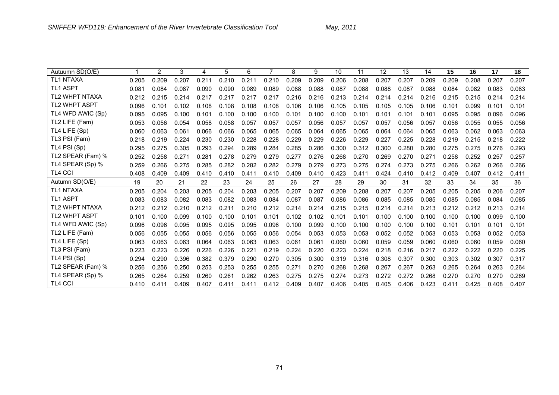| May, 2011 |  |  |  |  |
|-----------|--|--|--|--|
|-----------|--|--|--|--|

| Autuumn SD(O/E)       |       | 2     | 3     | 4     | 5     | 6     |       | 8     | 9     | 10    | 11    | 12    | 13    | 14    | 15    | 16    | 17    | 18    |
|-----------------------|-------|-------|-------|-------|-------|-------|-------|-------|-------|-------|-------|-------|-------|-------|-------|-------|-------|-------|
| <b>TL1 NTAXA</b>      | 0.205 | 0.209 | 0.207 | 0.211 | 0.210 | 0.211 | 0.210 | 0.209 | 0.209 | 0.206 | 0.208 | 0.207 | 0.207 | 0.209 | 0.209 | 0.208 | 0.207 | 0.207 |
| <b>TL1 ASPT</b>       | 0.081 | 0.084 | 0.087 | 0.090 | 0.090 | 0.089 | 0.089 | 0.088 | 0.088 | 0.087 | 0.088 | 0.088 | 0.087 | 0.088 | 0.084 | 0.082 | 0.083 | 0.083 |
| <b>TL2 WHPT NTAXA</b> | 0.212 | 0.215 | 0.214 | 0.217 | 0.217 | 0.217 | 0.217 | 0.216 | 0.216 | 0.213 | 0.214 | 0.214 | 0.214 | 0.216 | 0.215 | 0.215 | 0.214 | 0.214 |
| <b>TL2 WHPT ASPT</b>  | 0.096 | 0.101 | 0.102 | 0.108 | 0.108 | 0.108 | 0.108 | 0.106 | 0.106 | 0.105 | 0.105 | 0.105 | 0.105 | 0.106 | 0.101 | 0.099 | 0.101 | 0.101 |
| TL4 WFD AWIC (Sp)     | 0.095 | 0.095 | 0.100 | 0.101 | 0.100 | 0.100 | 0.100 | 0.101 | 0.100 | 0.100 | 0.101 | 0.101 | 0.101 | 0.101 | 0.095 | 0.095 | 0.096 | 0.096 |
| TL2 LIFE (Fam)        | 0.053 | 0.056 | 0.054 | 0.058 | 0.058 | 0.057 | 0.057 | 0.057 | 0.056 | 0.057 | 0.057 | 0.057 | 0.056 | 0.057 | 0.056 | 0.055 | 0.055 | 0.056 |
| TL4 LIFE (Sp)         | 0.060 | 0.063 | 0.061 | 0.066 | 0.066 | 0.065 | 0.065 | 0.065 | 0.064 | 0.065 | 0.065 | 0.064 | 0.064 | 0.065 | 0.063 | 0.062 | 0.063 | 0.063 |
| TL3 PSI (Fam)         | 0.218 | 0.219 | 0.224 | 0.230 | 0.230 | 0.228 | 0.228 | 0.229 | 0.229 | 0.226 | 0.229 | 0.227 | 0.225 | 0.228 | 0.219 | 0.215 | 0.218 | 0.222 |
| TL4 PSI (Sp)          | 0.295 | 0.275 | 0.305 | 0.293 | 0.294 | 0.289 | 0.284 | 0.285 | 0.286 | 0.300 | 0.312 | 0.300 | 0.280 | 0.280 | 0.275 | 0.275 | 0.276 | 0.293 |
| TL2 SPEAR (Fam) %     | 0.252 | 0.258 | 0.271 | 0.281 | 0.278 | 0.279 | 0.279 | 0.277 | 0.276 | 0.268 | 0.270 | 0.269 | 0.270 | 0.271 | 0.258 | 0.252 | 0.257 | 0.257 |
| TL4 SPEAR (Sp) %      | 0.259 | 0.266 | 0.275 | 0.285 | 0.282 | 0.282 | 0.282 | 0.279 | 0.279 | 0.273 | 0.275 | 0.274 | 0.273 | 0.275 | 0.266 | 0.262 | 0.266 | 0.266 |
| <b>TL4 CCI</b>        | 0.408 | 0.409 | 0.409 | 0.410 | 0.410 | 0.411 | 0.410 | 0.409 | 0.410 | 0.423 | 0.411 | 0.424 | 0.410 | 0.412 | 0.409 | 0.407 | 0.412 | 0.411 |
|                       |       |       |       |       |       |       |       |       |       |       |       |       |       |       |       |       |       |       |
| Autumn SD(O/E)        | 19    | 20    | 21    | 22    | 23    | 24    | 25    | 26    | 27    | 28    | 29    | 30    | 31    | 32    | 33    | 34    | 35    | 36    |
| <b>TL1 NTAXA</b>      | 0.205 | 0.204 | 0.203 | 0.205 | 0.204 | 0.203 | 0.205 | 0.207 | 0.207 | 0.209 | 0.208 | 0.207 | 0.207 | 0.205 | 0.205 | 0.205 | 0.206 | 0.207 |
| <b>TL1 ASPT</b>       | 0.083 | 0.083 | 0.082 | 0.083 | 0.082 | 0.083 | 0.084 | 0.087 | 0.087 | 0.086 | 0.086 | 0.085 | 0.085 | 0.085 | 0.085 | 0.085 | 0.084 | 0.085 |
| <b>TL2 WHPT NTAXA</b> | 0.212 | 0.212 | 0.210 | 0.212 | 0.211 | 0.210 | 0.212 | 0.214 | 0.214 | 0.215 | 0.215 | 0.214 | 0.214 | 0.213 | 0.212 | 0.212 | 0.213 | 0.214 |
| <b>TL2 WHPT ASPT</b>  | 0.101 | 0.100 | 0.099 | 0.100 | 0.100 | 0.101 | 0.101 | 0.102 | 0.102 | 0.101 | 0.101 | 0.100 | 0.100 | 0.100 | 0.100 | 0.100 | 0.099 | 0.100 |
| TL4 WFD AWIC (Sp)     | 0.096 | 0.096 | 0.095 | 0.095 | 0.095 | 0.095 | 0.096 | 0.100 | 0.099 | 0.100 | 0.100 | 0.100 | 0.100 | 0.100 | 0.101 | 0.101 | 0.101 | 0.101 |
| TL2 LIFE (Fam)        | 0.056 | 0.055 | 0.055 | 0.056 | 0.056 | 0.055 | 0.056 | 0.054 | 0.053 | 0.053 | 0.053 | 0.052 | 0.052 | 0.053 | 0.053 | 0.053 | 0.052 | 0.053 |
| TL4 LIFE (Sp)         | 0.063 | 0.063 | 0.063 | 0.064 | 0.063 | 0.063 | 0.063 | 0.061 | 0.061 | 0.060 | 0.060 | 0.059 | 0.059 | 0.060 | 0.060 | 0.060 | 0.059 | 0.060 |
| TL3 PSI (Fam)         | 0.223 | 0.223 | 0.226 | 0.226 | 0.226 | 0.221 | 0.219 | 0.224 | 0.220 | 0.223 | 0.224 | 0.218 | 0.216 | 0.217 | 0.222 | 0.222 | 0.220 | 0.225 |
| TL4 PSI (Sp)          | 0.294 | 0.290 | 0.396 | 0.382 | 0.379 | 0.290 | 0.270 | 0.305 | 0.300 | 0.319 | 0.316 | 0.308 | 0.307 | 0.300 | 0.303 | 0.302 | 0.307 | 0.317 |
| TL2 SPEAR (Fam) %     | 0.256 | 0.256 | 0.250 | 0.253 | 0.253 | 0.255 | 0.255 | 0.271 | 0.270 | 0.268 | 0.268 | 0.267 | 0.267 | 0.263 | 0.265 | 0.264 | 0.263 | 0.264 |
| TL4 SPEAR (Sp) %      | 0.265 | 0.264 | 0.259 | 0.260 | 0.261 | 0.262 | 0.263 | 0.275 | 0.275 | 0.274 | 0.273 | 0.272 | 0.272 | 0.268 | 0.270 | 0.270 | 0.270 | 0.269 |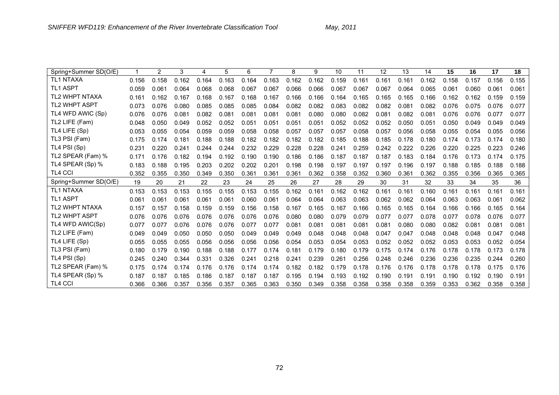| Spring+Summer SD(O/E) |       | 2     | 3     | 4     | 5     | 6     | 7     | 8     | 9     | 10    | 11    | 12    | 13    | 14    | 15    | 16    | 17    | 18    |
|-----------------------|-------|-------|-------|-------|-------|-------|-------|-------|-------|-------|-------|-------|-------|-------|-------|-------|-------|-------|
| <b>TL1 NTAXA</b>      | 0.156 | 0.158 | 0.162 | 0.164 | 0.163 | 0.164 | 0.163 | 0.162 | 0.162 | 0.159 | 0.161 | 0.161 | 0.161 | 0.162 | 0.158 | 0.157 | 0.156 | 0.155 |
| <b>TL1 ASPT</b>       | 0.059 | 0.061 | 0.064 | 0.068 | 0.068 | 0.067 | 0.067 | 0.066 | 0.066 | 0.067 | 0.067 | 0.067 | 0.064 | 0.065 | 0.061 | 0.060 | 0.061 | 0.061 |
| <b>TL2 WHPT NTAXA</b> | 0.161 | 0.162 | 0.167 | 0.168 | 0.167 | 0.168 | 0.167 | 0.166 | 0.166 | 0.164 | 0.165 | 0.165 | 0.165 | 0.166 | 0.162 | 0.162 | 0.159 | 0.159 |
| <b>TL2 WHPT ASPT</b>  | 0.073 | 0.076 | 0.080 | 0.085 | 0.085 | 0.085 | 0.084 | 0.082 | 0.082 | 0.083 | 0.082 | 0.082 | 0.081 | 0.082 | 0.076 | 0.075 | 0.076 | 0.077 |
| TL4 WFD AWIC (Sp)     | 0.076 | 0.076 | 0.081 | 0.082 | 0.081 | 0.081 | 0.081 | 0.081 | 0.080 | 0.080 | 0.082 | 0.081 | 0.082 | 0.081 | 0.076 | 0.076 | 0.077 | 0.077 |
| TL2 LIFE (Fam)        | 0.048 | 0.050 | 0.049 | 0.052 | 0.052 | 0.051 | 0.051 | 0.051 | 0.051 | 0.052 | 0.052 | 0.052 | 0.050 | 0.051 | 0.050 | 0.049 | 0.049 | 0.049 |
| TL4 LIFE (Sp)         | 0.053 | 0.055 | 0.054 | 0.059 | 0.059 | 0.058 | 0.058 | 0.057 | 0.057 | 0.057 | 0.058 | 0.057 | 0.056 | 0.058 | 0.055 | 0.054 | 0.055 | 0.056 |
| TL3 PSI (Fam)         | 0.175 | 0.174 | 0.181 | 0.188 | 0.188 | 0.182 | 0.182 | 0.182 | 0.182 | 0.185 | 0.188 | 0.185 | 0.178 | 0.180 | 0.174 | 0.173 | 0.174 | 0.180 |
| TL4 PSI (Sp)          | 0.231 | 0.220 | 0.241 | 0.244 | 0.244 | 0.232 | 0.229 | 0.228 | 0.228 | 0.241 | 0.259 | 0.242 | 0.222 | 0.226 | 0.220 | 0.225 | 0.223 | 0.246 |
| TL2 SPEAR (Fam) %     | 0.171 | 0.176 | 0.182 | 0.194 | 0.192 | 0.190 | 0.190 | 0.186 | 0.186 | 0.187 | 0.187 | 0.187 | 0.183 | 0.184 | 0.176 | 0.173 | 0.174 | 0.175 |
| TL4 SPEAR (Sp) %      | 0.183 | 0.188 | 0.195 | 0.203 | 0.202 | 0.202 | 0.201 | 0.198 | 0.198 | 0.197 | 0.197 | 0.197 | 0.196 | 0.197 | 0.188 | 0.185 | 0.188 | 0.188 |
| <b>TL4 CCI</b>        | 0.352 | 0.355 | 0.350 | 0.349 | 0.350 | 0.361 | 0.361 | 0.361 | 0.362 | 0.358 | 0.352 | 0.360 | 0.361 | 0.362 | 0.355 | 0.356 | 0.365 | 0.365 |
| Spring+Summer SD(O/E) | 19    | 20    | 21    | 22    | 23    | 24    | 25    | 26    | 27    | 28    | 29    | 30    | 31    | 32    | 33    | 34    | 35    | 36    |
| <b>TL1 NTAXA</b>      | 0.153 | 0.153 | 0.153 | 0.155 | 0.155 | 0.153 | 0.155 | 0.162 | 0.161 | 0.162 | 0.162 | 0.161 | 0.161 | 0.160 | 0.161 | 0.161 | 0.161 | 0.161 |
| <b>TL1 ASPT</b>       | 0.061 | 0.061 | 0.061 | 0.061 | 0.061 | 0.060 | 0.061 | 0.064 | 0.064 | 0.063 | 0.063 | 0.062 | 0.062 | 0.064 | 0.063 | 0.063 | 0.061 | 0.062 |
| <b>TL2 WHPT NTAXA</b> | 0.157 | 0.157 | 0.158 | 0.159 | 0.159 | 0.156 | 0.158 | 0.167 | 0.165 | 0.167 | 0.166 | 0.165 | 0.165 | 0.164 | 0.166 | 0.166 | 0.165 | 0.164 |
| TL2 WHPT ASPT         | 0.076 | 0.076 | 0.076 | 0.076 | 0.076 | 0.076 | 0.076 | 0.080 | 0.080 | 0.079 | 0.079 | 0.077 | 0.077 | 0.078 | 0.077 | 0.078 | 0.076 | 0.077 |
| TL4 WFD AWIC(Sp)      | 0.077 | 0.077 | 0.076 | 0.076 | 0.076 | 0.077 | 0.077 | 0.081 | 0.081 | 0.081 | 0.081 | 0.081 | 0.080 | 0.080 | 0.082 | 0.081 | 0.081 | 0.081 |
| TL2 LIFE (Fam)        | 0.049 | 0.049 | 0.050 | 0.050 | 0.050 | 0.049 | 0.049 | 0.049 | 0.048 | 0.048 | 0.048 | 0.047 | 0.047 | 0.048 | 0.048 | 0.048 | 0.047 | 0.048 |
| TL4 LIFE (Sp)         | 0.055 | 0.055 | 0.055 | 0.056 | 0.056 | 0.056 | 0.056 | 0.054 | 0.053 | 0.054 | 0.053 | 0.052 | 0.052 | 0.052 | 0.053 | 0.053 | 0.052 | 0.054 |
| TL3 PSI (Fam)         | 0.180 | 0.179 | 0.190 | 0.188 | 0.188 | 0.177 | 0.174 | 0.181 | 0.179 | 0.180 | 0.179 | 0.175 | 0.174 | 0.176 | 0.178 | 0.178 | 0.173 | 0.178 |
| TL4 PSI (Sp)          | 0.245 | 0.240 | 0.344 | 0.331 | 0.326 | 0.241 | 0.218 | 0.241 | 0.239 | 0.261 | 0.256 | 0.248 | 0.246 | 0.236 | 0.236 | 0.235 | 0.244 | 0.260 |
| TL2 SPEAR (Fam) %     | 0.175 | 0.174 | 0.174 | 0.176 | 0.176 | 0.174 | 0.174 | 0.182 | 0.182 | 0.179 | 0.178 | 0.176 | 0.176 | 0.178 | 0.178 | 0.178 | 0.175 | 0.176 |
| TL4 SPEAR (Sp) %      | 0.187 | 0.187 | 0.185 | 0.186 | 0.187 | 0.187 | 0.187 | 0.195 | 0.194 | 0.193 | 0.192 | 0.190 | 0.191 | 0.191 | 0.190 | 0.192 | 0.190 | 0.191 |
| <b>TL4 CCI</b>        | 0.366 | 0.366 | 0.357 | 0.356 | 0.357 | 0.365 | 0.363 | 0.350 | 0.349 | 0.358 | 0.358 | 0.358 | 0.358 | 0.359 | 0.353 | 0.362 | 0.358 | 0.358 |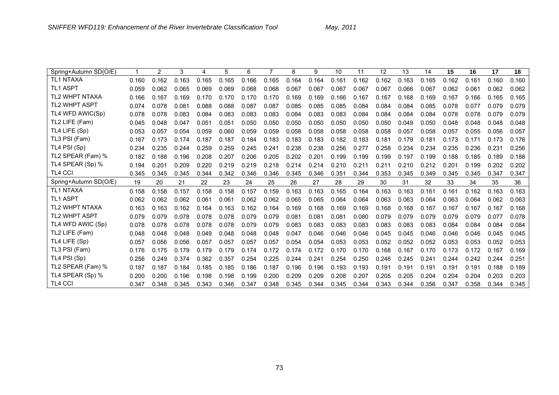| Spring+Autumn SD(O/E) |       | 2     | 3     | 4     | 5     | 6     |       | 8     | 9     | 10    | 11    | 12    | 13    | 14    | 15    | 16    | 17    | 18    |
|-----------------------|-------|-------|-------|-------|-------|-------|-------|-------|-------|-------|-------|-------|-------|-------|-------|-------|-------|-------|
| <b>TL1 NTAXA</b>      | 0.160 | 0.162 | 0.163 | 0.165 | 0.165 | 0.166 | 0.165 | 0.164 | 0.164 | 0.161 | 0.162 | 0.162 | 0.163 | 0.165 | 0.162 | 0.161 | 0.160 | 0.160 |
| <b>TL1 ASPT</b>       | 0.059 | 0.062 | 0.065 | 0.069 | 0.069 | 0.068 | 0.068 | 0.067 | 0.067 | 0.067 | 0.067 | 0.067 | 0.066 | 0.067 | 0.062 | 0.061 | 0.062 | 0.062 |
| <b>TL2 WHPT NTAXA</b> | 0.166 | 0.167 | 0.169 | 0.170 | 0.170 | 0.170 | 0.170 | 0.169 | 0.169 | 0.166 | 0.167 | 0.167 | 0.168 | 0.169 | 0.167 | 0.166 | 0.165 | 0.165 |
| TL2 WHPT ASPT         | 0.074 | 0.078 | 0.081 | 0.088 | 0.088 | 0.087 | 0.087 | 0.085 | 0.085 | 0.085 | 0.084 | 0.084 | 0.084 | 0.085 | 0.078 | 0.077 | 0.079 | 0.079 |
| TL4 WFD AWIC(Sp)      | 0.078 | 0.078 | 0.083 | 0.084 | 0.083 | 0.083 | 0.083 | 0.084 | 0.083 | 0.083 | 0.084 | 0.084 | 0.084 | 0.084 | 0.078 | 0.078 | 0.079 | 0.079 |
| TL2 LIFE (Fam)        | 0.045 | 0.048 | 0.047 | 0.051 | 0.051 | 0.050 | 0.050 | 0.050 | 0.050 | 0.050 | 0.050 | 0.050 | 0.049 | 0.050 | 0.048 | 0.048 | 0.048 | 0.048 |
| TL4 LIFE (Sp)         | 0.053 | 0.057 | 0.054 | 0.059 | 0.060 | 0.059 | 0.059 | 0.058 | 0.058 | 0.058 | 0.058 | 0.058 | 0.057 | 0.058 | 0.057 | 0.055 | 0.056 | 0.057 |
| TL3 PSI (Fam)         | 0.167 | 0.173 | 0.174 | 0.187 | 0.187 | 0.184 | 0.183 | 0.183 | 0.183 | 0.182 | 0.183 | 0.181 | 0.179 | 0.181 | 0.173 | 0.171 | 0.173 | 0.176 |
| TL4 PSI (Sp)          | 0.234 | 0.235 | 0.244 | 0.259 | 0.259 | 0.245 | 0.241 | 0.238 | 0.238 | 0.256 | 0.277 | 0.258 | 0.234 | 0.234 | 0.235 | 0.236 | 0.231 | 0.256 |
| TL2 SPEAR (Fam) %     | 0.182 | 0.188 | 0.196 | 0.208 | 0.207 | 0.206 | 0.205 | 0.202 | 0.201 | 0.199 | 0.199 | 0.199 | 0.197 | 0.199 | 0.188 | 0.185 | 0.189 | 0.188 |
| TL4 SPEAR (Sp) %      | 0.194 | 0.201 | 0.209 | 0.220 | 0.219 | 0.219 | 0.218 | 0.214 | 0.214 | 0.210 | 0.211 | 0.211 | 0.210 | 0.212 | 0.201 | 0.199 | 0.202 | 0.202 |
| <b>TL4 CCI</b>        | 0.345 | 0.345 | 0.345 | 0.344 | 0.342 | 0.346 | 0.346 | 0.345 | 0.346 | 0.351 | 0.344 | 0.353 | 0.345 | 0.349 | 0.345 | 0.345 | 0.347 | 0.347 |
| Spring+Autumn SD(O/E) | 19    | 20    | 21    | 22    | 23    | 24    | 25    | 26    | 27    | 28    | 29    | 30    | 31    | 32    | 33    | 34    | 35    | 36    |
| <b>TL1 NTAXA</b>      | 0.158 | 0.158 | 0.157 | 0.158 | 0.158 | 0.157 | 0.159 | 0.163 | 0.163 | 0.165 | 0.164 | 0.163 | 0.163 | 0.161 | 0.161 | 0.162 | 0.163 | 0.163 |
| <b>TL1 ASPT</b>       | 0.062 | 0.062 | 0.062 | 0.061 | 0.061 | 0.062 | 0.062 | 0.065 | 0.065 | 0.064 | 0.064 | 0.063 | 0.063 | 0.064 | 0.063 | 0.064 | 0.062 | 0.063 |
| <b>TL2 WHPT NTAXA</b> | 0.163 | 0.163 | 0.162 | 0.164 | 0.163 | 0.162 | 0.164 | 0.169 | 0.168 | 0.169 | 0.169 | 0.168 | 0.168 | 0.167 | 0.167 | 0.167 | 0.167 | 0.168 |
| <b>TL2 WHPT ASPT</b>  | 0.079 | 0.079 | 0.078 | 0.078 | 0.078 | 0.079 | 0.079 | 0.081 | 0.081 | 0.081 | 0.080 | 0.079 | 0.079 | 0.079 | 0.079 | 0.079 | 0.077 | 0.078 |
| TL4 WFD AWIC (Sp)     | 0.078 | 0.078 | 0.078 | 0.078 | 0.078 | 0.079 | 0.079 | 0.083 | 0.083 | 0.083 | 0.083 | 0.083 | 0.083 | 0.083 | 0.084 | 0.084 | 0.084 | 0.084 |
| TL2 LIFE (Fam)        | 0.048 | 0.048 | 0.048 | 0.049 | 0.048 | 0.048 | 0.048 | 0.047 | 0.046 | 0.046 | 0.046 | 0.045 | 0.045 | 0.046 | 0.046 | 0.046 | 0.045 | 0.045 |
| TL4 LIFE (Sp)         | 0.057 | 0.056 | 0.056 | 0.057 | 0.057 | 0.057 | 0.057 | 0.054 | 0.054 | 0.053 | 0.053 | 0.052 | 0.052 | 0.052 | 0.053 | 0.053 | 0.052 | 0.053 |
| TL3 PSI (Fam)         | 0.176 | 0.175 | 0.179 | 0.179 | 0.179 | 0.174 | 0.172 | 0.174 | 0.172 | 0.170 | 0.170 | 0.168 | 0.167 | 0.170 | 0.173 | 0.172 | 0.167 | 0.169 |
| TL4 PSI (Sp)          | 0.256 | 0.249 | 0.374 | 0.362 | 0.357 | 0.254 | 0.225 | 0.244 | 0.241 | 0.254 | 0.250 | 0.246 | 0.245 | 0.241 | 0.244 | 0.242 | 0.244 | 0.251 |
| TL2 SPEAR (Fam) %     | 0.187 | 0.187 | 0.184 | 0.185 | 0.185 | 0.186 | 0.187 | 0.196 | 0.196 | 0.193 | 0.193 | 0.191 | 0.191 | 0.191 | 0.191 | 0.191 | 0.188 | 0.189 |
| TL4 SPEAR (Sp) %      | 0.200 | 0.200 | 0.196 | 0.198 | 0.198 | 0.199 | 0.200 | 0.209 | 0.209 | 0.208 | 0.207 | 0.205 | 0.205 | 0.204 | 0.204 | 0.204 | 0.203 | 0.203 |
| <b>TL4 CCI</b>        | 0.347 | 0.348 | 0.345 | 0.343 | 0.346 | 0.347 | 0.348 | 0.345 | 0.344 | 0.345 | 0.344 | 0.343 | 0.344 | 0.356 | 0.347 | 0.358 | 0.344 | 0.345 |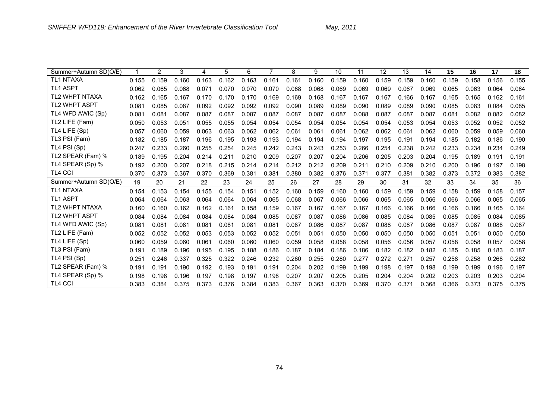| Summer+Autumn SD(O/E) |       | 2     | 3     | 4     | 5     | 6     |       | 8     | 9     | 10    | 11    | 12    | 13    | 14    | 15    | 16    | 17    | 18    |
|-----------------------|-------|-------|-------|-------|-------|-------|-------|-------|-------|-------|-------|-------|-------|-------|-------|-------|-------|-------|
| <b>TL1 NTAXA</b>      | 0.155 | 0.159 | 0.160 | 0.163 | 0.162 | 0.163 | 0.161 | 0.161 | 0.160 | 0.159 | 0.160 | 0.159 | 0.159 | 0.160 | 0.159 | 0.158 | 0.156 | 0.155 |
| <b>TL1 ASPT</b>       | 0.062 | 0.065 | 0.068 | 0.071 | 0.070 | 0.070 | 0.070 | 0.068 | 0.068 | 0.069 | 0.069 | 0.069 | 0.067 | 0.069 | 0.065 | 0.063 | 0.064 | 0.064 |
| <b>TL2 WHPT NTAXA</b> | 0.162 | 0.165 | 0.167 | 0.170 | 0.170 | 0.170 | 0.169 | 0.169 | 0.168 | 0.167 | 0.167 | 0.167 | 0.166 | 0.167 | 0.165 | 0.165 | 0.162 | 0.161 |
| <b>TL2 WHPT ASPT</b>  | 0.081 | 0.085 | 0.087 | 0.092 | 0.092 | 0.092 | 0.092 | 0.090 | 0.089 | 0.089 | 0.090 | 0.089 | 0.089 | 0.090 | 0.085 | 0.083 | 0.084 | 0.085 |
| TL4 WFD AWIC (Sp)     | 0.081 | 0.081 | 0.087 | 0.087 | 0.087 | 0.087 | 0.087 | 0.087 | 0.087 | 0.087 | 0.088 | 0.087 | 0.087 | 0.087 | 0.081 | 0.082 | 0.082 | 0.082 |
| TL2 LIFE (Fam)        | 0.05C | 0.053 | 0.051 | 0.055 | 0.055 | 0.054 | 0.054 | 0.054 | 0.054 | 0.054 | 0.054 | 0.054 | 0.053 | 0.054 | 0.053 | 0.052 | 0.052 | 0.052 |
| TL4 LIFE (Sp)         | 0.057 | 0.060 | 0.059 | 0.063 | 0.063 | 0.062 | 0.062 | 0.061 | 0.061 | 0.061 | 0.062 | 0.062 | 0.061 | 0.062 | 0.060 | 0.059 | 0.059 | 0.060 |
| TL3 PSI (Fam)         | 0.182 | 0.185 | 0.187 | 0.196 | 0.195 | 0.193 | 0.193 | 0.194 | 0.194 | 0.194 | 0.197 | 0.195 | 0.191 | 0.194 | 0.185 | 0.182 | 0.186 | 0.190 |
| TL4 PSI (Sp)          | 0.247 | 0.233 | 0.260 | 0.255 | 0.254 | 0.245 | 0.242 | 0.243 | 0.243 | 0.253 | 0.266 | 0.254 | 0.238 | 0.242 | 0.233 | 0.234 | 0.234 | 0.249 |
| TL2 SPEAR (Fam) %     | 0.189 | 0.195 | 0.204 | 0.214 | 0.211 | 0.210 | 0.209 | 0.207 | 0.207 | 0.204 | 0.206 | 0.205 | 0.203 | 0.204 | 0.195 | 0.189 | 0.191 | 0.191 |
| TL4 SPEAR (Sp) %      | 0.192 | 0.200 | 0.207 | 0.218 | 0.215 | 0.214 | 0.214 | 0.212 | 0.212 | 0.209 | 0.211 | 0.210 | 0.209 | 0.210 | 0.200 | 0.196 | 0.197 | 0.198 |
| <b>TL4 CCI</b>        | 0.370 | 0.373 | 0.367 | 0.370 | 0.369 | 0.381 | 0.381 | 0.380 | 0.382 | 0.376 | 0.371 | 0.377 | 0.381 | 0.382 | 0.373 | 0.372 | 0.383 | 0.382 |
| Summer+Autumn SD(O/E) | 19    | 20    | 21    | 22    | 23    | 24    | 25    | 26    | 27    | 28    | 29    | 30    | 31    | 32    | 33    | 34    | 35    | 36    |
| <b>TL1 NTAXA</b>      | 0.154 | 0.153 | 0.154 | 0.155 | 0.154 | 0.151 | 0.152 | 0.160 | 0.159 | 0.160 | 0.160 | 0.159 | 0.159 | 0.159 | 0.158 | 0.159 | 0.158 | 0.157 |
| <b>TL1 ASPT</b>       | 0.064 | 0.064 | 0.063 | 0.064 | 0.064 | 0.064 | 0.065 | 0.068 | 0.067 | 0.066 | 0.066 | 0.065 | 0.065 | 0.066 | 0.066 | 0.066 | 0.065 | 0.065 |
| <b>TL2 WHPT NTAXA</b> | 0.160 | 0.160 | 0.162 | 0.162 | 0.161 | 0.158 | 0.159 | 0.167 | 0.167 | 0.167 | 0.167 | 0.166 | 0.166 | 0.166 | 0.166 | 0.166 | 0.165 | 0.164 |
| <b>TL2 WHPT ASPT</b>  | 0.084 | 0.084 | 0.084 | 0.084 | 0.084 | 0.084 | 0.085 | 0.087 | 0.087 | 0.086 | 0.086 | 0.085 | 0.084 | 0.085 | 0.085 | 0.085 | 0.084 | 0.085 |
| TL4 WFD AWIC (Sp)     | 0.081 | 0.081 | 0.081 | 0.081 | 0.081 | 0.081 | 0.081 | 0.087 | 0.086 | 0.087 | 0.087 | 0.088 | 0.087 | 0.086 | 0.087 | 0.087 | 0.088 | 0.087 |
| TL2 LIFE (Fam)        | 0.052 | 0.052 | 0.052 | 0.053 | 0.053 | 0.052 | 0.052 | 0.051 | 0.051 | 0.050 | 0.050 | 0.050 | 0.050 | 0.050 | 0.051 | 0.051 | 0.050 | 0.050 |
| TL4 LIFE (Sp)         | 0.060 | 0.059 | 0.060 | 0.061 | 0.060 | 0.060 | 0.060 | 0.059 | 0.058 | 0.058 | 0.058 | 0.056 | 0.056 | 0.057 | 0.058 | 0.058 | 0.057 | 0.058 |
| TL3 PSI (Fam)         | 0.191 | 0.189 | 0.196 | 0.195 | 0.195 | 0.188 | 0.186 | 0.187 | 0.184 | 0.186 | 0.186 | 0.182 | 0.182 | 0.182 | 0.185 | 0.185 | 0.183 | 0.187 |
| TL4 PSI (Sp)          | 0.251 | 0.246 | 0.337 | 0.325 | 0.322 | 0.246 | 0.232 | 0.260 | 0.255 | 0.280 | 0.277 | 0.272 | 0.271 | 0.257 | 0.258 | 0.258 | 0.268 | 0.282 |
| TL2 SPEAR (Fam) %     | 0.191 | 0.191 | 0.190 | 0.192 | 0.193 | 0.191 | 0.191 | 0.204 | 0.202 | 0.199 | 0.199 | 0.198 | 0.197 | 0.198 | 0.199 | 0.199 | 0.196 | 0.197 |
| TL4 SPEAR (Sp) %      | 0.198 | 0.198 | 0.196 | 0.197 | 0.198 | 0.197 | 0.198 | 0.207 | 0.207 | 0.205 | 0.205 | 0.204 | 0.204 | 0.202 | 0.203 | 0.203 | 0.203 | 0.204 |
| <b>TL4 CCI</b>        | 0.383 | 0.384 | 0.375 | 0.373 | 0.376 | 0.384 | 0.383 | 0.367 | 0.363 | 0.370 | 0.369 | 0.370 | 0.371 | 0.368 | 0.366 | 0.373 | 0.375 | 0.375 |